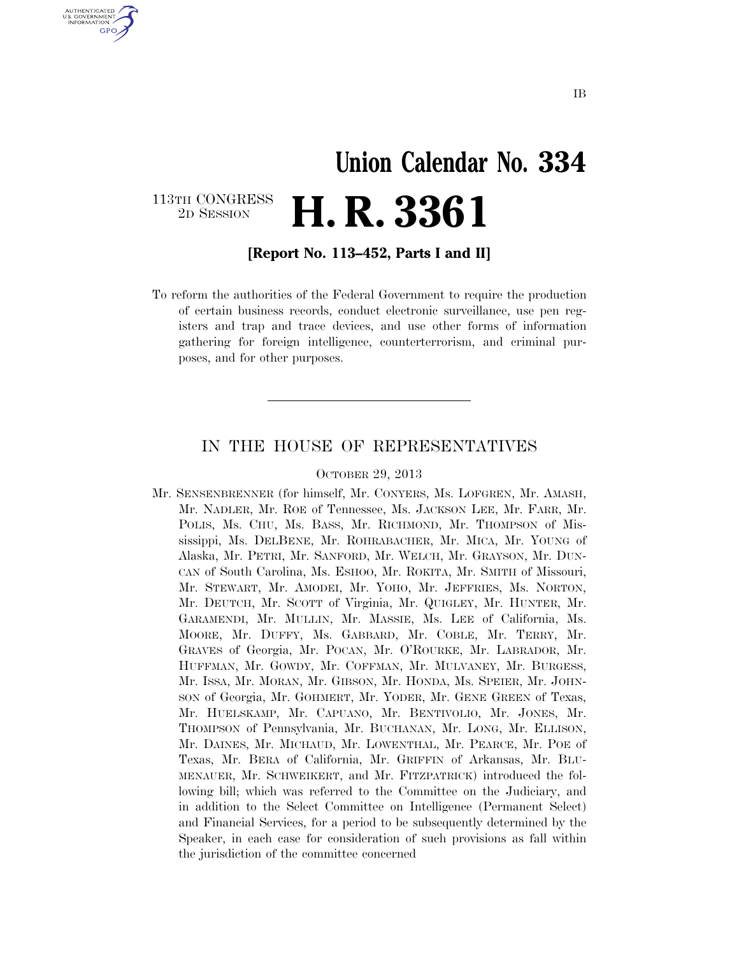# **Union Calendar No. 334**  2D SESSION **H. R. 3361**

113TH CONGRESS<br>2D SESSION

U.S. GOVERNMENT **GPO** 

**[Report No. 113–452, Parts I and II]** 

To reform the authorities of the Federal Government to require the production of certain business records, conduct electronic surveillance, use pen registers and trap and trace devices, and use other forms of information gathering for foreign intelligence, counterterrorism, and criminal purposes, and for other purposes.

### IN THE HOUSE OF REPRESENTATIVES

#### OCTOBER 29, 2013

Mr. SENSENBRENNER (for himself, Mr. CONYERS, Ms. LOFGREN, Mr. AMASH, Mr. NADLER, Mr. ROE of Tennessee, Ms. JACKSON LEE, Mr. FARR, Mr. POLIS, Ms. CHU, Ms. BASS, Mr. RICHMOND, Mr. THOMPSON of Mississippi, Ms. DELBENE, Mr. ROHRABACHER, Mr. MICA, Mr. YOUNG of Alaska, Mr. PETRI, Mr. SANFORD, Mr. WELCH, Mr. GRAYSON, Mr. DUN-CAN of South Carolina, Ms. ESHOO, Mr. ROKITA, Mr. SMITH of Missouri, Mr. STEWART, Mr. AMODEI, Mr. YOHO, Mr. JEFFRIES, Ms. NORTON, Mr. DEUTCH, Mr. SCOTT of Virginia, Mr. QUIGLEY, Mr. HUNTER, Mr. GARAMENDI, Mr. MULLIN, Mr. MASSIE, Ms. LEE of California, Ms. MOORE, Mr. DUFFY, Ms. GABBARD, Mr. COBLE, Mr. TERRY, Mr. GRAVES of Georgia, Mr. POCAN, Mr. O'ROURKE, Mr. LABRADOR, Mr. HUFFMAN, Mr. GOWDY, Mr. COFFMAN, Mr. MULVANEY, Mr. BURGESS, Mr. ISSA, Mr. MORAN, Mr. GIBSON, Mr. HONDA, Ms. SPEIER, Mr. JOHN-SON of Georgia, Mr. GOHMERT, Mr. YODER, Mr. GENE GREEN of Texas, Mr. HUELSKAMP, Mr. CAPUANO, Mr. BENTIVOLIO, Mr. JONES, Mr. THOMPSON of Pennsylvania, Mr. BUCHANAN, Mr. LONG, Mr. ELLISON, Mr. DAINES, Mr. MICHAUD, Mr. LOWENTHAL, Mr. PEARCE, Mr. POE of Texas, Mr. BERA of California, Mr. GRIFFIN of Arkansas, Mr. BLU-MENAUER, Mr. SCHWEIKERT, and Mr. FITZPATRICK) introduced the following bill; which was referred to the Committee on the Judiciary, and in addition to the Select Committee on Intelligence (Permanent Select) and Financial Services, for a period to be subsequently determined by the Speaker, in each case for consideration of such provisions as fall within the jurisdiction of the committee concerned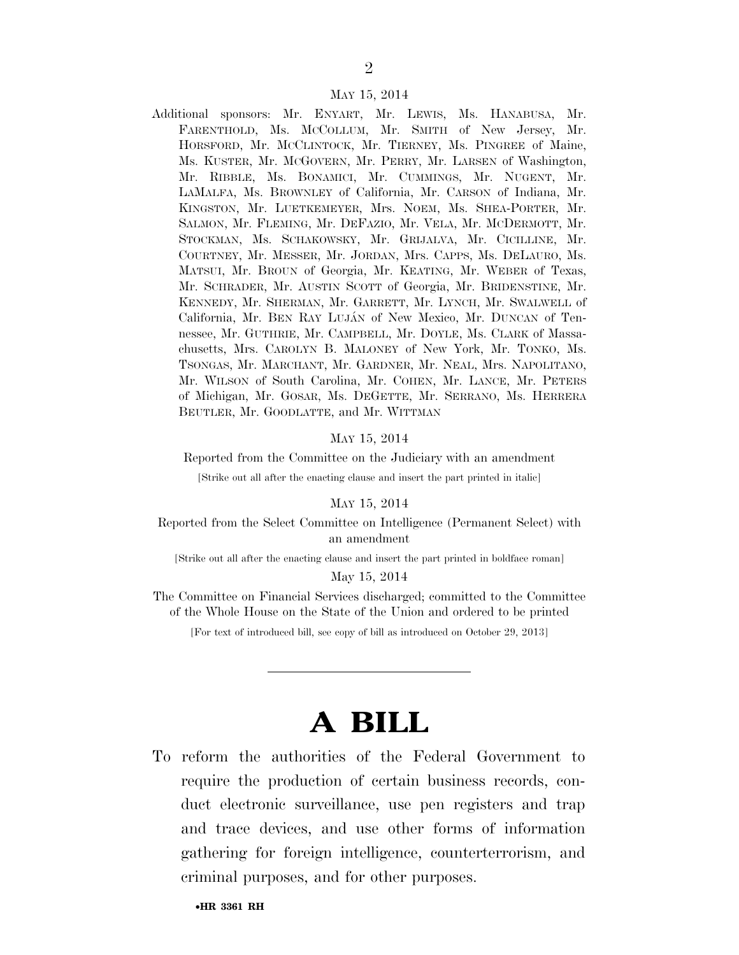#### MAY 15, 2014

Additional sponsors: Mr. ENYART, Mr. LEWIS, Ms. HANABUSA, Mr. FARENTHOLD, Ms. MCCOLLUM, Mr. SMITH of New Jersey, Mr. HORSFORD, Mr. MCCLINTOCK, Mr. TIERNEY, Ms. PINGREE of Maine, Ms. KUSTER, Mr. MCGOVERN, Mr. PERRY, Mr. LARSEN of Washington, Mr. RIBBLE, Ms. BONAMICI, Mr. CUMMINGS, Mr. NUGENT, Mr. LAMALFA, Ms. BROWNLEY of California, Mr. CARSON of Indiana, Mr. KINGSTON, Mr. LUETKEMEYER, Mrs. NOEM, Ms. SHEA-PORTER, Mr. SALMON, Mr. FLEMING, Mr. DEFAZIO, Mr. VELA, Mr. MCDERMOTT, Mr. STOCKMAN, Ms. SCHAKOWSKY, Mr. GRIJALVA, Mr. CICILLINE, Mr. COURTNEY, Mr. MESSER, Mr. JORDAN, Mrs. CAPPS, Ms. DELAURO, Ms. MATSUI, Mr. BROUN of Georgia, Mr. KEATING, Mr. WEBER of Texas, Mr. SCHRADER, Mr. AUSTIN SCOTT of Georgia, Mr. BRIDENSTINE, Mr. KENNEDY, Mr. SHERMAN, Mr. GARRETT, Mr. LYNCH, Mr. SWALWELL of California, Mr. BEN RAY LUJÁN of New Mexico, Mr. DUNCAN of Tennessee, Mr. GUTHRIE, Mr. CAMPBELL, Mr. DOYLE, Ms. CLARK of Massachusetts, Mrs. CAROLYN B. MALONEY of New York, Mr. TONKO, Ms. TSONGAS, Mr. MARCHANT, Mr. GARDNER, Mr. NEAL, Mrs. NAPOLITANO, Mr. WILSON of South Carolina, Mr. COHEN, Mr. LANCE, Mr. PETERS of Michigan, Mr. GOSAR, Ms. DEGETTE, Mr. SERRANO, Ms. HERRERA BEUTLER, Mr. GOODLATTE, and Mr. WITTMAN

#### MAY 15, 2014

Reported from the Committee on the Judiciary with an amendment

[Strike out all after the enacting clause and insert the part printed in italic]

#### MAY 15, 2014

#### Reported from the Select Committee on Intelligence (Permanent Select) with an amendment

[Strike out all after the enacting clause and insert the part printed in boldface roman]

May 15, 2014

The Committee on Financial Services discharged; committed to the Committee of the Whole House on the State of the Union and ordered to be printed

[For text of introduced bill, see copy of bill as introduced on October 29, 2013]

# **A BILL**

To reform the authorities of the Federal Government to require the production of certain business records, conduct electronic surveillance, use pen registers and trap and trace devices, and use other forms of information gathering for foreign intelligence, counterterrorism, and criminal purposes, and for other purposes.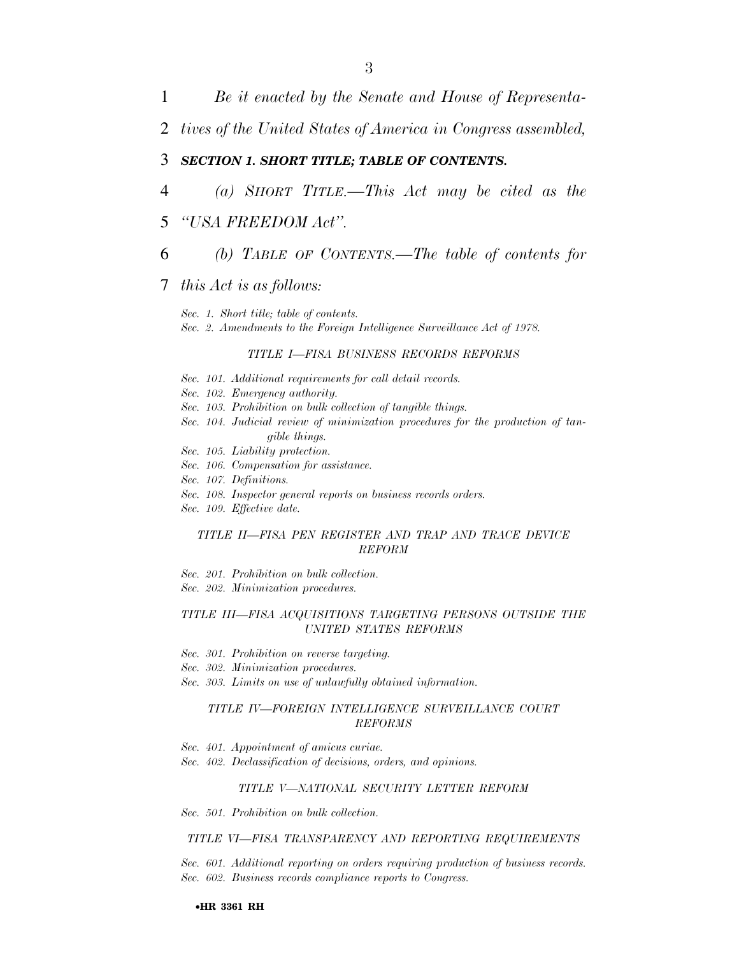2 *tives of the United States of America in Congress assembled,* 

### 3 *SECTION 1. SHORT TITLE; TABLE OF CONTENTS.*

- 4 *(a) SHORT TITLE.—This Act may be cited as the*
- 5 *''USA FREEDOM Act''.*
- 6 *(b) TABLE OF CONTENTS.—The table of contents for*

### 7 *this Act is as follows:*

*Sec. 1. Short title; table of contents. Sec. 2. Amendments to the Foreign Intelligence Surveillance Act of 1978.* 

#### *TITLE I—FISA BUSINESS RECORDS REFORMS*

- *Sec. 101. Additional requirements for call detail records.*
- *Sec. 102. Emergency authority.*
- *Sec. 103. Prohibition on bulk collection of tangible things.*
- *Sec. 104. Judicial review of minimization procedures for the production of tangible things.*
- *Sec. 105. Liability protection.*
- *Sec. 106. Compensation for assistance.*
- *Sec. 107. Definitions.*
- *Sec. 108. Inspector general reports on business records orders.*
- *Sec. 109. Effective date.*

#### *TITLE II—FISA PEN REGISTER AND TRAP AND TRACE DEVICE REFORM*

*Sec. 201. Prohibition on bulk collection. Sec. 202. Minimization procedures.* 

#### *TITLE III—FISA ACQUISITIONS TARGETING PERSONS OUTSIDE THE UNITED STATES REFORMS*

- *Sec. 301. Prohibition on reverse targeting.*
- *Sec. 302. Minimization procedures.*
- *Sec. 303. Limits on use of unlawfully obtained information.*

#### *TITLE IV—FOREIGN INTELLIGENCE SURVEILLANCE COURT REFORMS*

- *Sec. 401. Appointment of amicus curiae.*
- *Sec. 402. Declassification of decisions, orders, and opinions.*

#### *TITLE V—NATIONAL SECURITY LETTER REFORM*

*Sec. 501. Prohibition on bulk collection.* 

#### *TITLE VI—FISA TRANSPARENCY AND REPORTING REQUIREMENTS*

*Sec. 601. Additional reporting on orders requiring production of business records. Sec. 602. Business records compliance reports to Congress.*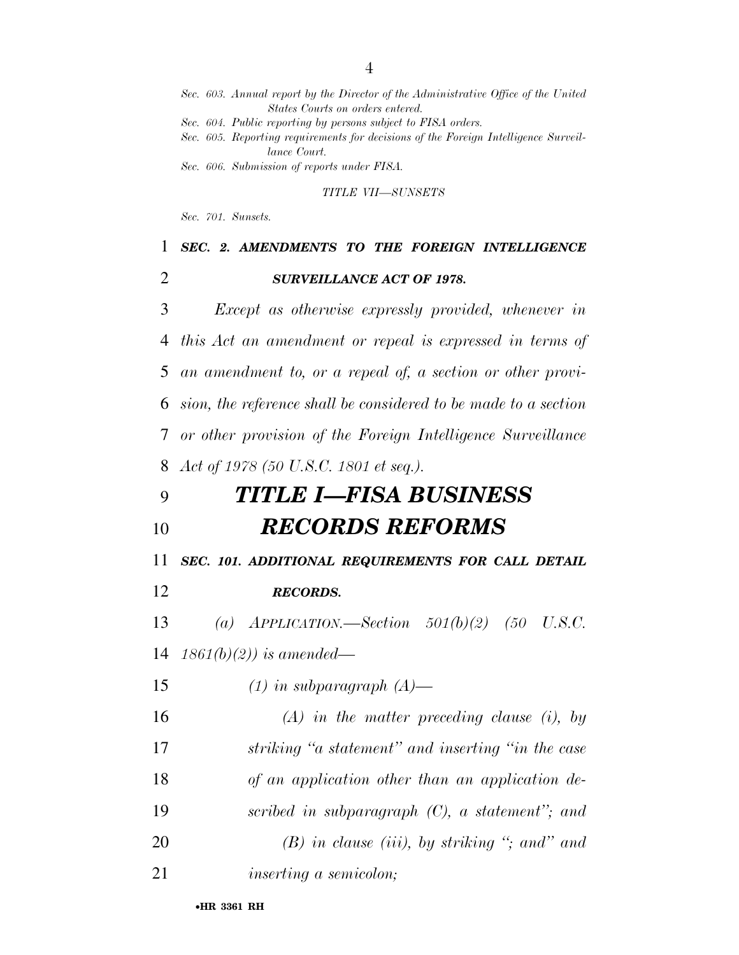|    | States Courts on orders entered.                                                                                                                                     |
|----|----------------------------------------------------------------------------------------------------------------------------------------------------------------------|
|    | Sec. 604. Public reporting by persons subject to FISA orders.<br>Sec. 605. Reporting requirements for decisions of the Foreign Intelligence Surveil-<br>lance Court. |
|    | Sec. 606. Submission of reports under FISA.                                                                                                                          |
|    | TITLE VII-SUNSETS                                                                                                                                                    |
|    | Sec. 701. Sunsets.                                                                                                                                                   |
| 1  | SEC. 2. AMENDMENTS TO THE FOREIGN INTELLIGENCE                                                                                                                       |
| 2  | <b>SURVEILLANCE ACT OF 1978.</b>                                                                                                                                     |
| 3  | Except as otherwise expressly provided, whenever in                                                                                                                  |
| 4  | this Act an amendment or repeal is expressed in terms of                                                                                                             |
| 5  | an amendment to, or a repeal of, a section or other provi-                                                                                                           |
| 6  | sion, the reference shall be considered to be made to a section                                                                                                      |
| 7  | or other provision of the Foreign Intelligence Surveillance                                                                                                          |
| 8  | Act of 1978 (50 U.S.C. 1801 et seq.).                                                                                                                                |
| 9  | TITLE I—FISA BUSINESS                                                                                                                                                |
| 10 | <b>RECORDS REFORMS</b>                                                                                                                                               |
| 11 | SEC. 101. ADDITIONAL REQUIREMENTS FOR CALL DETAIL                                                                                                                    |
| 12 | <b>RECORDS.</b>                                                                                                                                                      |
| 13 | $APPLICATION. \longrightarrow Section 501(b)(2)$ (50 U.S.C.<br>$\left( a\right)$                                                                                     |
| 14 | $1861(b)(2)$ ) is amended—                                                                                                                                           |
| 15 | $(1)$ in subparagraph $(A)$ —                                                                                                                                        |
| 16 | $(A)$ in the matter preceding clause (i), by                                                                                                                         |
| 17 | striking "a statement" and inserting "in the case                                                                                                                    |
| 18 | of an application other than an application de-                                                                                                                      |
| 19 | scribed in subparagraph $(C)$ , a statement"; and                                                                                                                    |
| 20 | $(B)$ in clause (iii), by striking "; and" and                                                                                                                       |
| 21 | <i>inserting a semicolon;</i>                                                                                                                                        |

*Sec. 603. Annual report by the Director of the Administrative Office of the United*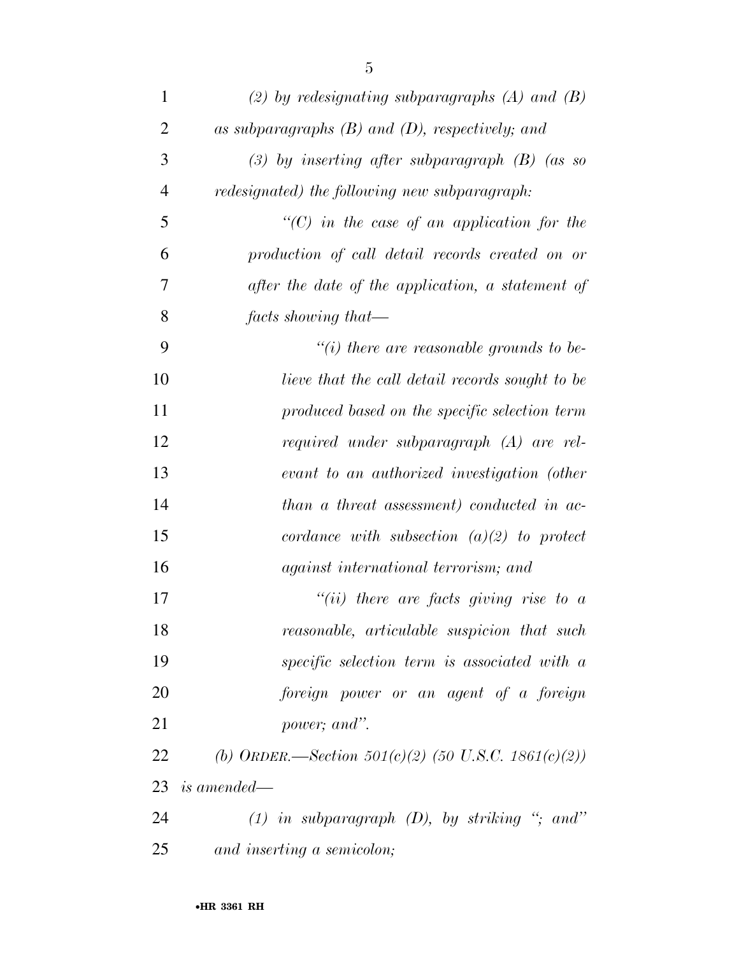| $\mathbf{1}$   | (2) by redesignating subparagraphs $(A)$ and $(B)$    |
|----------------|-------------------------------------------------------|
| $\overline{2}$ | as subparagraphs $(B)$ and $(D)$ , respectively; and  |
| 3              | (3) by inserting after subparagraph $(B)$ (as so      |
| $\overline{4}$ | redesignated) the following new subparagraph:         |
| 5              | $\lq\lq$ (C) in the case of an application for the    |
| 6              | production of call detail records created on or       |
| 7              | after the date of the application, a statement of     |
| 8              | $facts\ showing\ that -$                              |
| 9              | "(i) there are reasonable grounds to be-              |
| 10             | lieve that the call detail records sought to be       |
| 11             | produced based on the specific selection term         |
| 12             | required under subparagraph (A) are rel-              |
| 13             | evant to an authorized investigation (other           |
| 14             | than a threat assessment) conducted in ac-            |
| 15             | cordance with subsection $(a)(2)$ to protect          |
| 16             | <i>against international terrorism; and</i>           |
| 17             | "(ii) there are facts giving rise to $a$              |
| 18             | reasonable, articulable suspicion that such           |
| 19             | specific selection term is associated with a          |
| 20             | foreign power or an agent of a foreign                |
| 21             | power; and".                                          |
| 22             | (b) ORDER.—Section $501(c)(2)$ (50 U.S.C. 1861(c)(2)) |
| 23             | <i>is amended—</i>                                    |
| 24             | $(1)$ in subparagraph $(D)$ , by striking "; and"     |
| 25             | and inserting a semicolon;                            |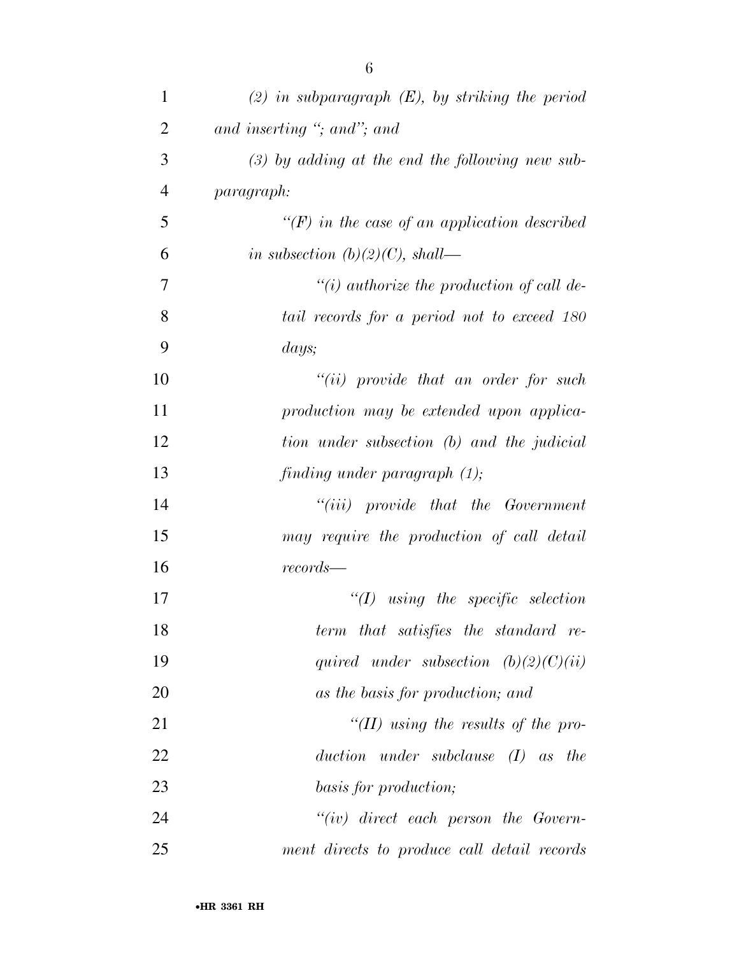| $\mathbf{1}$   | $(2)$ in subparagraph $(E)$ , by striking the period |
|----------------|------------------------------------------------------|
| $\overline{2}$ | and inserting "; and"; and                           |
| 3              | $(3)$ by adding at the end the following new sub-    |
| $\overline{4}$ | paragraph:                                           |
| 5              | $\lq (F)$ in the case of an application described    |
| 6              | in subsection $(b)(2)(C)$ , shall—                   |
| 7              | $``(i)$ authorize the production of call de-         |
| 8              | tail records for a period not to exceed 180          |
| 9              | days;                                                |
| 10             | $``(ii)$ provide that an order for such              |
| 11             | production may be extended upon applica-             |
| 12             | tion under subsection (b) and the judicial           |
| 13             | finding under paragraph $(1)$ ;                      |
| 14             | $``(iii)$ provide that the Government                |
| 15             | may require the production of call detail            |
| 16             | records—                                             |
| 17             | $\lq (I)$ using the specific selection               |
| 18             | term that satisfies the standard re-                 |
| 19             | quired under subsection $(b)(2)(C)(ii)$              |
| 20             | as the basis for production; and                     |
| 21             | $H(H)$ using the results of the pro-                 |
| 22             | under subclause $(I)$ as the<br>duction              |
| 23             | basis for production;                                |
| 24             | $``(iv)$ direct each person the Govern-              |
| 25             | ment directs to produce call detail records          |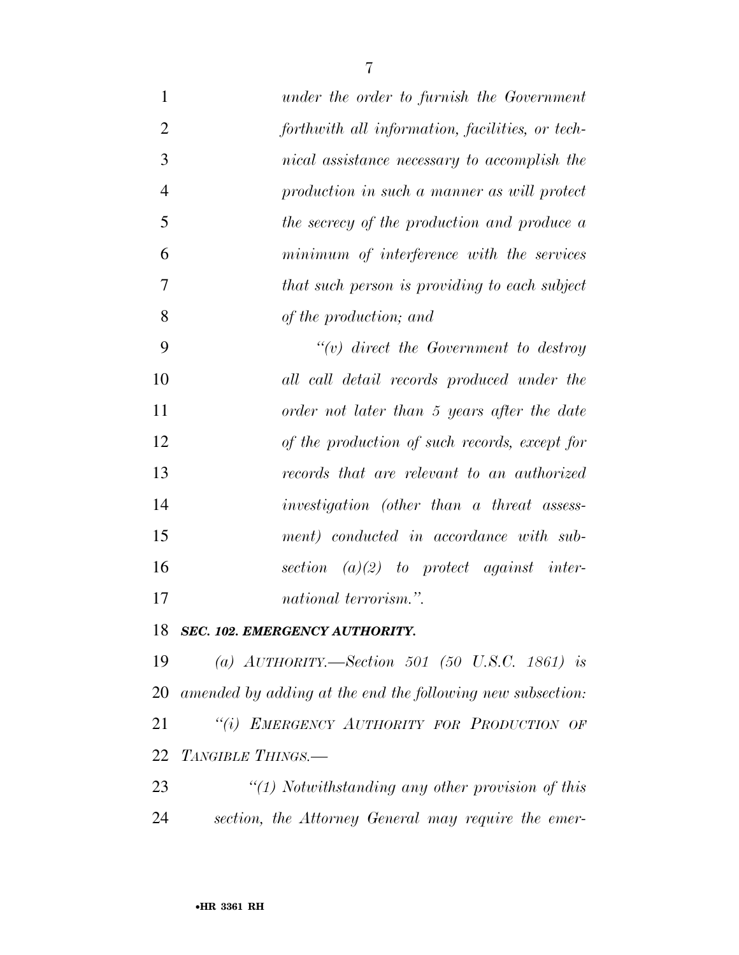| $\mathbf{1}$   | under the order to furnish the Government       |
|----------------|-------------------------------------------------|
| $\overline{2}$ | forthwith all information, facilities, or tech- |
| 3              | nical assistance necessary to accomplish the    |
| $\overline{4}$ | production in such a manner as will protect     |
| 5              | the secrecy of the production and produce a     |
| 6              | minimum of interference with the services       |
| $\overline{7}$ | that such person is providing to each subject   |
| 8              | of the production; and                          |
| 9              | $\lq\lq(v)$ direct the Government to destroy    |
| 10             | all call detail records produced under the      |
| 11             | order not later than 5 years after the date     |
| 12             | of the production of such records, except for   |
| 13             | records that are relevant to an authorized      |
| 14             | investigation (other than a threat assess-      |
| 15             | ment) conducted in accordance with sub-         |
| 16             | section $(a)(2)$ to protect against inter-      |
| 17             | <i>national terrorism.</i> ".                   |

*SEC. 102. EMERGENCY AUTHORITY.* 

 *(a) AUTHORITY.—Section 501 (50 U.S.C. 1861) is amended by adding at the end the following new subsection: ''(i) EMERGENCY AUTHORITY FOR PRODUCTION OF TANGIBLE THINGS.—* 

 *''(1) Notwithstanding any other provision of this section, the Attorney General may require the emer-*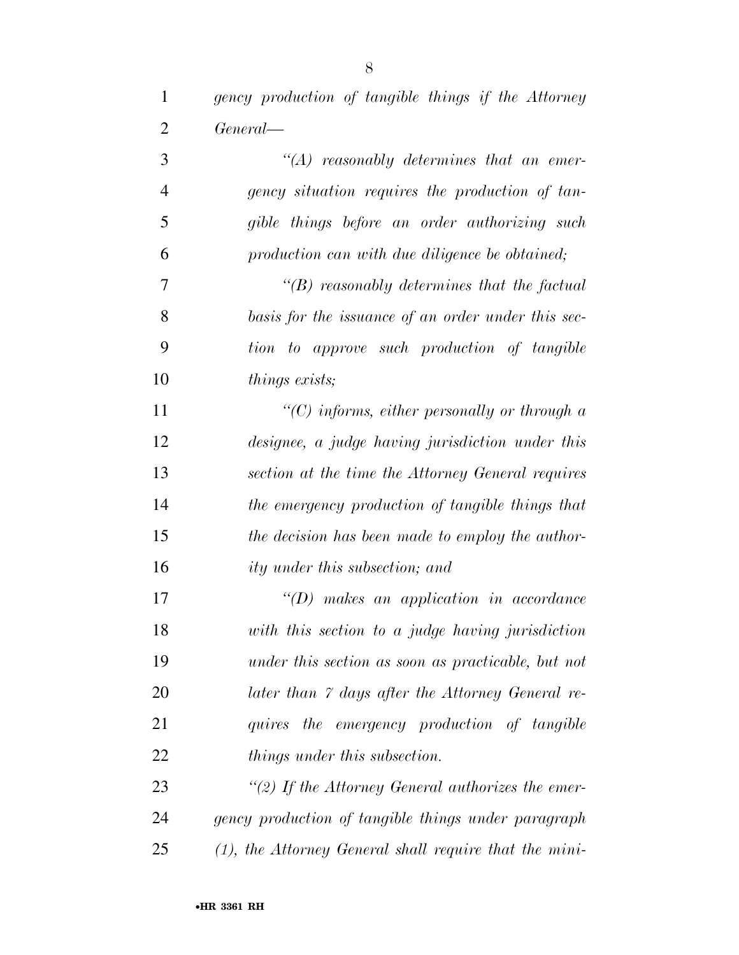*gency production of tangible things if the Attorney General—* 

| 3              | $\lq (A)$ reasonably determines that an emer-       |
|----------------|-----------------------------------------------------|
| $\overline{4}$ | gency situation requires the production of tan-     |
| 5              | gible things before an order authorizing such       |
| 6              | production can with due diligence be obtained;      |
| 7              | $\lq\lq(B)$ reasonably determines that the factual  |
| 8              | basis for the issuance of an order under this sec-  |
| 9              | tion to approve such production of tangible         |
| 10             | things exists;                                      |
| 11             | "(C) informs, either personally or through $a$      |
| 12             | designee, a judge having jurisdiction under this    |
| 13             | section at the time the Attorney General requires   |
| 14             | the emergency production of tangible things that    |
| 15             | the decision has been made to employ the author-    |
| 16             | ity under this subsection; and                      |
| 17             | $\lq\lq(D)$ makes an application in accordance      |
| 18             | with this section to a judge having jurisdiction    |
| 19             | under this section as soon as practicable, but not  |
| 20             | later than 7 days after the Attorney General re-    |
| 21             | quires the emergency production of tangible         |
| 22             | <i>things under this subsection.</i>                |
| 23             | "(2) If the Attorney General authorizes the emer-   |
| 24             | gency production of tangible things under paragraph |
|                |                                                     |

*(1), the Attorney General shall require that the mini-*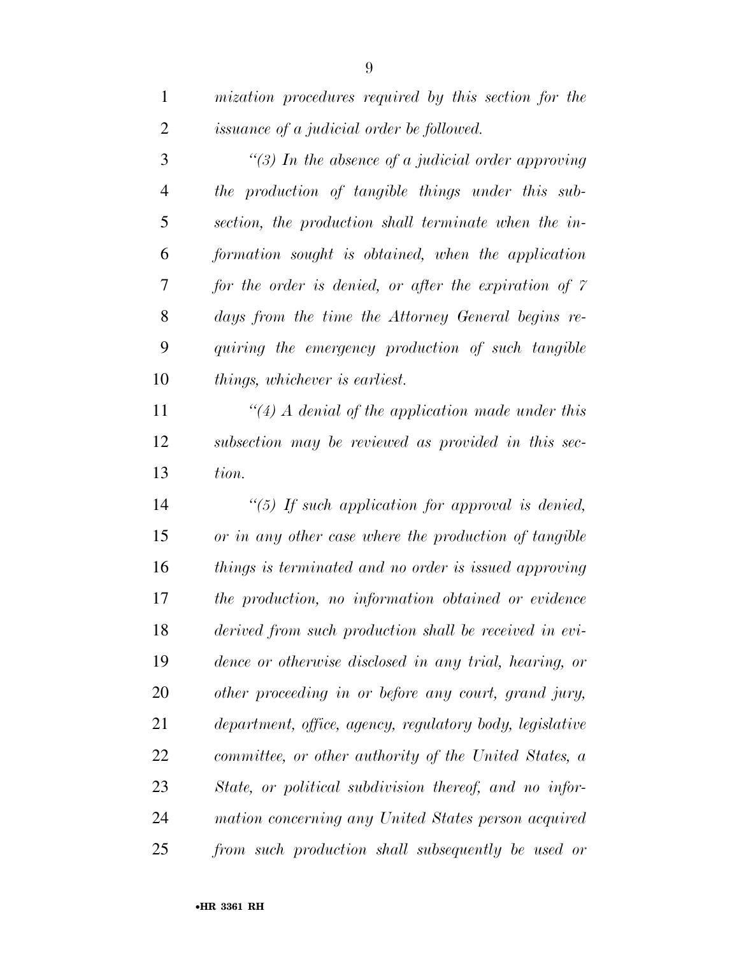| $\mathbf{1}$   | mization procedures required by this section for the         |
|----------------|--------------------------------------------------------------|
| $\overline{2}$ | <i>issuance of a judicial order be followed.</i>             |
| 3              | "(3) In the absence of a judicial order approving            |
| 4              | the production of tangible things under this sub-            |
| 5              | section, the production shall terminate when the in-         |
| 6              | formation sought is obtained, when the application           |
| 7              | for the order is denied, or after the expiration of $\gamma$ |
| 8              | days from the time the Attorney General begins re-           |
| 9              | quiring the emergency production of such tangible            |
| 10             | <i>things, whichever is earliest.</i>                        |
| 11             | "(4) A denial of the application made under this             |
| 12             | subsection may be reviewed as provided in this sec-          |

*tion.* 

 *''(5) If such application for approval is denied, or in any other case where the production of tangible things is terminated and no order is issued approving the production, no information obtained or evidence derived from such production shall be received in evi- dence or otherwise disclosed in any trial, hearing, or other proceeding in or before any court, grand jury, department, office, agency, regulatory body, legislative committee, or other authority of the United States, a State, or political subdivision thereof, and no infor- mation concerning any United States person acquired from such production shall subsequently be used or*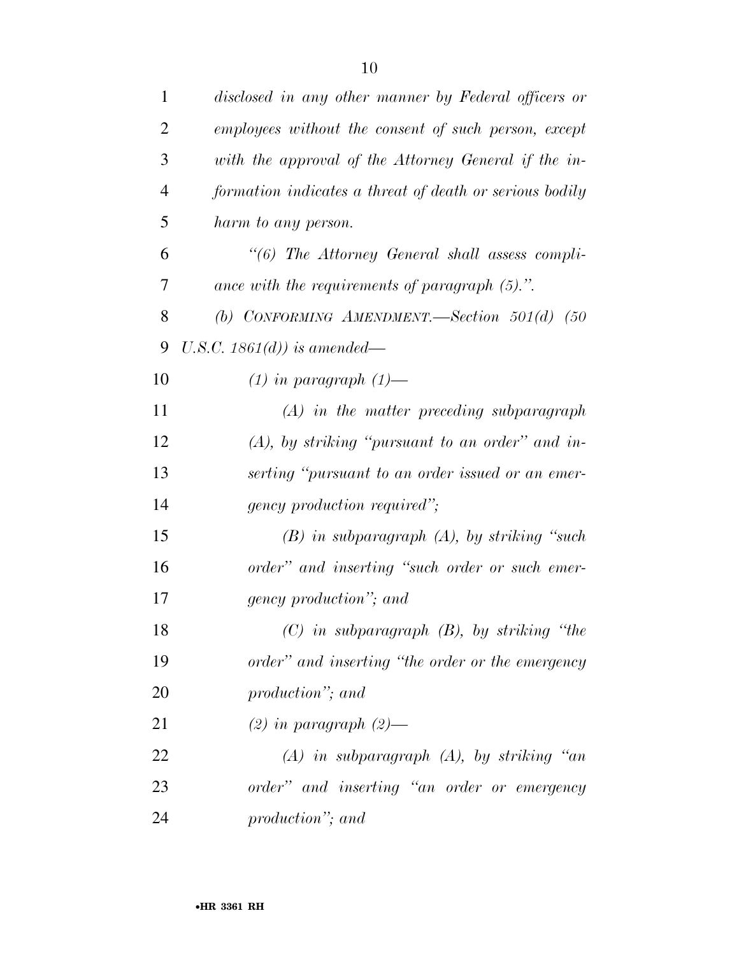| $\mathbf{1}$   | disclosed in any other manner by Federal officers or    |
|----------------|---------------------------------------------------------|
| $\overline{2}$ | employees without the consent of such person, except    |
| 3              | with the approval of the Attorney General if the in-    |
| $\overline{4}$ | formation indicates a threat of death or serious bodily |
| 5              | harm to any person.                                     |
| 6              | "(6) The Attorney General shall assess compli-          |
| 7              | ance with the requirements of paragraph $(5)$ .".       |
| 8              | (b) CONFORMING AMENDMENT.—Section $501(d)$ (50          |
| 9              | U.S.C. $1861(d)$ is amended—                            |
| 10             | $(1)$ in paragraph $(1)$ —                              |
| 11             | $(A)$ in the matter preceding subparagraph              |
| 12             | $(A)$ , by striking "pursuant to an order" and in-      |
| 13             | serting "pursuant to an order issued or an emer-        |
| 14             | <i>gency production required"</i> ;                     |
| 15             | $(B)$ in subparagraph $(A)$ , by striking "such"        |
| 16             | order" and inserting "such order or such emer-          |
| 17             | gency production"; and                                  |
| 18             | $(C)$ in subparagraph $(B)$ , by striking "the          |
| 19             | order" and inserting "the order or the emergency        |
| 20             | production"; and                                        |
| 21             | $(2)$ in paragraph $(2)$ —                              |
| 22             | $(A)$ in subparagraph $(A)$ , by striking "an           |
| 23             | order" and inserting "an order or emergency             |
| 24             | production"; and                                        |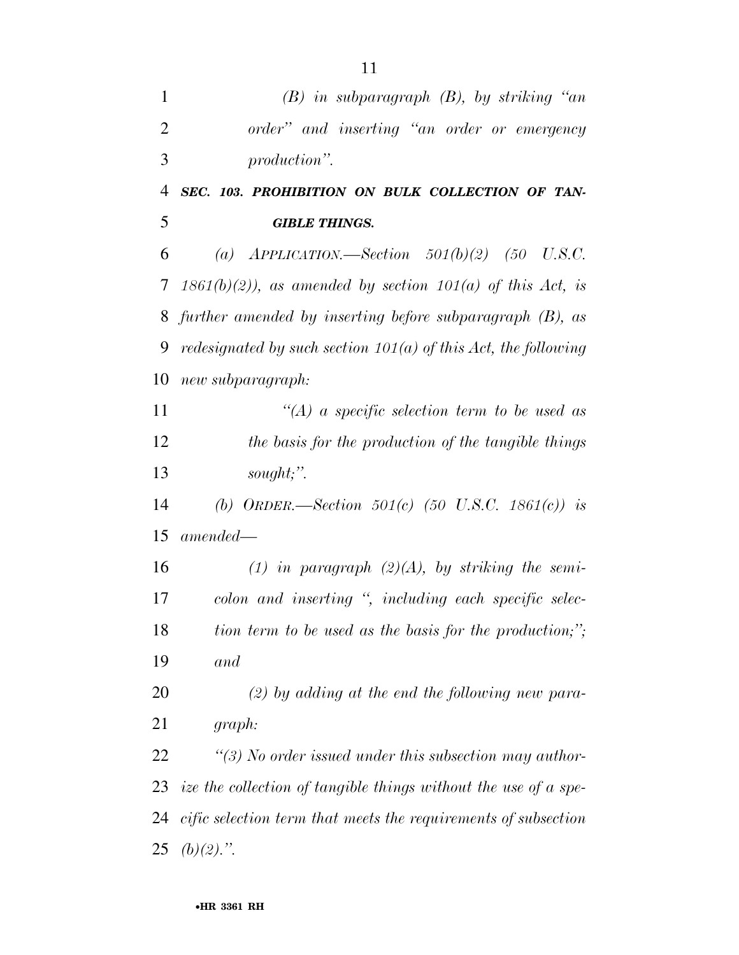| $\mathbf{1}$   | $(B)$ in subparagraph $(B)$ , by striking "an                         |
|----------------|-----------------------------------------------------------------------|
| $\overline{2}$ | order" and inserting "an order or emergency                           |
| 3              | production".                                                          |
| $\overline{4}$ | SEC. 103. PROHIBITION ON BULK COLLECTION OF TAN-                      |
| 5              | <b>GIBLE THINGS.</b>                                                  |
| 6              | (a) $APPLICATION. \rightarrow Section 501(b)(2)$ (50 U.S.C.           |
| 7              | $1861(b)(2)$ , as amended by section $101(a)$ of this Act, is         |
| 8              | further amended by inserting before subparagraph $(B)$ , as           |
| 9              | <i>redesignated by such section 101(a) of this Act, the following</i> |
| 10             | new subparagraph:                                                     |
| 11             | $\lq (A)$ a specific selection term to be used as                     |
| 12             | the basis for the production of the tangible things                   |
| 13             | sought;".                                                             |
| 14             | (b) ORDER.—Section 501(c) (50 U.S.C. 1861(c)) is                      |
| 15             | $amended -$                                                           |
| 16             | (1) in paragraph $(2)(A)$ , by striking the semi-                     |
| 17             | colon and inserting ", including each specific selec-                 |
| 18             | tion term to be used as the basis for the production;";               |
| 19             | and                                                                   |
| 20             | $(2)$ by adding at the end the following new para-                    |
| 21             | graph:                                                                |
| 22             | $\lq(3)$ No order issued under this subsection may author-            |
| 23             | ize the collection of tangible things without the use of a spe-       |
| 24             | cific selection term that meets the requirements of subsection        |
| 25             | $(b)(2)$ .".                                                          |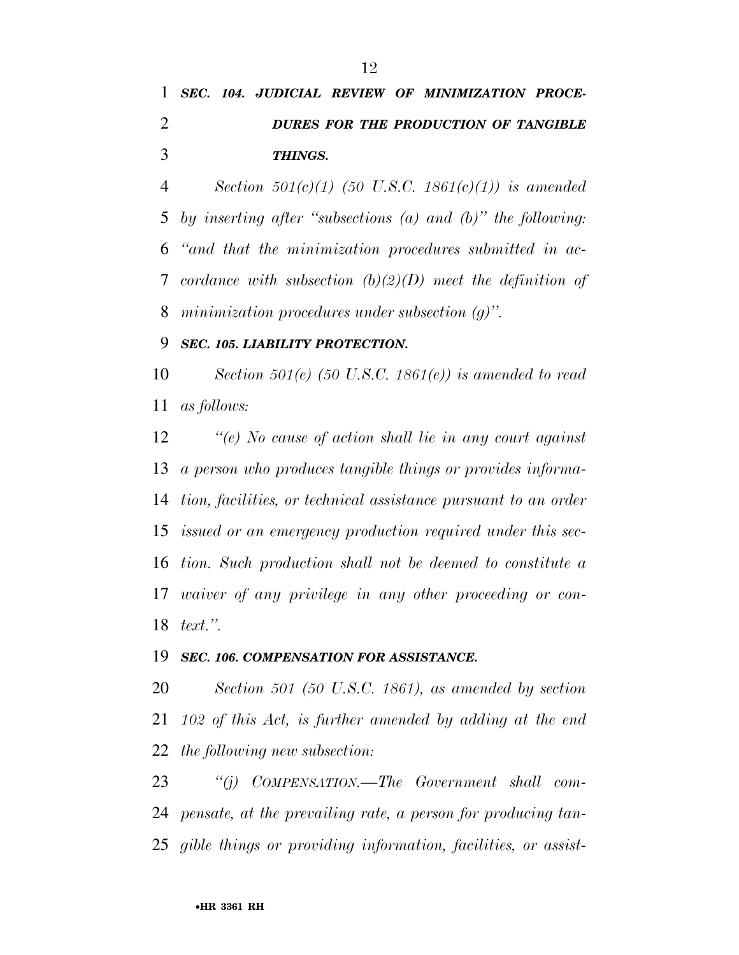# *SEC. 104. JUDICIAL REVIEW OF MINIMIZATION PROCE- DURES FOR THE PRODUCTION OF TANGIBLE THINGS.*

 *Section 501(c)(1) (50 U.S.C. 1861(c)(1)) is amended by inserting after ''subsections (a) and (b)'' the following: ''and that the minimization procedures submitted in ac- cordance with subsection (b)(2)(D) meet the definition of minimization procedures under subsection (g)''.* 

### *SEC. 105. LIABILITY PROTECTION.*

 *Section 501(e) (50 U.S.C. 1861(e)) is amended to read as follows:* 

 *''(e) No cause of action shall lie in any court against a person who produces tangible things or provides informa- tion, facilities, or technical assistance pursuant to an order issued or an emergency production required under this sec- tion. Such production shall not be deemed to constitute a waiver of any privilege in any other proceeding or con-text.''.* 

### *SEC. 106. COMPENSATION FOR ASSISTANCE.*

 *Section 501 (50 U.S.C. 1861), as amended by section 102 of this Act, is further amended by adding at the end the following new subsection:* 

 *''(j) COMPENSATION.—The Government shall com- pensate, at the prevailing rate, a person for producing tan-gible things or providing information, facilities, or assist-*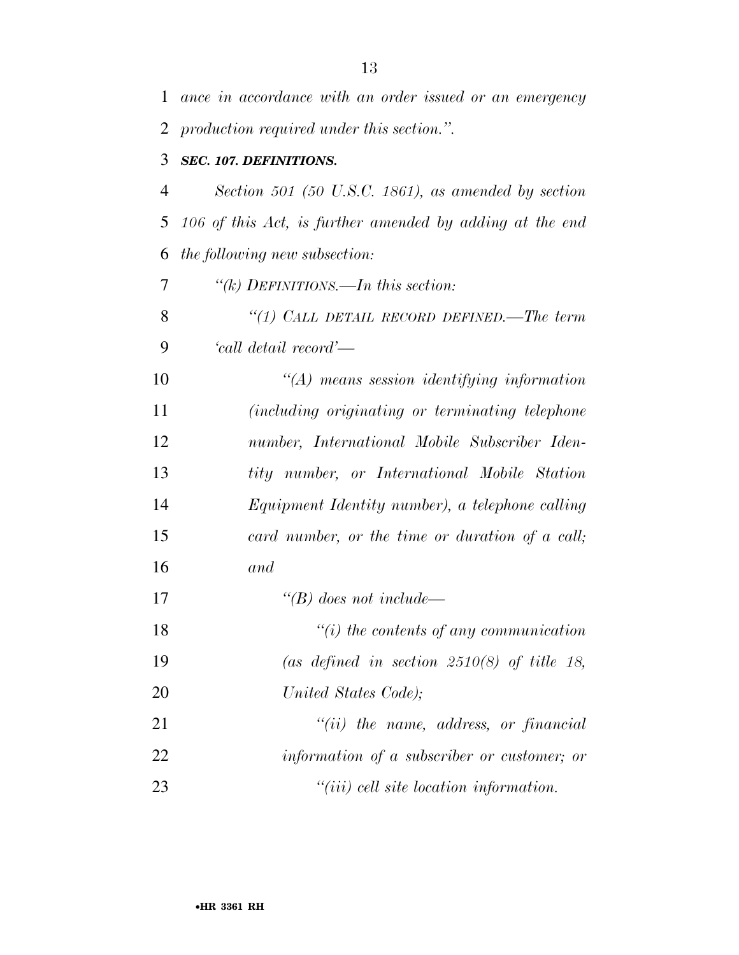| 1  | ance in accordance with an order issued or an emergency  |
|----|----------------------------------------------------------|
| 2  | production required under this section.".                |
| 3  | SEC. 107. DEFINITIONS.                                   |
| 4  | Section 501 (50 U.S.C. 1861), as amended by section      |
| 5  | 106 of this Act, is further amended by adding at the end |
| 6  | <i>the following new subsection:</i>                     |
| 7  | "(k) DEFINITIONS.—In this section:                       |
| 8  | "(1) CALL DETAIL RECORD DEFINED.—The term                |
| 9  | 'call detail record'—                                    |
| 10 | $\lq (A)$ means session identifying information          |
| 11 | <i>(including originating or terminating telephone)</i>  |
| 12 | number, International Mobile Subscriber Iden-            |
| 13 | tity number, or International Mobile Station             |
| 14 | Equipment Identity number), a telephone calling          |
| 15 | card number, or the time or duration of a call;          |
| 16 | and                                                      |
| 17 | $\lq\lq(B)$ does not include—                            |
| 18 | $``(i)$ the contents of any communication                |
| 19 | (as defined in section $2510(8)$ of title 18,            |
| 20 | United States Code);                                     |
| 21 | $``(ii)$ the name, address, or financial                 |
| 22 | information of a subscriber or customer; or              |
| 23 | $"(iii)$ cell site location information.                 |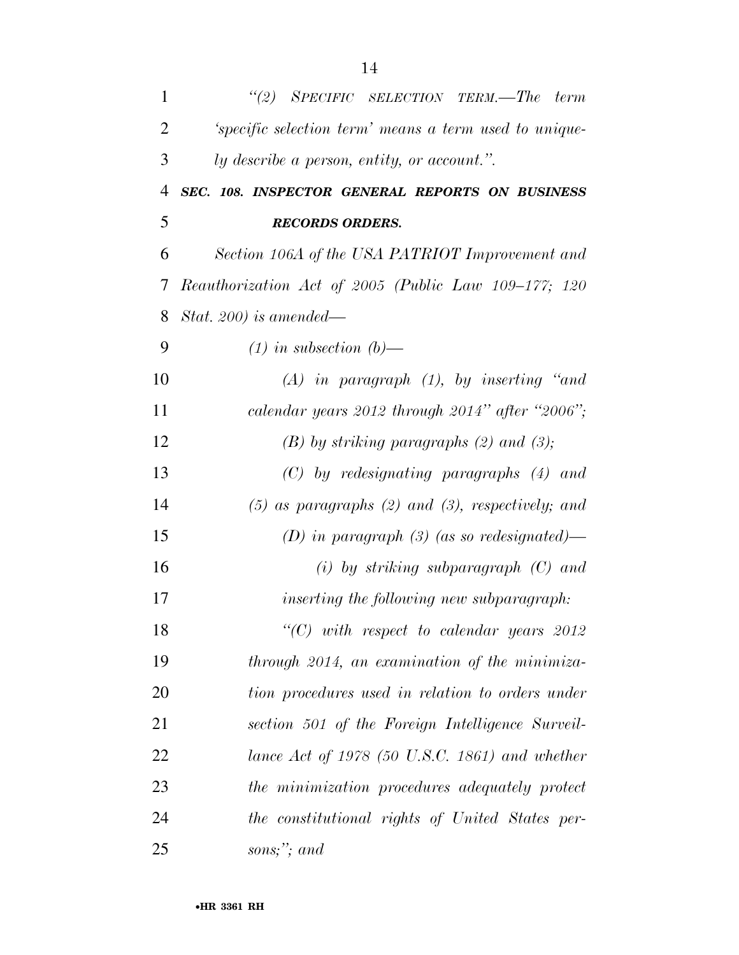| $\mathbf{1}$   | "(2) SPECIFIC SELECTION TERM.—The term                  |
|----------------|---------------------------------------------------------|
| $\overline{2}$ | 'specific selection term' means a term used to unique-  |
| 3              | ly describe a person, entity, or account.".             |
| 4              | SEC. 108. INSPECTOR GENERAL REPORTS ON BUSINESS         |
| 5              | <b>RECORDS ORDERS.</b>                                  |
| 6              | Section 106A of the USA PATRIOT Improvement and         |
| 7              | Reauthorization Act of 2005 (Public Law 109-177; 120    |
| 8              | Stat. 200) is amended—                                  |
| 9              | $(1)$ in subsection $(b)$ —                             |
| 10             | $(A)$ in paragraph $(1)$ , by inserting "and            |
| 11             | calendar years 2012 through 2014" after "2006";         |
| 12             | $(B)$ by striking paragraphs $(2)$ and $(3)$ ;          |
| 13             | $(C)$ by redesignating paragraphs $(4)$ and             |
| 14             | $(5)$ as paragraphs $(2)$ and $(3)$ , respectively; and |
| 15             | (D) in paragraph (3) (as so redesignated)—              |
| 16             | $(i)$ by striking subparagraph $(C)$ and                |
| 17             | inserting the following new subparagraph:               |
| 18             | "(C) with respect to calendar years $2012$              |
| 19             | through 2014, an examination of the minimiza-           |
| 20             | tion procedures used in relation to orders under        |
| 21             | section 501 of the Foreign Intelligence Surveil-        |
| 22             | lance Act of 1978 (50 U.S.C. 1861) and whether          |
| 23             | the minimization procedures adequately protect          |
| 24             | the constitutional rights of United States per-         |
| 25             | sons;"; and                                             |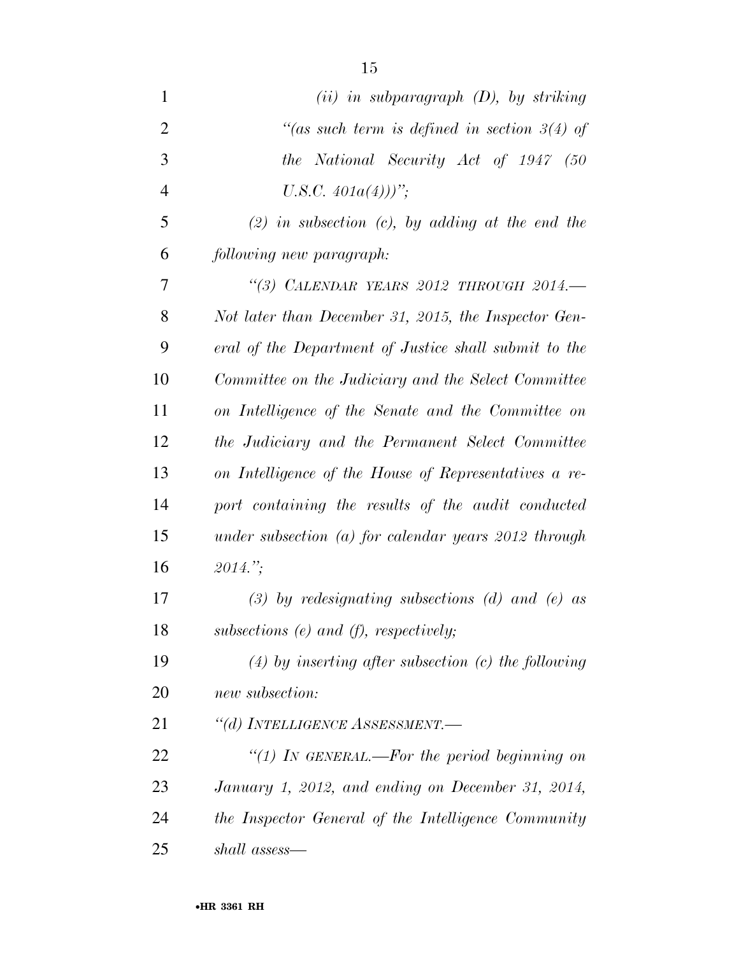| $(ii)$ in subparagraph $(D)$ , by striking             |
|--------------------------------------------------------|
| "(as such term is defined in section $3(4)$ of         |
| the National Security Act of 1947 (50                  |
| U.S.C. $401a(4)$ )'';                                  |
| $(2)$ in subsection (c), by adding at the end the      |
| following new paragraph:                               |
| "(3) CALENDAR YEARS 2012 THROUGH 2014.-                |
| Not later than December 31, 2015, the Inspector Gen-   |
| eral of the Department of Justice shall submit to the  |
| Committee on the Judiciary and the Select Committee    |
| on Intelligence of the Senate and the Committee on     |
| the Judiciary and the Permanent Select Committee       |
| on Intelligence of the House of Representatives a re-  |
| port containing the results of the audit conducted     |
| under subsection $(a)$ for calendar years 2012 through |
| $2014$ .";                                             |
| $(3)$ by redesignating subsections (d) and (e) as      |
| subsections $(e)$ and $(f)$ , respectively;            |
| $(4)$ by inserting after subsection (c) the following  |
| new subsection:                                        |
| "(d) INTELLIGENCE ASSESSMENT.—                         |
| "(1) In GENERAL.—For the period beginning on           |
| January 1, 2012, and ending on December 31, 2014,      |
| the Inspector General of the Intelligence Community    |
| shall assess—                                          |
|                                                        |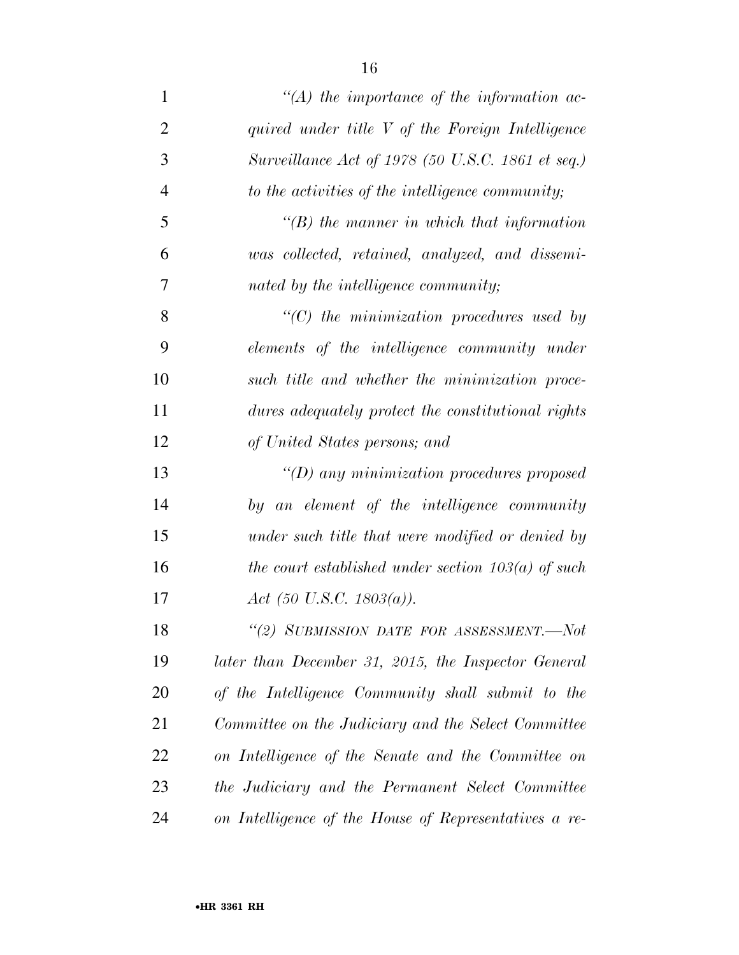| $\mathbf{1}$   | $\lq (A)$ the importance of the information ac-       |
|----------------|-------------------------------------------------------|
| $\overline{2}$ | quired under title V of the Foreign Intelligence      |
| 3              | Surveillance Act of 1978 (50 U.S.C. 1861 et seq.)     |
| $\overline{4}$ | to the activities of the intelligence community;      |
| 5              | $\lq\lq B$ ) the manner in which that information     |
| 6              | was collected, retained, analyzed, and dissemi-       |
| 7              | nated by the intelligence community;                  |
| 8              | $"$ (C) the minimization procedures used by           |
| 9              | elements of the intelligence community under          |
| 10             | such title and whether the minimization proce-        |
| 11             | dures adequately protect the constitutional rights    |
| 12             | of United States persons; and                         |
| 13             | $\lq (D)$ any minimization procedures proposed        |
| 14             | by an element of the intelligence community           |
| 15             | under such title that were modified or denied by      |
| 16             | the court established under section $103(a)$ of such  |
| 17             | Act (50 U.S.C. 1803(a)).                              |
| 18             | "(2) SUBMISSION DATE FOR ASSESSMENT.-Not              |
| 19             | later than December 31, 2015, the Inspector General   |
| 20             | of the Intelligence Community shall submit to the     |
| 21             | Committee on the Judiciary and the Select Committee   |
| 22             | on Intelligence of the Senate and the Committee on    |
| 23             | the Judiciary and the Permanent Select Committee      |
| 24             | on Intelligence of the House of Representatives a re- |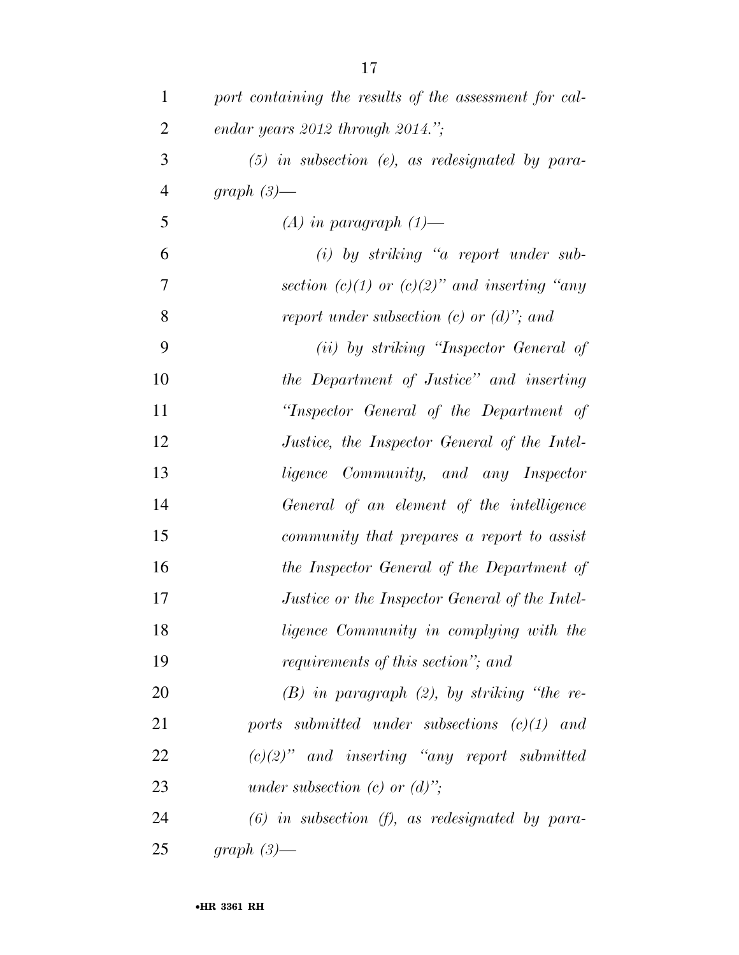| $\mathbf{1}$   | port containing the results of the assessment for cal- |
|----------------|--------------------------------------------------------|
| $\overline{2}$ | endar years $2012$ through $2014$ .";                  |
| 3              | $(5)$ in subsection (e), as redesignated by para-      |
| $\overline{4}$ | graph $(3)$ —                                          |
| 5              | $(A)$ in paragraph $(1)$ —                             |
| 6              | $(i)$ by striking "a report under sub-                 |
| 7              | section (c)(1) or (c)(2)" and inserting "any           |
| 8              | report under subsection $(c)$ or $(d)$ "; and          |
| 9              | (ii) by striking "Inspector General of                 |
| 10             | the Department of Justice" and inserting               |
| 11             | "Inspector General of the Department of                |
| 12             | Justice, the Inspector General of the Intel-           |
| 13             | ligence Community, and any Inspector                   |
| 14             | General of an element of the intelligence              |
| 15             | community that prepares a report to assist             |
| 16             | the Inspector General of the Department of             |
| 17             | Justice or the Inspector General of the Intel-         |
| 18             | ligence Community in complying with the                |
| 19             | requirements of this section"; and                     |
| 20             | $(B)$ in paragraph $(2)$ , by striking "the re-        |
| 21             | ports submitted under subsections $(c)(1)$ and         |
| 22             | $(c)(2)$ " and inserting "any report submitted"        |
| 23             | under subsection (c) or $(d)$ ";                       |
| 24             | $(6)$ in subsection $(f)$ , as redesignated by para-   |
| 25             | graph $(3)$ —                                          |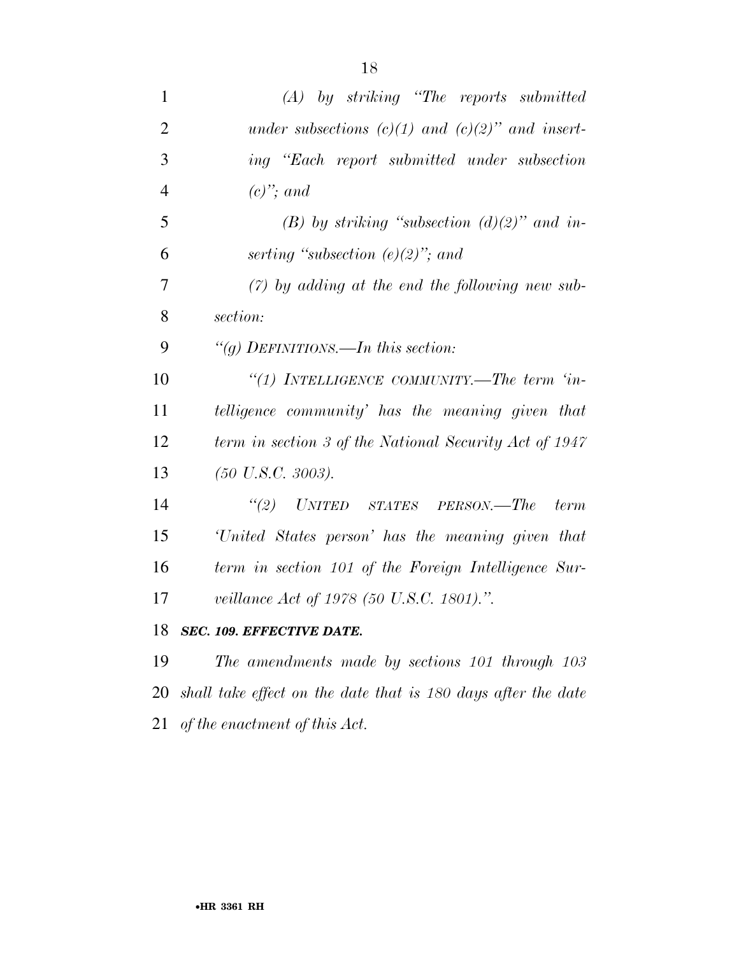| $\mathbf{1}$   | $(A)$ by striking "The reports submitted"                        |
|----------------|------------------------------------------------------------------|
| $\overline{2}$ | under subsections (c)(1) and (c)(2)" and insert-                 |
| 3              | ing "Each report submitted under subsection                      |
| $\overline{4}$ | $(c)$ "; and                                                     |
| 5              | (B) by striking "subsection $(d)(2)$ " and in-                   |
| 6              | serting "subsection $(e)(2)$ "; and                              |
| $\overline{7}$ | $(7)$ by adding at the end the following new sub-                |
| 8              | section:                                                         |
| 9              | "( <i>a</i> ) DEFINITIONS.—In this section:                      |
| 10             | "(1) INTELLIGENCE COMMUNITY.—The term 'in-                       |
| 11             | telligence community' has the meaning given that                 |
| 12             | term in section 3 of the National Security Act of 1947           |
| 13             | $(50 \text{ U.S. C. } 3003).$                                    |
| 14             | "(2) UNITED STATES PERSON.—The term                              |
| 15             | 'United States person' has the meaning given that                |
| 16             | term in section 101 of the Foreign Intelligence Sur-             |
| 17             | <i>veillance Act of 1978 (50 U.S.C. 1801).</i> ".                |
| 18             | <b>SEC. 109. EFFECTIVE DATE.</b>                                 |
| 19             | The amendments made by sections 101 through 103                  |
|                | 20 shall take effect on the date that is 180 days after the date |

*of the enactment of this Act.*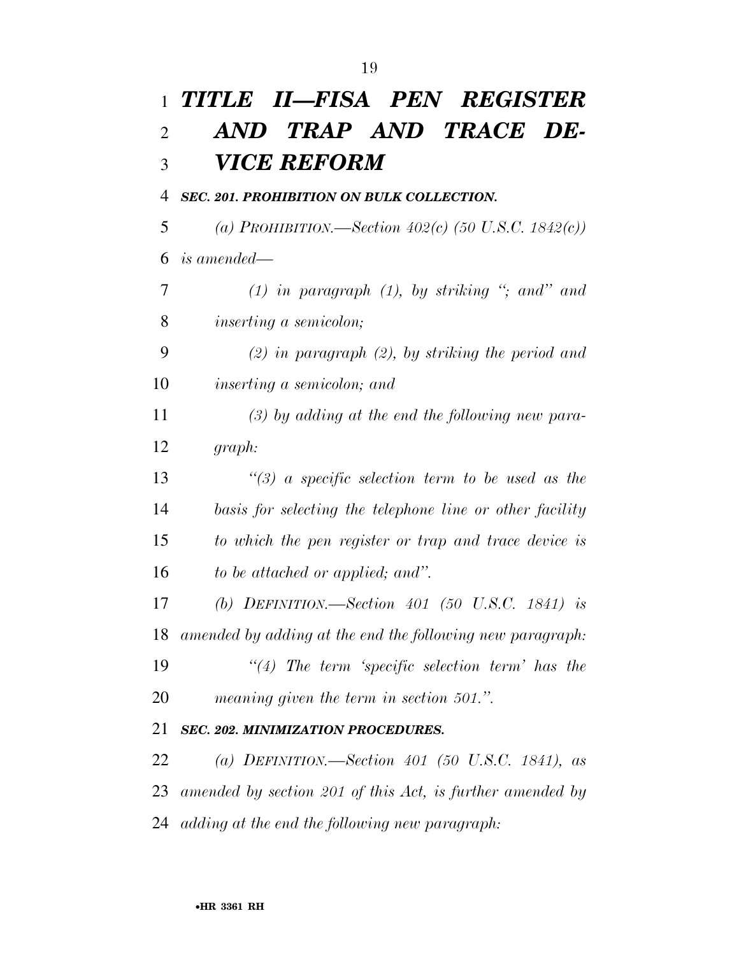| $\mathbf{1}$   | TITLE II—FISA PEN REGISTER                                |
|----------------|-----------------------------------------------------------|
| $\overline{2}$ | AND TRAP AND TRACE DE-                                    |
| 3              | VICE REFORM                                               |
| 4              | SEC. 201. PROHIBITION ON BULK COLLECTION.                 |
| 5              | (a) PROHIBITION.—Section 402(c) (50 U.S.C. 1842(c))       |
| 6              | <i>is amended—</i>                                        |
| 7              | $(1)$ in paragraph $(1)$ , by striking "; and" and        |
| 8              | <i>inserting a semicolon;</i>                             |
| 9              | $(2)$ in paragraph $(2)$ , by striking the period and     |
| 10             | <i>inserting a semicolon; and</i>                         |
| 11             | $(3)$ by adding at the end the following new para-        |
| 12             | graph:                                                    |
| 13             | $\lq(3)$ a specific selection term to be used as the      |
| 14             | basis for selecting the telephone line or other facility  |
| 15             | to which the pen register or trap and trace device is     |
| 16             | to be attached or applied; and".                          |
| 17             | (b) DEFINITION.—Section 401 (50 U.S.C. 1841) is           |
| 18             | amended by adding at the end the following new paragraph: |
| 19             | $\lq(4)$ The term 'specific selection term' has the       |
| 20             | meaning given the term in section 501.".                  |
| 21             | <b>SEC. 202. MINIMIZATION PROCEDURES.</b>                 |
| 22             | (a) DEFINITION.—Section 401 (50 U.S.C. 1841), as          |
| 23             | amended by section 201 of this Act, is further amended by |
| 24             | adding at the end the following new paragraph:            |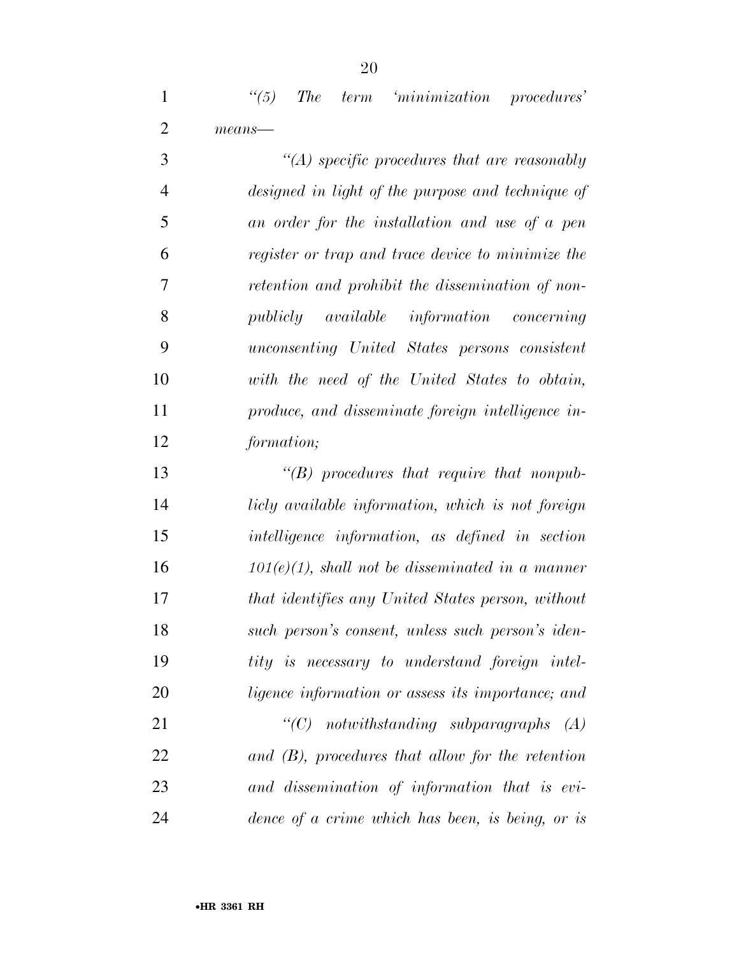*''(5) The term 'minimization procedures' means—* 

 *''(A) specific procedures that are reasonably designed in light of the purpose and technique of an order for the installation and use of a pen register or trap and trace device to minimize the retention and prohibit the dissemination of non- publicly available information concerning unconsenting United States persons consistent with the need of the United States to obtain, produce, and disseminate foreign intelligence in-formation;* 

 *''(B) procedures that require that nonpub- licly available information, which is not foreign intelligence information, as defined in section 101(e)(1), shall not be disseminated in a manner that identifies any United States person, without such person's consent, unless such person's iden- tity is necessary to understand foreign intel- ligence information or assess its importance; and ''(C) notwithstanding subparagraphs (A) and (B), procedures that allow for the retention and dissemination of information that is evi-*

*dence of a crime which has been, is being, or is*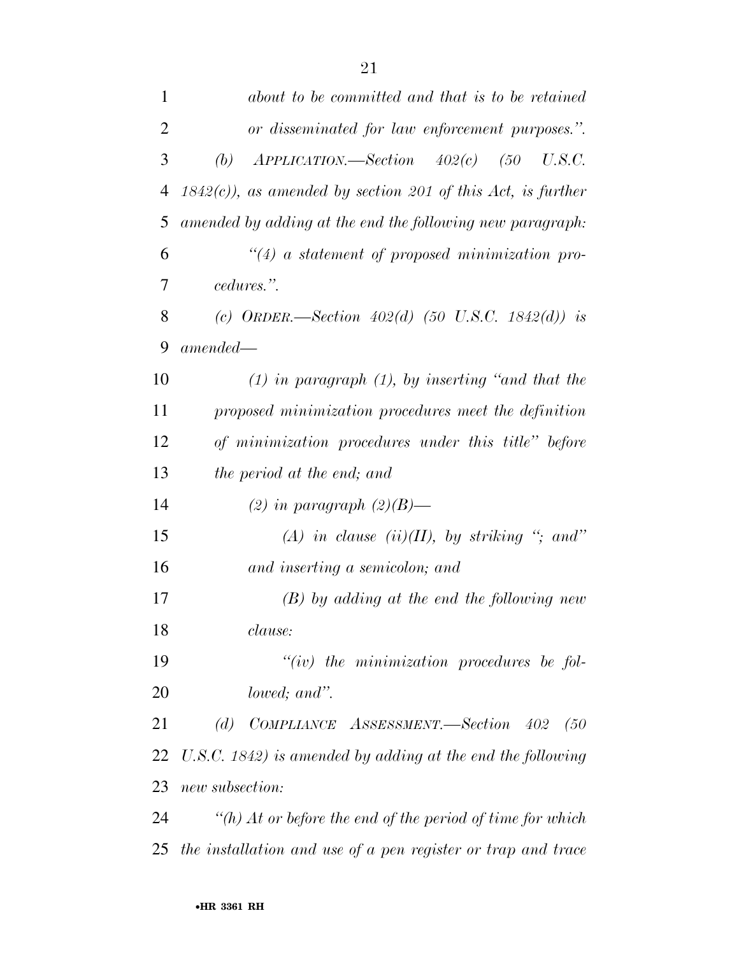| 1              | about to be committed and that is to be retained              |
|----------------|---------------------------------------------------------------|
| $\overline{2}$ | or disseminated for law enforcement purposes.".               |
| 3              | $APPLICATION. \text{—Section}$ $402(c)$ $(50$ $U.S.C.$<br>(b) |
| $\overline{4}$ | $1842(c)$ , as amended by section 201 of this Act, is further |
| 5              | amended by adding at the end the following new paragraph:     |
| 6              | $\lq(4)$ a statement of proposed minimization pro-            |
| 7              | cedures.".                                                    |
| 8              | (c) ORDER.—Section $402(d)$ (50 U.S.C. 1842(d)) is            |
| 9              | $amended-$                                                    |
| 10             | $(1)$ in paragraph $(1)$ , by inserting "and that the         |
| 11             | proposed minimization procedures meet the definition          |
| 12             | of minimization procedures under this title" before           |
| 13             | the period at the end; and                                    |
| 14             | (2) in paragraph $(2)(B)$ —                                   |
| 15             | (A) in clause (ii)(II), by striking "; and"                   |
| 16             | and inserting a semicolon; and                                |
| 17             | $(B)$ by adding at the end the following new                  |
| 18             | clause:                                                       |
| 19             | $``(iv)$ the minimization procedures be fol-                  |
| 20             | lowed; and".                                                  |
| 21             | (d) COMPLIANCE ASSESSMENT.—Section 402<br>(50)                |
| 22             | U.S.C. 1842) is amended by adding at the end the following    |
| 23             | new subsection:                                               |
| 24             | "(h) At or before the end of the period of time for which     |
| 25             | the installation and use of a pen register or trap and trace  |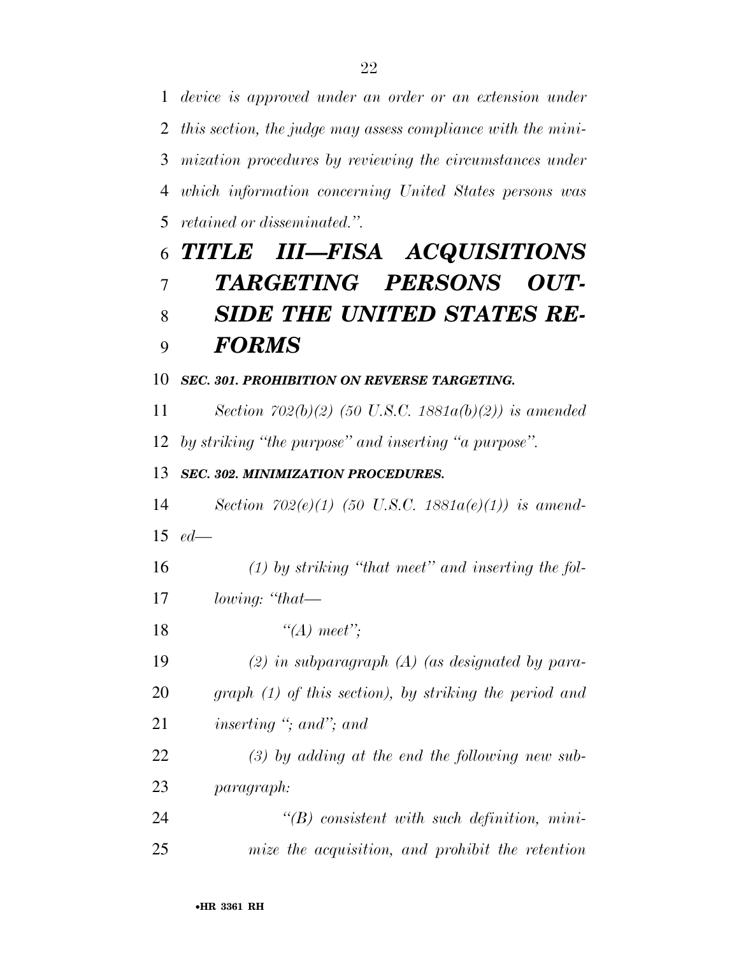*device is approved under an order or an extension under this section, the judge may assess compliance with the mini- mization procedures by reviewing the circumstances under which information concerning United States persons was retained or disseminated.''.* 

# *TITLE III—FISA ACQUISITIONS TARGETING PERSONS OUT- SIDE THE UNITED STATES RE-FORMS*

### *SEC. 301. PROHIBITION ON REVERSE TARGETING.*

 *Section 702(b)(2) (50 U.S.C. 1881a(b)(2)) is amended by striking ''the purpose'' and inserting ''a purpose''.* 

## *SEC. 302. MINIMIZATION PROCEDURES.*

 *Section 702(e)(1) (50 U.S.C. 1881a(e)(1)) is amend-ed—* 

*(1) by striking ''that meet'' and inserting the fol-*

*lowing: ''that—* 

*''(A) meet'';* 

 *(2) in subparagraph (A) (as designated by para- graph (1) of this section), by striking the period and inserting ''; and''; and* 

 *(3) by adding at the end the following new sub-paragraph:* 

 *''(B) consistent with such definition, mini-mize the acquisition, and prohibit the retention*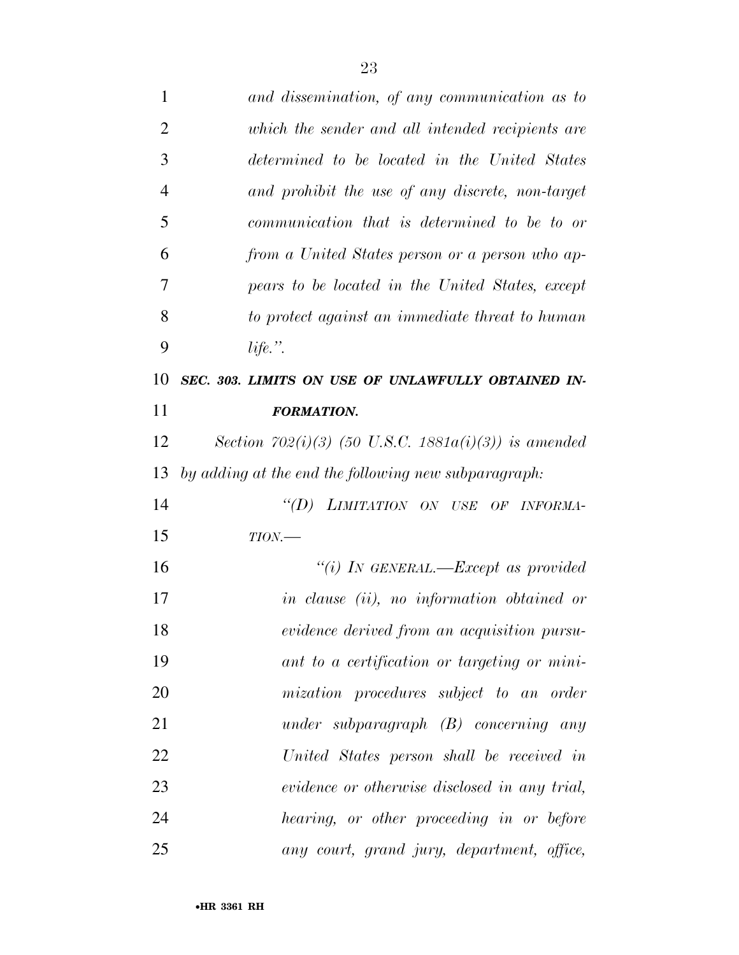| $\mathbf{1}$   | and dissemination, of any communication as to            |
|----------------|----------------------------------------------------------|
| $\overline{2}$ | which the sender and all intended recipients are         |
| 3              | determined to be located in the United States            |
| 4              | and prohibit the use of any discrete, non-target         |
| 5              | communication that is determined to be to or             |
| 6              | from a United States person or a person who ap-          |
| 7              | pears to be located in the United States, except         |
| 8              | to protect against an immediate threat to human          |
| 9              | life.".                                                  |
| 10             | SEC. 303. LIMITS ON USE OF UNLAWFULLY OBTAINED IN-       |
| 11             | <b>FORMATION.</b>                                        |
| 12             | Section 702(i)(3) (50 U.S.C. 1881 $a(i)(3)$ ) is amended |
| 13             | by adding at the end the following new subparagraph:     |
| 14             | "(D) LIMITATION ON USE OF INFORMA-                       |
| 15             | $TION$ —                                                 |
| 16             | "(i) IN GENERAL.—Except as provided                      |
| 17             | in clause (ii), no information obtained or               |
| 18             | evidence derived from an acquisition pursu-              |
| 19             | ant to a certification or targeting or mini-             |
| 20             | mization procedures subject to an order                  |
| 21             | under subparagraph $(B)$ concerning any                  |
| 22             | United States person shall be received in                |
| 23             | evidence or otherwise disclosed in any trial,            |
| 24             | hearing, or other proceeding in or before                |
| 25             | any court, grand jury, department, office,               |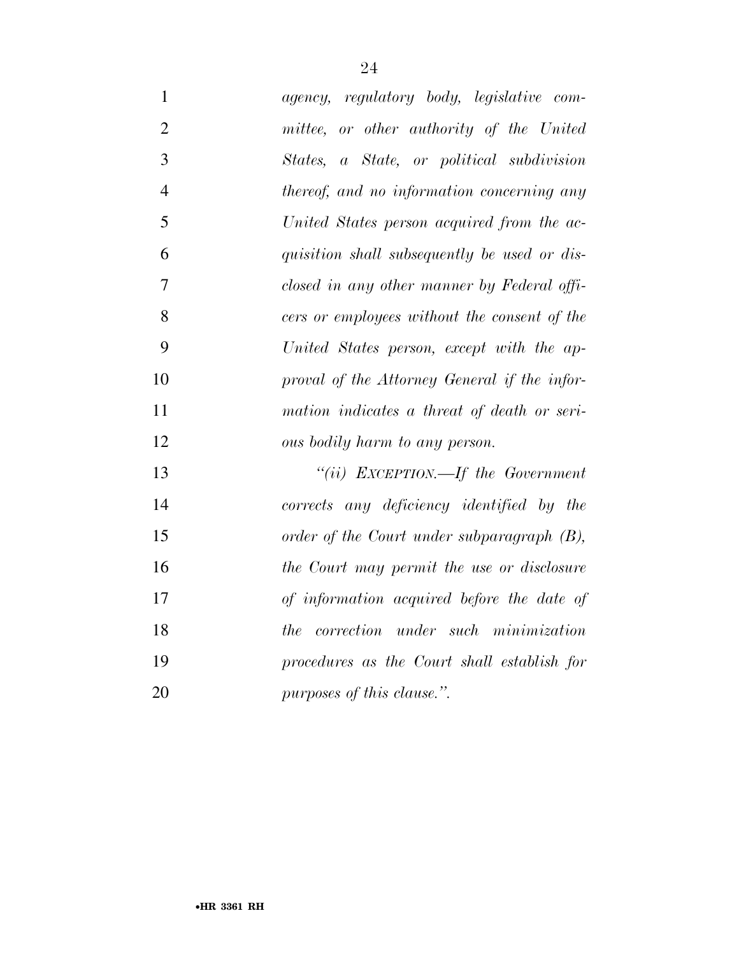| $\mathbf{1}$   | agency, regulatory body, legislative com-    |
|----------------|----------------------------------------------|
| $\overline{2}$ | mittee, or other authority of the United     |
| 3              | States, a State, or political subdivision    |
| $\overline{4}$ | thereof, and no information concerning any   |
| 5              | United States person acquired from the ac-   |
| 6              | quisition shall subsequently be used or dis- |
| $\overline{7}$ | closed in any other manner by Federal offi-  |
| 8              | cers or employees without the consent of the |
| 9              | United States person, except with the ap-    |
| 10             | proval of the Attorney General if the infor- |
| 11             | mation indicates a threat of death or seri-  |
| 12             | ous bodily harm to any person.               |
| 13             | "(ii) EXCEPTION.—If the Government           |
| 14             | corrects any deficiency identified by the    |
| 15             | order of the Court under subparagraph (B),   |
| 16             | the Court may permit the use or disclosure   |
| 17             | of information acquired before the date of   |
| 18             | the correction under such minimization       |
| 19             | procedures as the Court shall establish for  |
| 20             | purposes of this clause.".                   |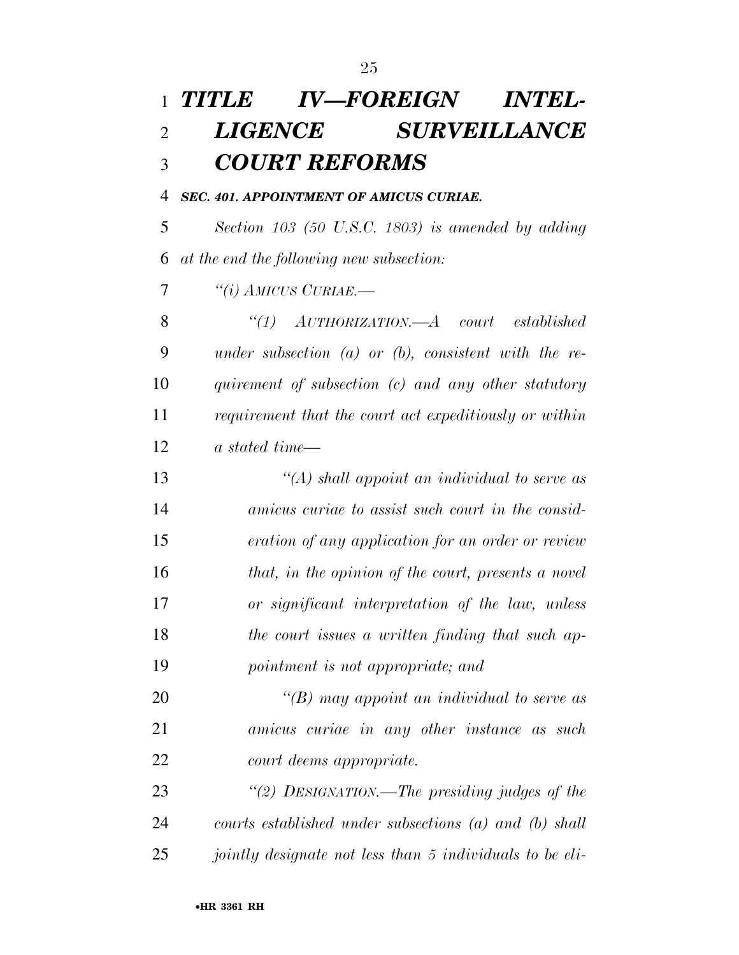# *TITLE IV—FOREIGN INTEL- LIGENCE SURVEILLANCE COURT REFORMS*

*SEC. 401. APPOINTMENT OF AMICUS CURIAE.* 

 *Section 103 (50 U.S.C. 1803) is amended by adding at the end the following new subsection:* 

*''(i) AMICUS CURIAE.—* 

 *''(1) AUTHORIZATION.—A court established under subsection (a) or (b), consistent with the re- quirement of subsection (c) and any other statutory requirement that the court act expeditiously or within a stated time—* 

 *''(A) shall appoint an individual to serve as amicus curiae to assist such court in the consid- eration of any application for an order or review that, in the opinion of the court, presents a novel or significant interpretation of the law, unless the court issues a written finding that such ap-pointment is not appropriate; and* 

 *''(B) may appoint an individual to serve as amicus curiae in any other instance as such court deems appropriate.* 

 *''(2) DESIGNATION.—The presiding judges of the courts established under subsections (a) and (b) shall jointly designate not less than 5 individuals to be eli-*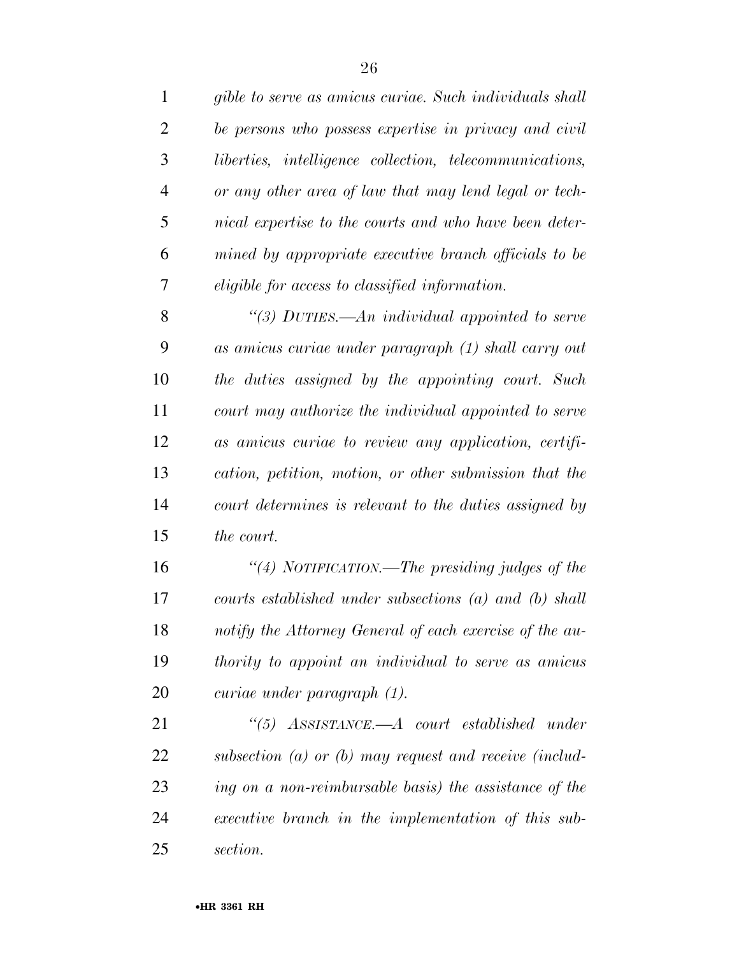| $\mathbf{1}$   | gible to serve as amicus curiae. Such individuals shall        |
|----------------|----------------------------------------------------------------|
| $\overline{2}$ | be persons who possess expertise in privacy and civil          |
| 3              | <i>liberties, intelligence collection, telecommunications,</i> |
| 4              | or any other area of law that may lend legal or tech-          |
| 5              | nical expertise to the courts and who have been deter-         |
| 6              | mined by appropriate executive branch officials to be          |
| 7              | eligible for access to classified information.                 |
| 8              | "(3) DUTIES.—An individual appointed to serve                  |
| 9              | as amicus curiae under paragraph (1) shall carry out           |
| 10             | the duties assigned by the appointing court. Such              |
| 11             | court may authorize the individual appointed to serve          |
| 12             | as amicus curiae to review any application, certifi-           |
| 13             | cation, petition, motion, or other submission that the         |
| 14             | court determines is relevant to the duties assigned by         |
| 15             | the court.                                                     |
| 16             | "(4) NOTIFICATION.—The presiding judges of the                 |
|                |                                                                |

 *courts established under subsections (a) and (b) shall notify the Attorney General of each exercise of the au- thority to appoint an individual to serve as amicus curiae under paragraph (1).* 

 *''(5) ASSISTANCE.—A court established under subsection (a) or (b) may request and receive (includ- ing on a non-reimbursable basis) the assistance of the executive branch in the implementation of this sub-section.*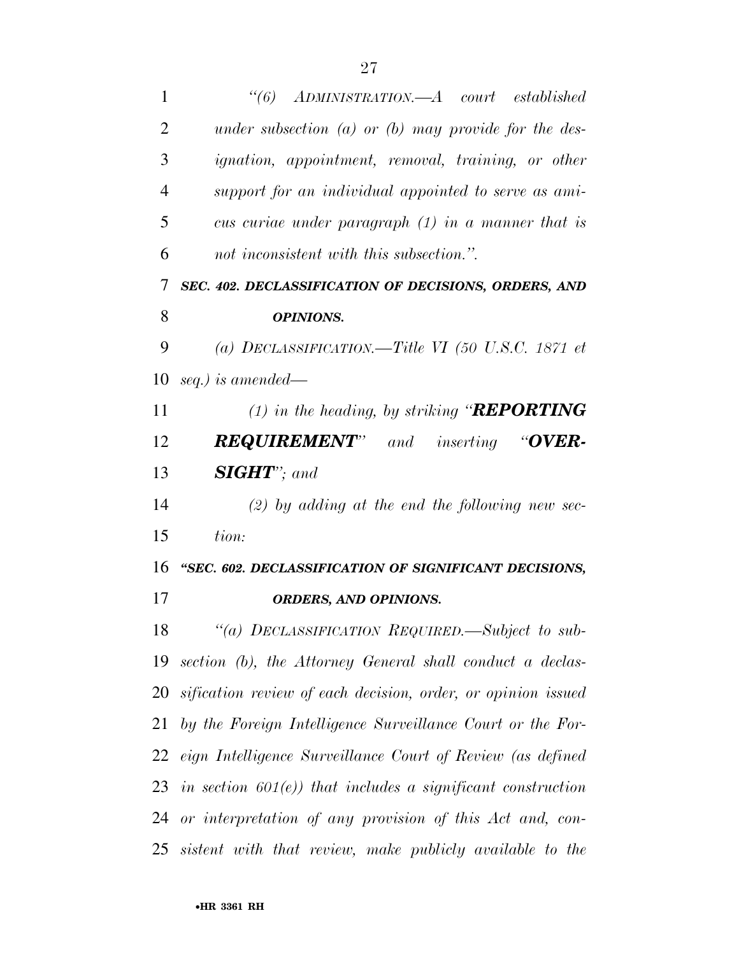| 1              | $\degree(6)$<br>ADMINISTRATION.—A court established                                       |
|----------------|-------------------------------------------------------------------------------------------|
| $\overline{2}$ | under subsection $(a)$ or $(b)$ may provide for the des-                                  |
| 3              | <i>ignation</i> , <i>appointment</i> , <i>removal</i> , <i>training</i> , <i>or other</i> |
| $\overline{4}$ | support for an individual appointed to serve as ami-                                      |
| 5              | cus curiae under paragraph $(1)$ in a manner that is                                      |
| 6              | not inconsistent with this subsection.".                                                  |
| 7              | SEC. 402. DECLASSIFICATION OF DECISIONS, ORDERS, AND                                      |
| 8              | <b>OPINIONS.</b>                                                                          |
| 9              | (a) DECLASSIFICATION.—Title VI (50 U.S.C. 1871 et                                         |
| 10             | seq.) is amended—                                                                         |
| 11             | $(1)$ in the heading, by striking " <b>REPORTING</b>                                      |
| 12             | <b>REQUIREMENT"</b><br>and inserting "OVER-                                               |
| 13             | <b>SIGHT</b> "; and                                                                       |
| 14             | $(2)$ by adding at the end the following new sec-                                         |
| 15             | tion:                                                                                     |
| 16             | "SEC. 602. DECLASSIFICATION OF SIGNIFICANT DECISIONS,                                     |
| 17             | <b>ORDERS, AND OPINIONS.</b>                                                              |
|                | 18 "(a) DECLASSIFICATION REQUIRED.—Subject to sub-                                        |
| 19             | section (b), the Attorney General shall conduct a declas-                                 |
|                | 20 sification review of each decision, order, or opinion issued                           |
| 21             | by the Foreign Intelligence Surveillance Court or the For-                                |
|                | 22 eign Intelligence Surveillance Court of Review (as defined                             |
|                | 23 in section $601(e)$ ) that includes a significant construction                         |
|                | 24 or interpretation of any provision of this Act and, con-                               |
|                | 25 sistent with that review, make publicly available to the                               |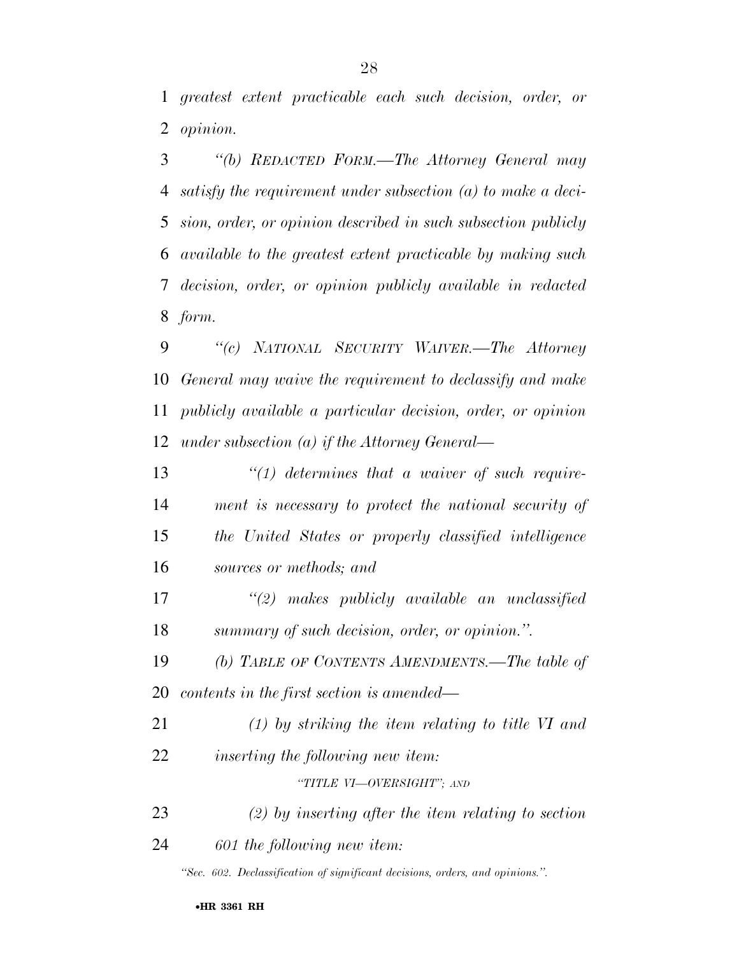*greatest extent practicable each such decision, order, or opinion.* 

 *''(b) REDACTED FORM.—The Attorney General may satisfy the requirement under subsection (a) to make a deci- sion, order, or opinion described in such subsection publicly available to the greatest extent practicable by making such decision, order, or opinion publicly available in redacted form.* 

 *''(c) NATIONAL SECURITY WAIVER.—The Attorney General may waive the requirement to declassify and make publicly available a particular decision, order, or opinion under subsection (a) if the Attorney General—* 

 *''(1) determines that a waiver of such require- ment is necessary to protect the national security of the United States or properly classified intelligence sources or methods; and* 

 *''(2) makes publicly available an unclassified summary of such decision, order, or opinion.''.* 

 *(b) TABLE OF CONTENTS AMENDMENTS.—The table of contents in the first section is amended—* 

 *(1) by striking the item relating to title VI and inserting the following new item:* 

*''TITLE VI—OVERSIGHT''; AND*

*(2) by inserting after the item relating to section* 

*601 the following new item:* 

*''Sec. 602. Declassification of significant decisions, orders, and opinions.''.*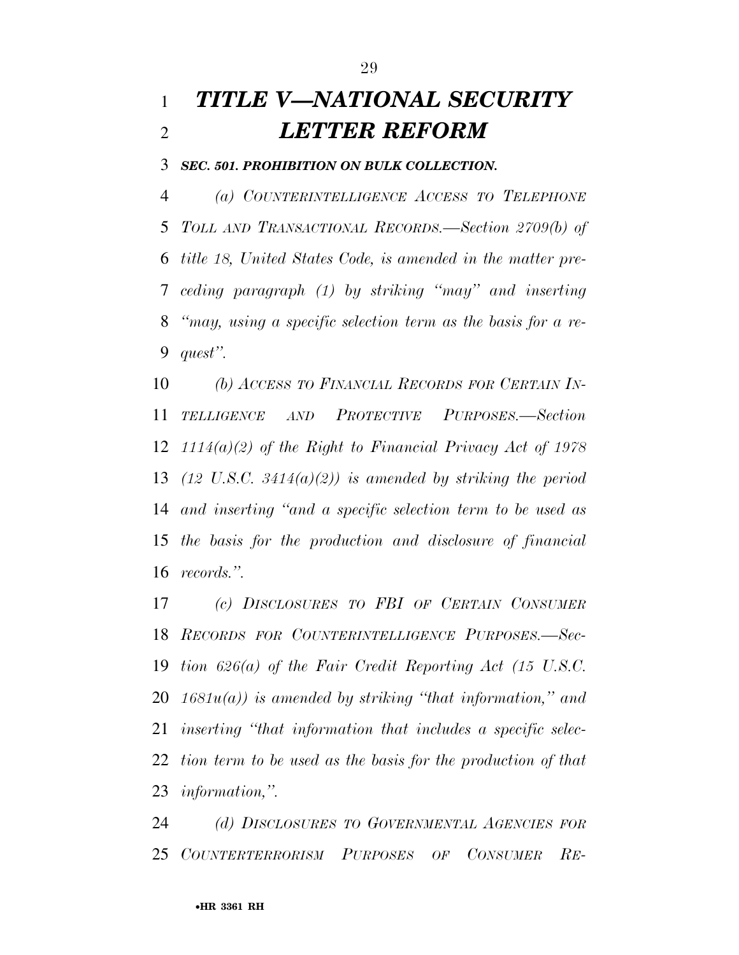# *TITLE V—NATIONAL SECURITY LETTER REFORM*

*SEC. 501. PROHIBITION ON BULK COLLECTION.* 

 *(a) COUNTERINTELLIGENCE ACCESS TO TELEPHONE TOLL AND TRANSACTIONAL RECORDS.—Section 2709(b) of title 18, United States Code, is amended in the matter pre- ceding paragraph (1) by striking ''may'' and inserting ''may, using a specific selection term as the basis for a re-quest''.* 

 *(b) ACCESS TO FINANCIAL RECORDS FOR CERTAIN IN- TELLIGENCE AND PROTECTIVE PURPOSES.—Section 1114(a)(2) of the Right to Financial Privacy Act of 1978 (12 U.S.C. 3414(a)(2)) is amended by striking the period and inserting ''and a specific selection term to be used as the basis for the production and disclosure of financial records.''.* 

 *(c) DISCLOSURES TO FBI OF CERTAIN CONSUMER RECORDS FOR COUNTERINTELLIGENCE PURPOSES.—Sec- tion 626(a) of the Fair Credit Reporting Act (15 U.S.C. 1681u(a)) is amended by striking ''that information,'' and inserting ''that information that includes a specific selec- tion term to be used as the basis for the production of that information,''.* 

 *(d) DISCLOSURES TO GOVERNMENTAL AGENCIES FOR COUNTERTERRORISM PURPOSES OF CONSUMER RE-*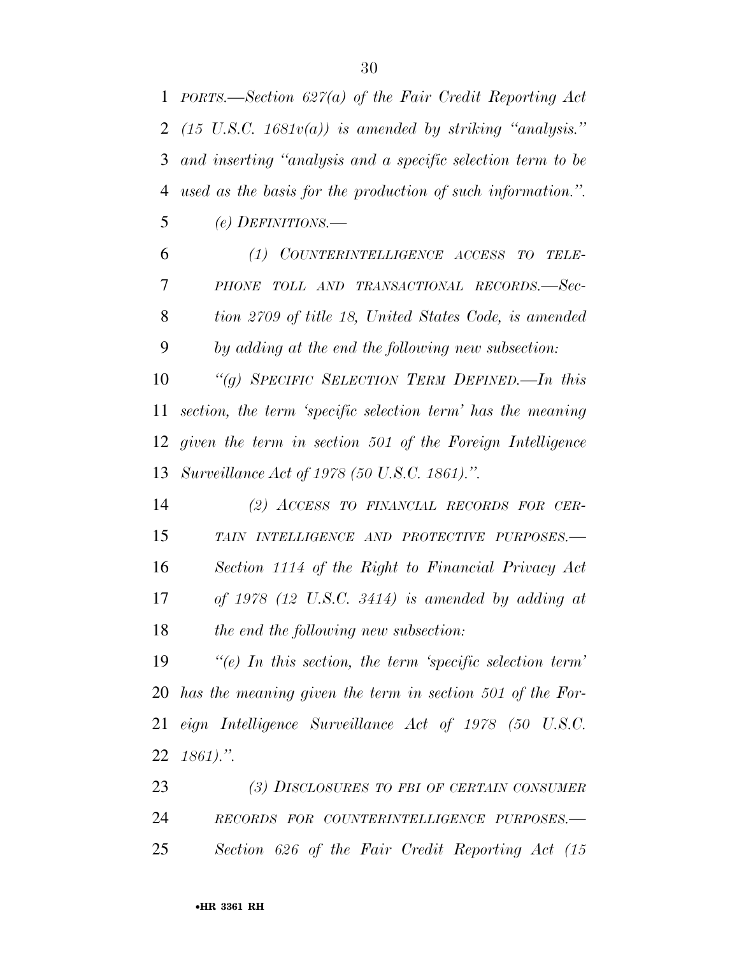*PORTS.—Section 627(a) of the Fair Credit Reporting Act* 

 *(15 U.S.C. 1681v(a)) is amended by striking ''analysis.'' and inserting ''analysis and a specific selection term to be used as the basis for the production of such information.''. (e) DEFINITIONS.— (1) COUNTERINTELLIGENCE ACCESS TO TELE- PHONE TOLL AND TRANSACTIONAL RECORDS.—Sec- tion 2709 of title 18, United States Code, is amended by adding at the end the following new subsection: ''(g) SPECIFIC SELECTION TERM DEFINED.—In this section, the term 'specific selection term' has the meaning given the term in section 501 of the Foreign Intelligence Surveillance Act of 1978 (50 U.S.C. 1861).''. (2) ACCESS TO FINANCIAL RECORDS FOR CER- TAIN INTELLIGENCE AND PROTECTIVE PURPOSES.— Section 1114 of the Right to Financial Privacy Act of 1978 (12 U.S.C. 3414) is amended by adding at the end the following new subsection: ''(e) In this section, the term 'specific selection term' has the meaning given the term in section 501 of the For- eign Intelligence Surveillance Act of 1978 (50 U.S.C. 1861).''. (3) DISCLOSURES TO FBI OF CERTAIN CONSUMER RECORDS FOR COUNTERINTELLIGENCE PURPOSES.— Section 626 of the Fair Credit Reporting Act (15*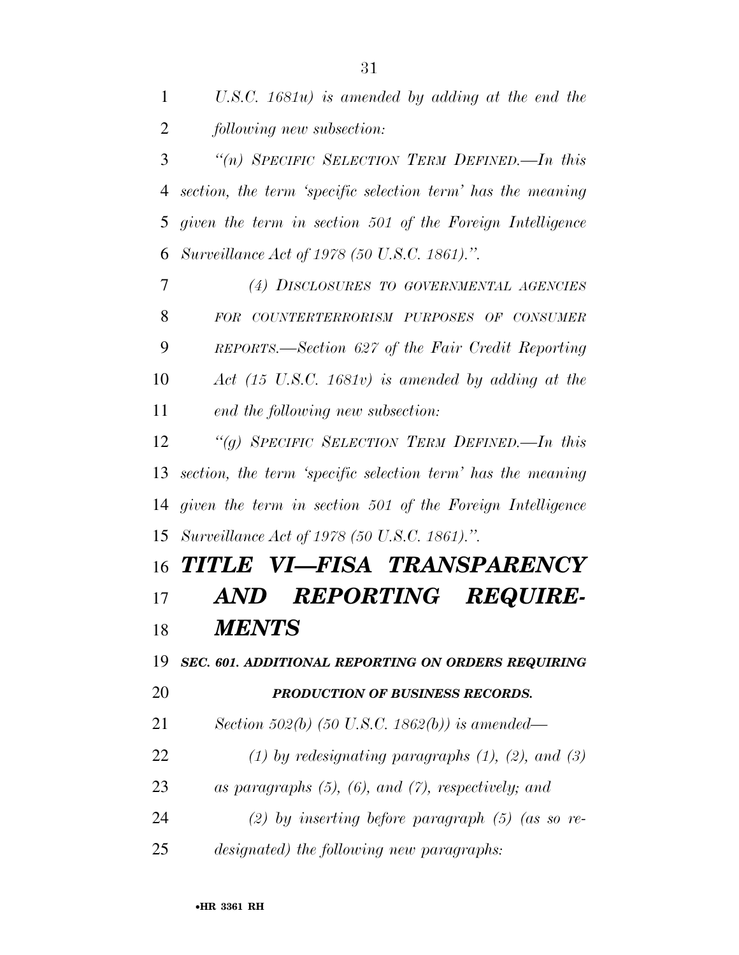*''(n) SPECIFIC SELECTION TERM DEFINED.—In this section, the term 'specific selection term' has the meaning given the term in section 501 of the Foreign Intelligence Surveillance Act of 1978 (50 U.S.C. 1861).''.* 

 *(4) DISCLOSURES TO GOVERNMENTAL AGENCIES FOR COUNTERTERRORISM PURPOSES OF CONSUMER REPORTS.—Section 627 of the Fair Credit Reporting Act (15 U.S.C. 1681v) is amended by adding at the end the following new subsection:* 

 *''(g) SPECIFIC SELECTION TERM DEFINED.—In this section, the term 'specific selection term' has the meaning given the term in section 501 of the Foreign Intelligence Surveillance Act of 1978 (50 U.S.C. 1861).''.* 

# *TITLE VI—FISA TRANSPARENCY AND REPORTING REQUIRE-MENTS*

 *SEC. 601. ADDITIONAL REPORTING ON ORDERS REQUIRING PRODUCTION OF BUSINESS RECORDS.* 

*Section 502(b) (50 U.S.C. 1862(b)) is amended—* 

*(1) by redesignating paragraphs (1), (2), and (3)* 

*as paragraphs (5), (6), and (7), respectively; and* 

*(2) by inserting before paragraph (5) (as so re-*

*designated) the following new paragraphs:*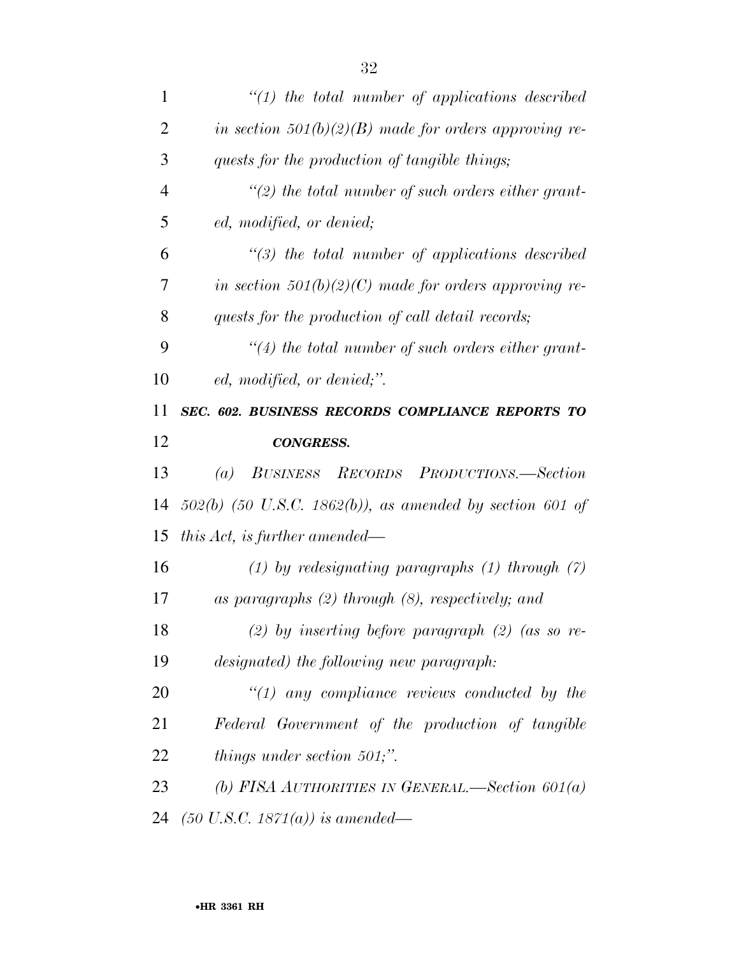| $\mathbf{1}$   | $\lq(1)$ the total number of applications described        |
|----------------|------------------------------------------------------------|
| $\overline{2}$ | in section $501(b)(2)(B)$ made for orders approving re-    |
| 3              | quests for the production of tangible things;              |
| $\overline{4}$ | $\lq(2)$ the total number of such orders either grant-     |
| 5              | ed, modified, or denied;                                   |
| 6              | $\lq(3)$ the total number of applications described        |
| 7              | in section $501(b)(2)(C)$ made for orders approving re-    |
| 8              | quests for the production of call detail records;          |
| 9              | $\lq(4)$ the total number of such orders either grant-     |
| 10             | ed, modified, or denied;".                                 |
| 11             | SEC. 602. BUSINESS RECORDS COMPLIANCE REPORTS TO           |
|                |                                                            |
| 12             | <b>CONGRESS.</b>                                           |
| 13             | BUSINESS RECORDS PRODUCTIONS.—Section<br>(a)               |
| 14             | $502(b)$ (50 U.S.C. 1862(b)), as amended by section 601 of |
| 15             | this Act, is further amended—                              |
| 16             | $(1)$ by redesignating paragraphs $(1)$ through $(7)$      |
| 17             | as paragraphs $(2)$ through $(8)$ , respectively; and      |
| 18             | (2) by inserting before paragraph (2) (as so re-           |
| 19             | designated) the following new paragraph:                   |
| 20             | $\lq(1)$ any compliance reviews conducted by the           |
| 21             | Federal Government of the production of tangible           |
| 22             | things under section $501$ ;".                             |
| 23             | (b) FISA AUTHORITIES IN GENERAL.—Section $601(a)$          |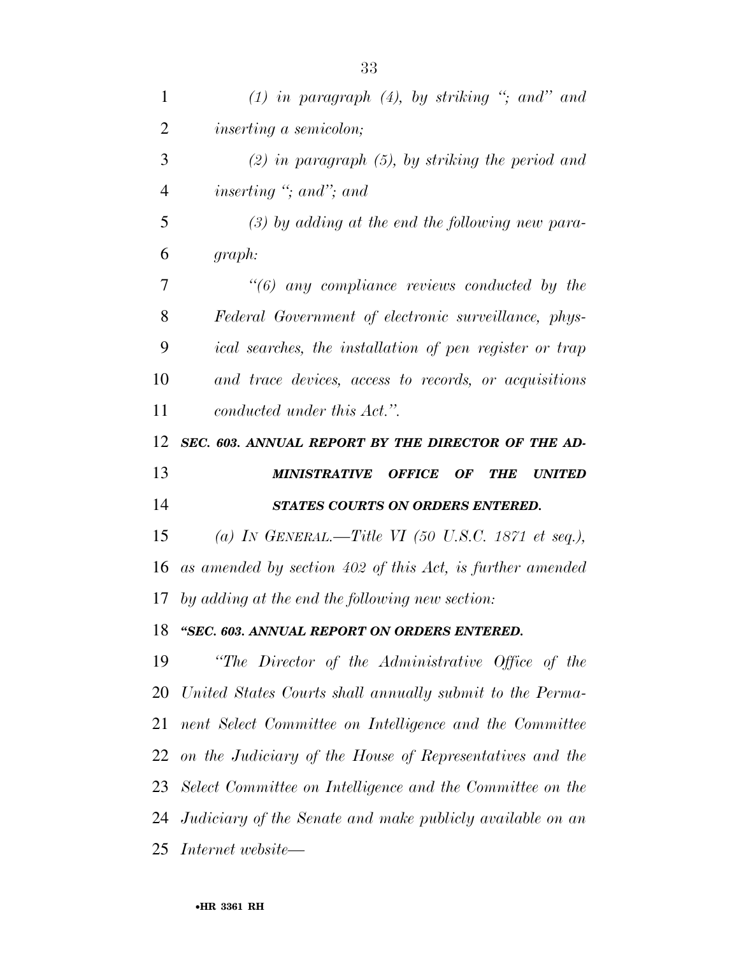| 1              | $(1)$ in paragraph $(4)$ , by striking "; and" and                     |
|----------------|------------------------------------------------------------------------|
| $\overline{2}$ | <i>inserting a semicolon;</i>                                          |
| 3              | $(2)$ in paragraph $(5)$ , by striking the period and                  |
| $\overline{4}$ | inserting $\degree$ ; and $\degree$ ; and                              |
| 5              | $(3)$ by adding at the end the following new para-                     |
| 6              | graph:                                                                 |
| 7              | $\lq(6)$ any compliance reviews conducted by the                       |
| 8              | Federal Government of electronic surveillance, phys-                   |
| 9              | ical searches, the installation of pen register or trap                |
| 10             | and trace devices, access to records, or acquisitions                  |
| 11             | conducted under this Act.".                                            |
| 12             | SEC. 603. ANNUAL REPORT BY THE DIRECTOR OF THE AD-                     |
|                |                                                                        |
| 13             | <b>MINISTRATIVE OFFICE</b><br><b>OF</b><br><b>THE</b><br><b>UNITED</b> |
| 14             | STATES COURTS ON ORDERS ENTERED.                                       |
| 15             | (a) IN GENERAL.—Title VI (50 U.S.C. 1871 et seq.),                     |
| 16             | as amended by section 402 of this Act, is further amended              |
| 17             | by adding at the end the following new section:                        |
| 18             | "SEC. 603. ANNUAL REPORT ON ORDERS ENTERED                             |
| 19             | "The Director of the Administrative Office of the                      |
|                | 20 United States Courts shall annually submit to the Perma-            |
| 21             | nent Select Committee on Intelligence and the Committee                |
|                | 22 on the Judiciary of the House of Representatives and the            |
|                | 23 Select Committee on Intelligence and the Committee on the           |
|                | 24 Judiciary of the Senate and make publicly available on an           |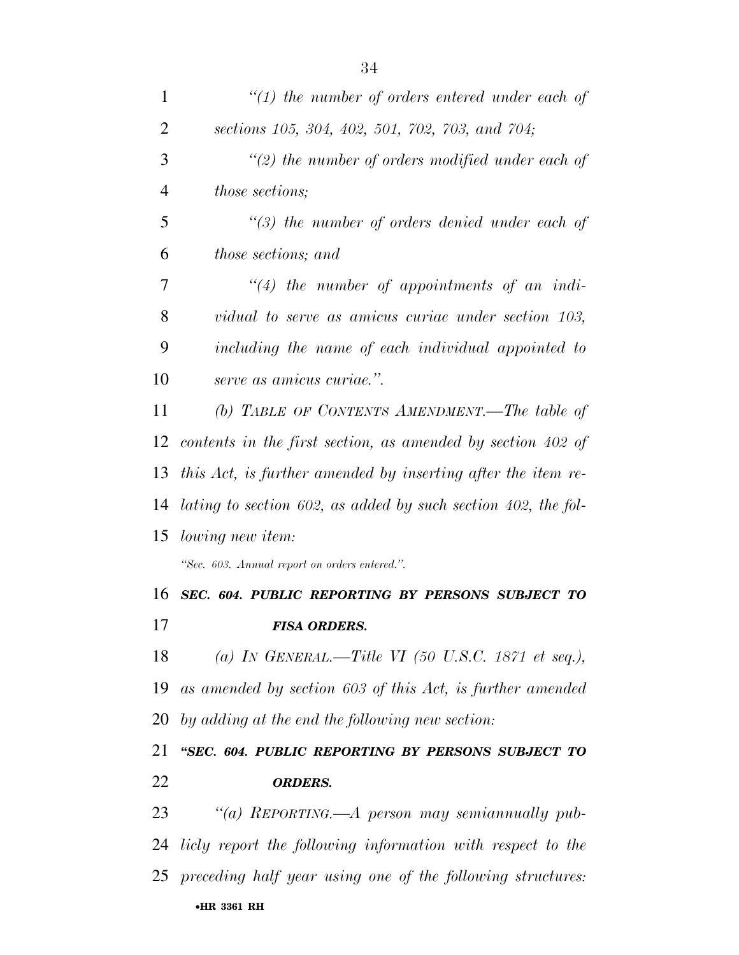| $\mathbf{1}$   | $\lq(1)$ the number of orders entered under each of           |
|----------------|---------------------------------------------------------------|
| $\overline{2}$ | sections 105, 304, 402, 501, 702, 703, and 704;               |
| 3              | $\lq(2)$ the number of orders modified under each of          |
| $\overline{4}$ | <i>those sections;</i>                                        |
| 5              | $\lq(3)$ the number of orders denied under each of            |
| 6              | those sections; and                                           |
| 7              | $\lq(4)$ the number of appointments of an indi-               |
| 8              | vidual to serve as amicus curiae under section 103,           |
| 9              | including the name of each individual appointed to            |
| 10             | serve as amicus curiae.".                                     |
| 11             | (b) TABLE OF CONTENTS AMENDMENT.—The table of                 |
| 12             | contents in the first section, as amended by section 402 of   |
| 13             | this Act, is further amended by inserting after the item re-  |
| 14             | lating to section 602, as added by such section 402, the fol- |
| 15             | <i>lowing new item:</i>                                       |
|                | "Sec. 603. Annual report on orders entered.".                 |
| 16             | SEC. 604. PUBLIC REPORTING BY PERSONS SUBJECT TO              |
| 17             | <b>FISA ORDERS.</b>                                           |
| 18             | (a) IN GENERAL.—Title VI (50 U.S.C. 1871 et seq.),            |
| 19             | as amended by section 603 of this Act, is further amended     |
| 20             | by adding at the end the following new section:               |
| 21             | "SEC. 604. PUBLIC REPORTING BY PERSONS SUBJECT TO             |
| 22             | <b>ORDERS.</b>                                                |
| 23             | "(a) REPORTING.—A person may semian nually pub-               |
| 24             | licly report the following information with respect to the    |
| 25             | preceding half year using one of the following structures:    |
|                | •HR 3361 RH                                                   |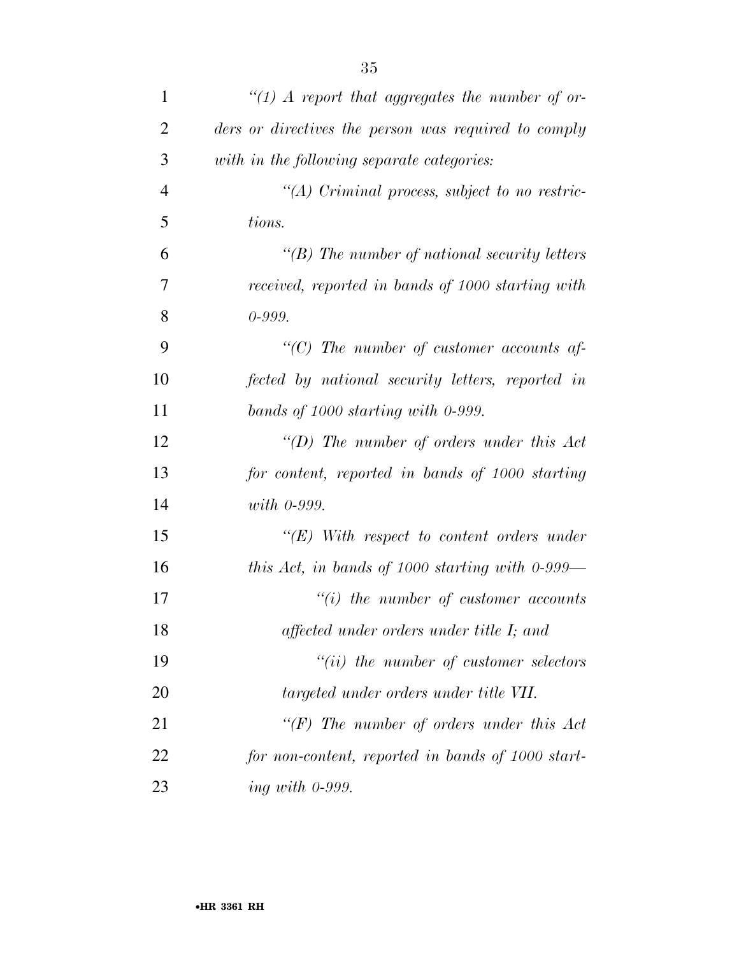| $\mathbf{1}$   | $\lq (1)$ A report that aggregates the number of or- |
|----------------|------------------------------------------------------|
| $\overline{2}$ | ders or directives the person was required to comply |
| 3              | with in the following separate categories:           |
| $\overline{4}$ | $\lq (A)$ Criminal process, subject to no restric-   |
| 5              | tions.                                               |
| 6              | $\lq\lq(B)$ The number of national security letters  |
| $\overline{7}$ | received, reported in bands of 1000 starting with    |
| 8              | $0 - 999.$                                           |
| 9              | "(C) The number of customer accounts af-             |
| 10             | fected by national security letters, reported in     |
| 11             | bands of 1000 starting with 0-999.                   |
| 12             | "(D) The number of orders under this $Act$           |
| 13             | for content, reported in bands of 1000 starting      |
| 14             | <i>with</i> 0-999.                                   |
| 15             | $\lq\lq (E)$ With respect to content orders under    |
| 16             | this Act, in bands of 1000 starting with $0-999$ —   |
| 17             | $\lq\lq(i)$ the number of customer accounts          |
| 18             | affected under orders under title I; and             |
| 19             | $``(ii)$ the number of customer selectors            |
| 20             | targeted under orders under title VII.               |
| 21             | " $(F)$ The number of orders under this Act          |
| 22             | for non-content, reported in bands of 1000 start-    |
| 23             | ing with $0-999$ .                                   |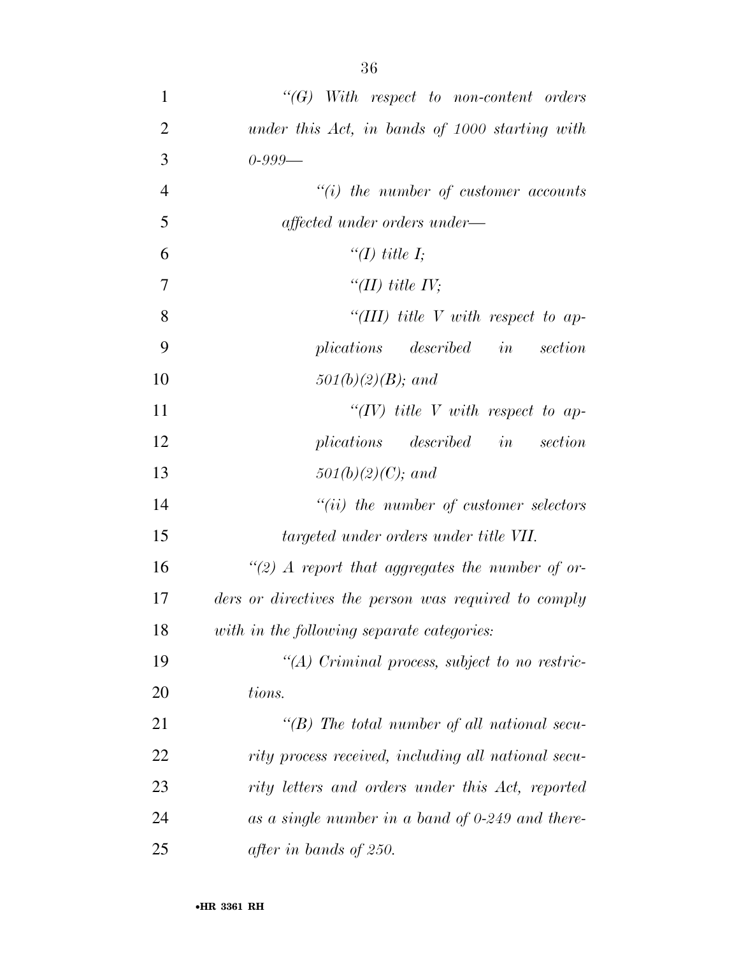| $\mathbf{1}$   | $\lq\lq G$ With respect to non-content orders        |
|----------------|------------------------------------------------------|
| $\overline{2}$ | under this Act, in bands of 1000 starting with       |
| 3              | $0 - 999 -$                                          |
| $\overline{4}$ | $"(i)$ the number of customer accounts               |
| 5              | affected under orders under—                         |
| 6              | "(I) title I;                                        |
| 7              | "(II) title $IV$ ;                                   |
| 8              | "(III) title V with respect to ap-                   |
| 9              | plications described in<br>section                   |
| 10             | $501(b)(2)(B)$ ; and                                 |
| 11             | "(IV) title V with respect to ap-                    |
| 12             | plications described in<br>section                   |
| 13             | $501(b)(2)(C)$ ; and                                 |
| 14             | $``(ii)$ the number of customer selectors            |
| 15             | targeted under orders under title VII.               |
| 16             | "(2) A report that aggregates the number of or-      |
| 17             | ders or directives the person was required to comply |
| 18             | with in the following separate categories:           |
| 19             | "(A) Criminal process, subject to no restric-        |
| 20             | tions.                                               |
| 21             | "(B) The total number of all national secu-          |
| 22             | rity process received, including all national secu-  |
| 23             | rity letters and orders under this Act, reported     |
| 24             | as a single number in a band of $0-249$ and there-   |
| 25             | after in bands of 250.                               |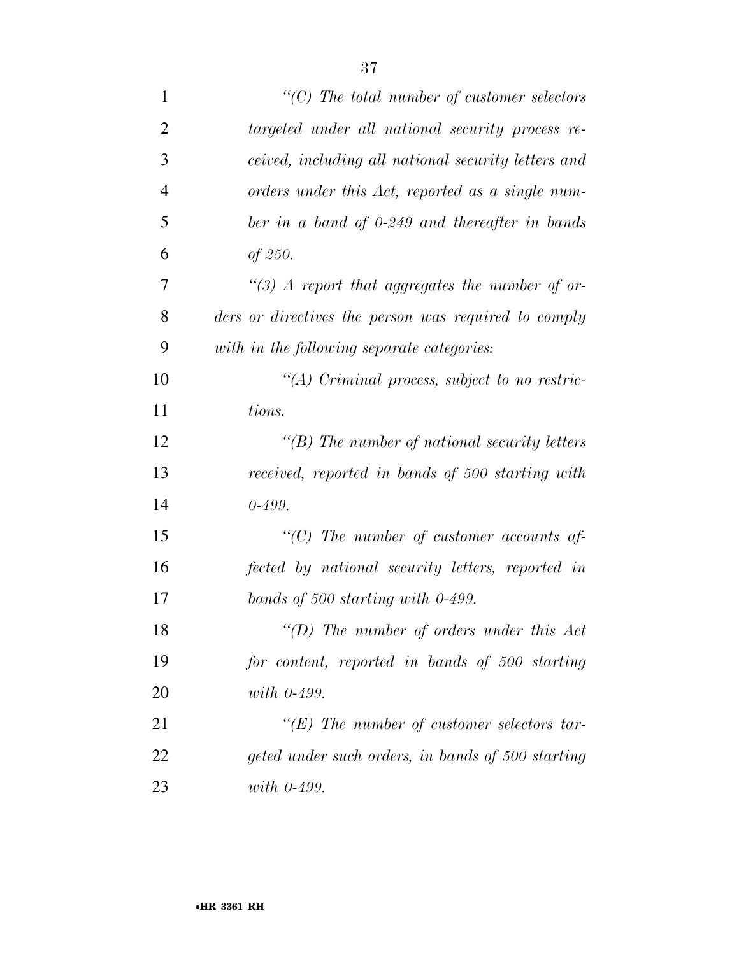| $\mathbf{1}$   | $\lq\lq C$ ) The total number of customer selectors  |
|----------------|------------------------------------------------------|
| $\overline{2}$ | targeted under all national security process re-     |
| 3              | ceived, including all national security letters and  |
| $\overline{4}$ | orders under this Act, reported as a single num-     |
| 5              | ber in a band of 0-249 and thereafter in bands       |
| 6              | of $250$ .                                           |
| 7              | $\lq(3)$ A report that aggregates the number of or-  |
| 8              | ders or directives the person was required to comply |
| 9              | with in the following separate categories:           |
| 10             | $\lq (A)$ Criminal process, subject to no restric-   |
| 11             | tions.                                               |
| 12             | $\lq\lq(B)$ The number of national security letters  |
| 13             | received, reported in bands of 500 starting with     |
| 14             | $0 - 499.$                                           |
| 15             | "(C) The number of customer accounts af-             |
| 16             | fected by national security letters, reported in     |
| 17             | bands of 500 starting with $0-499$ .                 |
| 18             | $\lq\lq$ (D) The number of orders under this Act     |
| 19             | for content, reported in bands of 500 starting       |
| 20             | with $0-499$ .                                       |
| 21             | $\lq\lq(E)$ The number of customer selectors tar-    |
| 22             | geted under such orders, in bands of 500 starting    |
| 23             | with $0-499$ .                                       |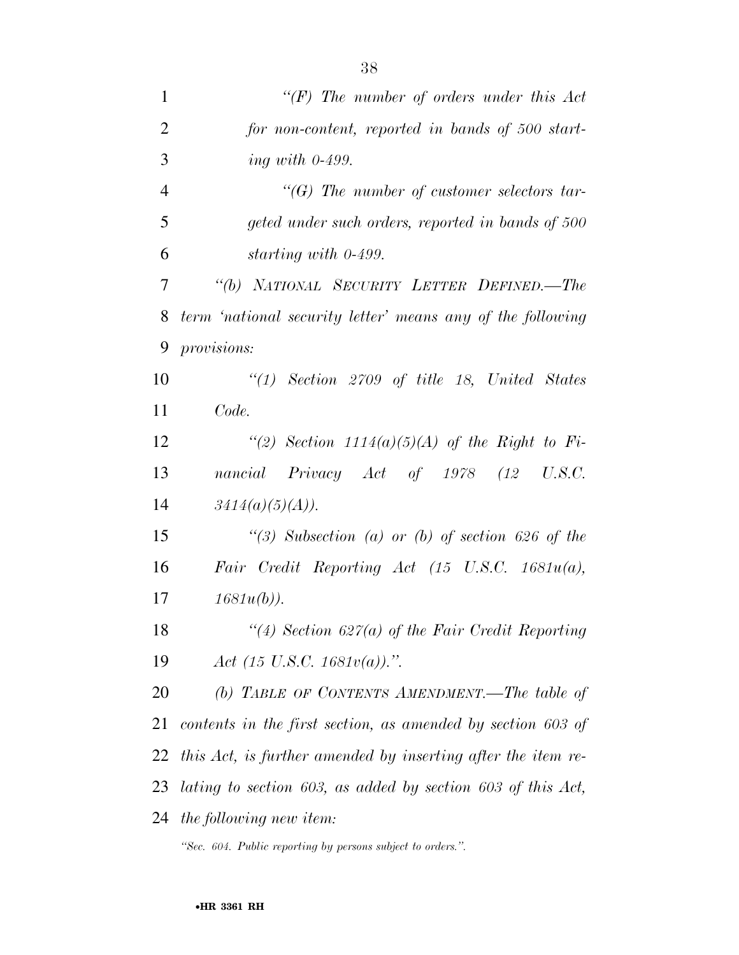| $\mathbf{1}$   | " $(F)$ The number of orders under this Act                    |
|----------------|----------------------------------------------------------------|
| $\overline{2}$ | for non-content, reported in bands of 500 start-               |
| 3              | ing with $0-499$ .                                             |
| $\overline{4}$ | $\lq\lq G$ The number of customer selectors tar-               |
| 5              | geted under such orders, reported in bands of 500              |
| 6              | starting with 0-499.                                           |
| 7              | "(b) NATIONAL SECURITY LETTER DEFINED.-The                     |
| 8              | term 'national security letter' means any of the following     |
| 9              | provisions:                                                    |
| 10             | $\lq(1)$ Section 2709 of title 18, United States               |
| 11             | Code.                                                          |
| 12             | "(2) Section $1114(a)(5)(A)$ of the Right to Fi-               |
| 13             | nancial Privacy Act of 1978 (12 U.S.C.                         |
| 14             | $3414(a)(5)(A)$ ).                                             |
| 15             | "(3) Subsection (a) or (b) of section 626 of the               |
| 16             | Fair Credit Reporting Act $(15 \text{ U.S.C. } 1681u(a)),$     |
| 17             | $1681u(b)$ ).                                                  |
| 18             | "(4) Section 627(a) of the Fair Credit Reporting               |
| 19             | Act (15 U.S.C. 1681 $v(a)$ ).".                                |
| 20             | (b) TABLE OF CONTENTS AMENDMENT.—The table of                  |
| 21             | contents in the first section, as amended by section 603 of    |
| 22             | this Act, is further amended by inserting after the item re-   |
| 23             | lating to section 603, as added by section 603 of this $Act$ , |
|                | 24 the following new item:                                     |

*''Sec. 604. Public reporting by persons subject to orders.''.*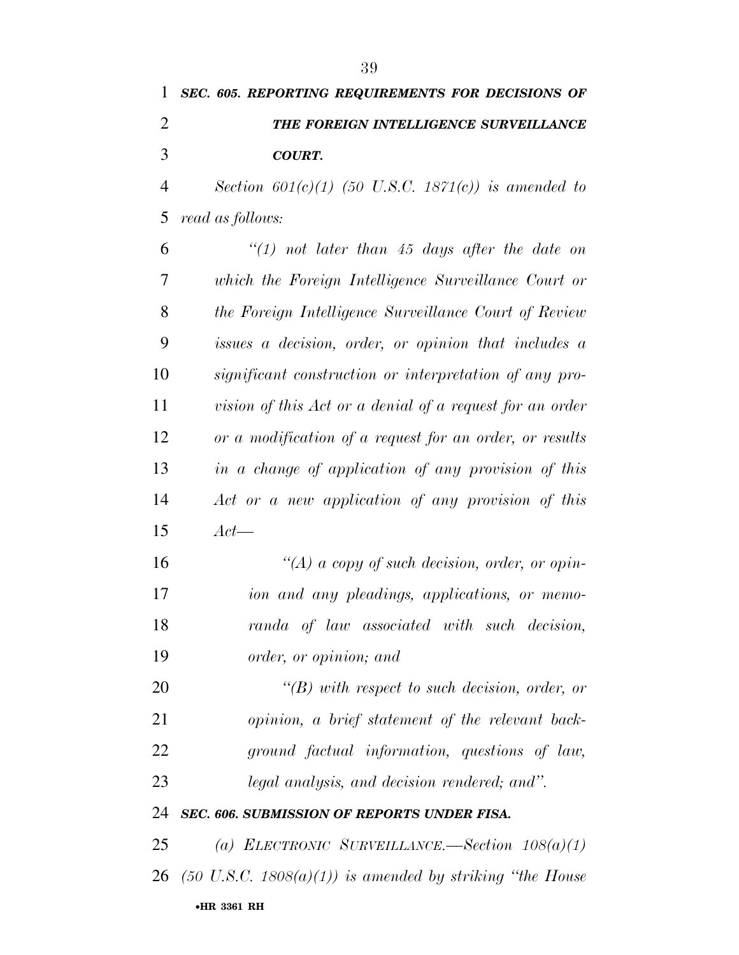# *SEC. 605. REPORTING REQUIREMENTS FOR DECISIONS OF THE FOREIGN INTELLIGENCE SURVEILLANCE COURT.*

 *Section 601(c)(1) (50 U.S.C. 1871(c)) is amended to read as follows:* 

 *''(1) not later than 45 days after the date on which the Foreign Intelligence Surveillance Court or the Foreign Intelligence Surveillance Court of Review issues a decision, order, or opinion that includes a significant construction or interpretation of any pro- vision of this Act or a denial of a request for an order or a modification of a request for an order, or results in a change of application of any provision of this Act or a new application of any provision of this Act—* 

 *''(A) a copy of such decision, order, or opin- ion and any pleadings, applications, or memo- randa of law associated with such decision, order, or opinion; and* 

 *''(B) with respect to such decision, order, or opinion, a brief statement of the relevant back- ground factual information, questions of law, legal analysis, and decision rendered; and''.* 

## *SEC. 606. SUBMISSION OF REPORTS UNDER FISA.*

•**HR 3361 RH** *(a) ELECTRONIC SURVEILLANCE.—Section 108(a)(1) (50 U.S.C. 1808(a)(1)) is amended by striking ''the House*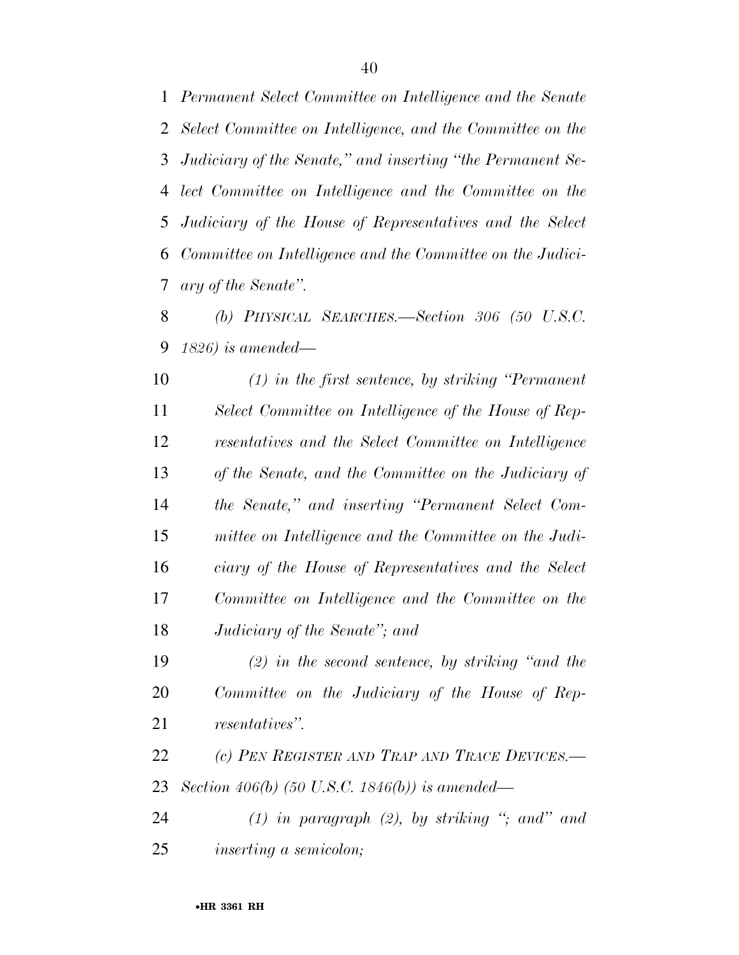*Permanent Select Committee on Intelligence and the Senate Select Committee on Intelligence, and the Committee on the Judiciary of the Senate,'' and inserting ''the Permanent Se- lect Committee on Intelligence and the Committee on the Judiciary of the House of Representatives and the Select Committee on Intelligence and the Committee on the Judici-ary of the Senate''.* 

 *(b) PHYSICAL SEARCHES.—Section 306 (50 U.S.C. 1826) is amended—* 

 *(1) in the first sentence, by striking ''Permanent Select Committee on Intelligence of the House of Rep- resentatives and the Select Committee on Intelligence of the Senate, and the Committee on the Judiciary of the Senate,'' and inserting ''Permanent Select Com- mittee on Intelligence and the Committee on the Judi- ciary of the House of Representatives and the Select Committee on Intelligence and the Committee on the Judiciary of the Senate''; and* 

 *(2) in the second sentence, by striking ''and the Committee on the Judiciary of the House of Rep-resentatives''.* 

 *(c) PEN REGISTER AND TRAP AND TRACE DEVICES.— Section 406(b) (50 U.S.C. 1846(b)) is amended—* 

 *(1) in paragraph (2), by striking ''; and'' and inserting a semicolon;*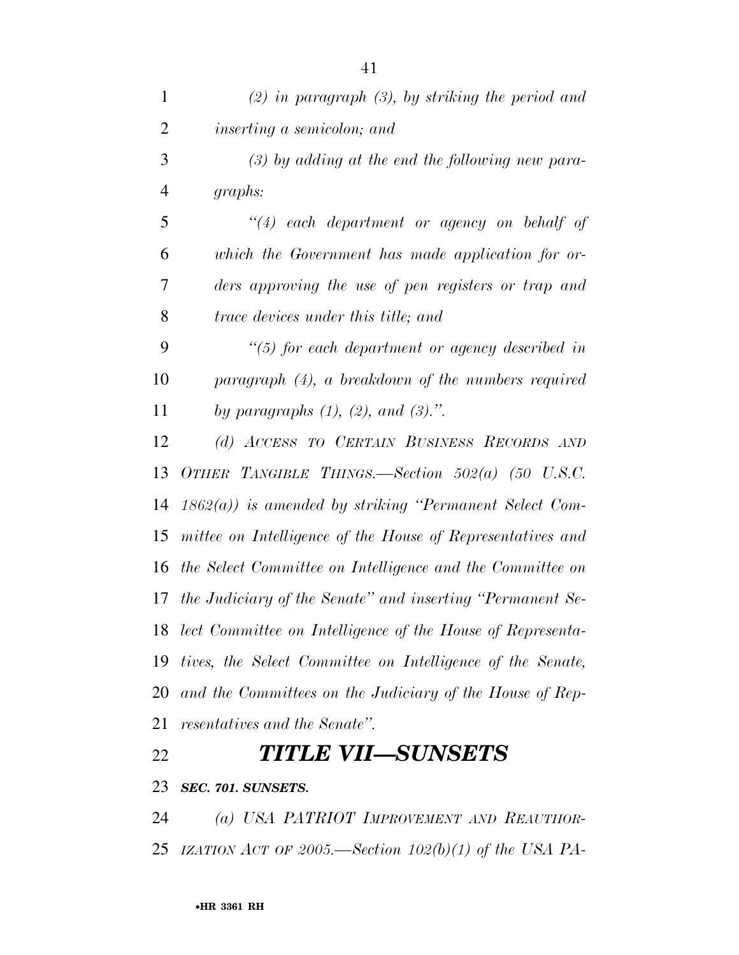| $\mathbf{1}$   | $(2)$ in paragraph $(3)$ , by striking the period and         |
|----------------|---------------------------------------------------------------|
| $\overline{2}$ | <i>inserting a semicolon; and</i>                             |
| 3              | $(3)$ by adding at the end the following new para-            |
| $\overline{4}$ | graphs:                                                       |
| 5              | $``(4)$ each department or agency on behalf of                |
| 6              | which the Government has made application for or-             |
| 7              | ders approving the use of pen registers or trap and           |
| 8              | <i>trace devices under this title; and</i>                    |
| 9              | $\lq(5)$ for each department or agency described in           |
| 10             | $paragnph$ (4), a breakdown of the numbers required           |
| 11             | by paragraphs $(1)$ , $(2)$ , and $(3)$ .".                   |
| 12             | (d) ACCESS TO CERTAIN BUSINESS RECORDS AND                    |
| 13             | OTHER TANGIBLE THINGS.—Section $502(a)$ (50 U.S.C.            |
| 14             | $1862(a)$ ) is amended by striking "Permanent Select Com-     |
| 15             | mittee on Intelligence of the House of Representatives and    |
| 16             | the Select Committee on Intelligence and the Committee on     |
| 17             | the Judiciary of the Senate" and inserting "Permanent Se-     |
|                | 18 lect Committee on Intelligence of the House of Representa- |
| 19             | tives, the Select Committee on Intelligence of the Senate,    |
| 20             | and the Committees on the Judiciary of the House of Rep-      |
| 21             | <i>resentatives and the Senate".</i>                          |
| 22             | TITLE VII—SUNSETS                                             |
| 23             | SEC. 701. SUNSETS.                                            |

 *(a) USA PATRIOT IMPROVEMENT AND REAUTHOR-IZATION ACT OF 2005.—Section 102(b)(1) of the USA PA-*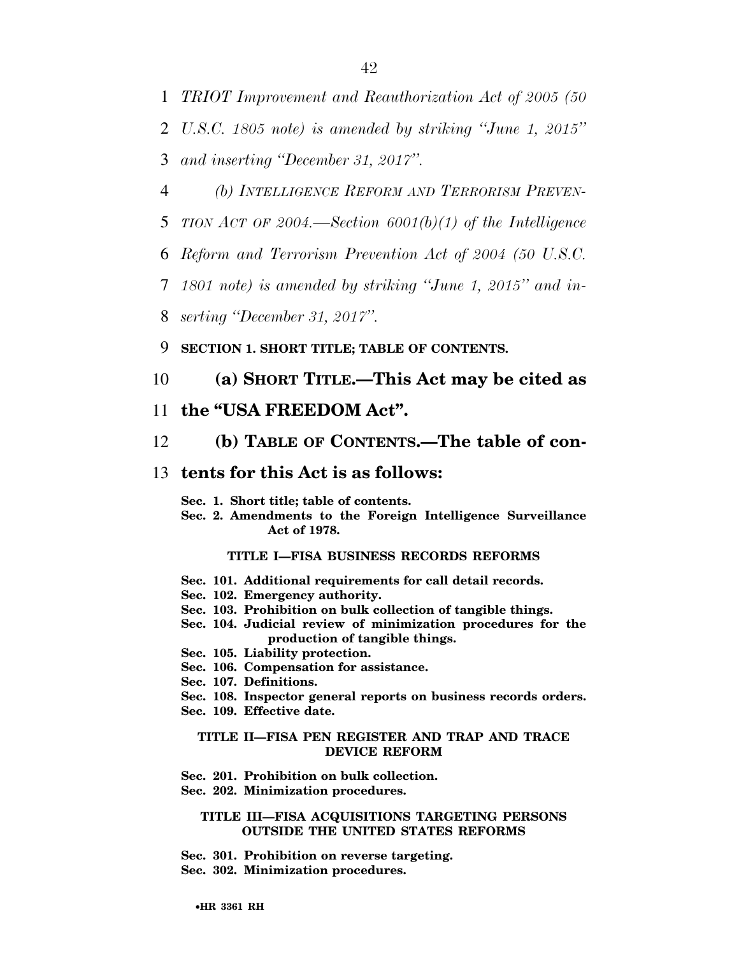1 *TRIOT Improvement and Reauthorization Act of 2005 (50* 

2 *U.S.C. 1805 note) is amended by striking ''June 1, 2015''* 

3 *and inserting ''December 31, 2017''.* 

- 4 *(b) INTELLIGENCE REFORM AND TERRORISM PREVEN-*
- 5 *TION ACT OF 2004.—Section 6001(b)(1) of the Intelligence*
- 6 *Reform and Terrorism Prevention Act of 2004 (50 U.S.C.*
- 7 *1801 note) is amended by striking ''June 1, 2015'' and in-*
- 8 *serting ''December 31, 2017''.*

9 **SECTION 1. SHORT TITLE; TABLE OF CONTENTS.** 

# 10 **(a) SHORT TITLE.—This Act may be cited as**

## 11 **the ''USA FREEDOM Act''.**

# 12 **(b) TABLE OF CONTENTS.—The table of con-**

# 13 **tents for this Act is as follows:**

**Sec. 1. Short title; table of contents.** 

**Sec. 2. Amendments to the Foreign Intelligence Surveillance Act of 1978.** 

## **TITLE I—FISA BUSINESS RECORDS REFORMS**

- **Sec. 101. Additional requirements for call detail records.**
- **Sec. 102. Emergency authority.**
- **Sec. 103. Prohibition on bulk collection of tangible things.**
- **Sec. 104. Judicial review of minimization procedures for the production of tangible things.**
- **Sec. 105. Liability protection.**
- **Sec. 106. Compensation for assistance.**
- **Sec. 107. Definitions.**
- **Sec. 108. Inspector general reports on business records orders.**
- **Sec. 109. Effective date.**

#### **TITLE II—FISA PEN REGISTER AND TRAP AND TRACE DEVICE REFORM**

- **Sec. 201. Prohibition on bulk collection.**
- **Sec. 202. Minimization procedures.**

#### **TITLE III—FISA ACQUISITIONS TARGETING PERSONS OUTSIDE THE UNITED STATES REFORMS**

- **Sec. 301. Prohibition on reverse targeting.**
- **Sec. 302. Minimization procedures.**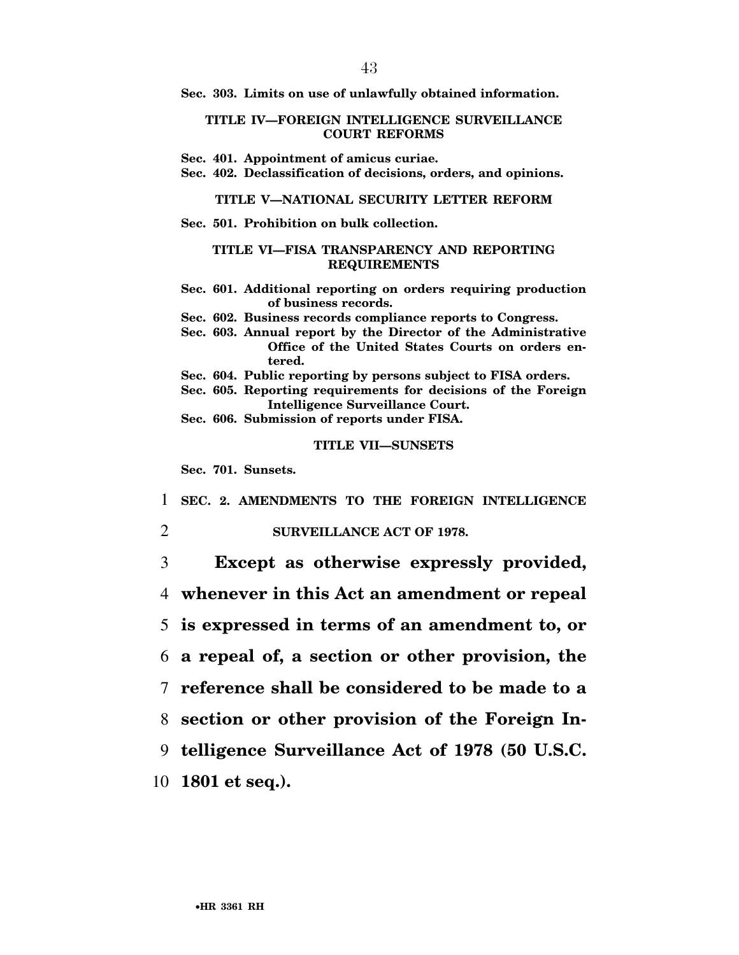**Sec. 303. Limits on use of unlawfully obtained information.** 

### **TITLE IV—FOREIGN INTELLIGENCE SURVEILLANCE COURT REFORMS**

- **Sec. 401. Appointment of amicus curiae.**
- **Sec. 402. Declassification of decisions, orders, and opinions.**

### **TITLE V—NATIONAL SECURITY LETTER REFORM**

**Sec. 501. Prohibition on bulk collection.** 

#### **TITLE VI—FISA TRANSPARENCY AND REPORTING REQUIREMENTS**

- **Sec. 601. Additional reporting on orders requiring production of business records.**
- **Sec. 602. Business records compliance reports to Congress.**
- **Sec. 603. Annual report by the Director of the Administrative Office of the United States Courts on orders entered.**
- **Sec. 604. Public reporting by persons subject to FISA orders.**
- **Sec. 605. Reporting requirements for decisions of the Foreign Intelligence Surveillance Court.**
- **Sec. 606. Submission of reports under FISA.**

## **TITLE VII—SUNSETS**

**Sec. 701. Sunsets.** 

1 **SEC. 2. AMENDMENTS TO THE FOREIGN INTELLIGENCE** 

## 2 **SURVEILLANCE ACT OF 1978.**

 **Except as otherwise expressly provided, whenever in this Act an amendment or repeal is expressed in terms of an amendment to, or a repeal of, a section or other provision, the reference shall be considered to be made to a section or other provision of the Foreign In- telligence Surveillance Act of 1978 (50 U.S.C. 1801 et seq.).**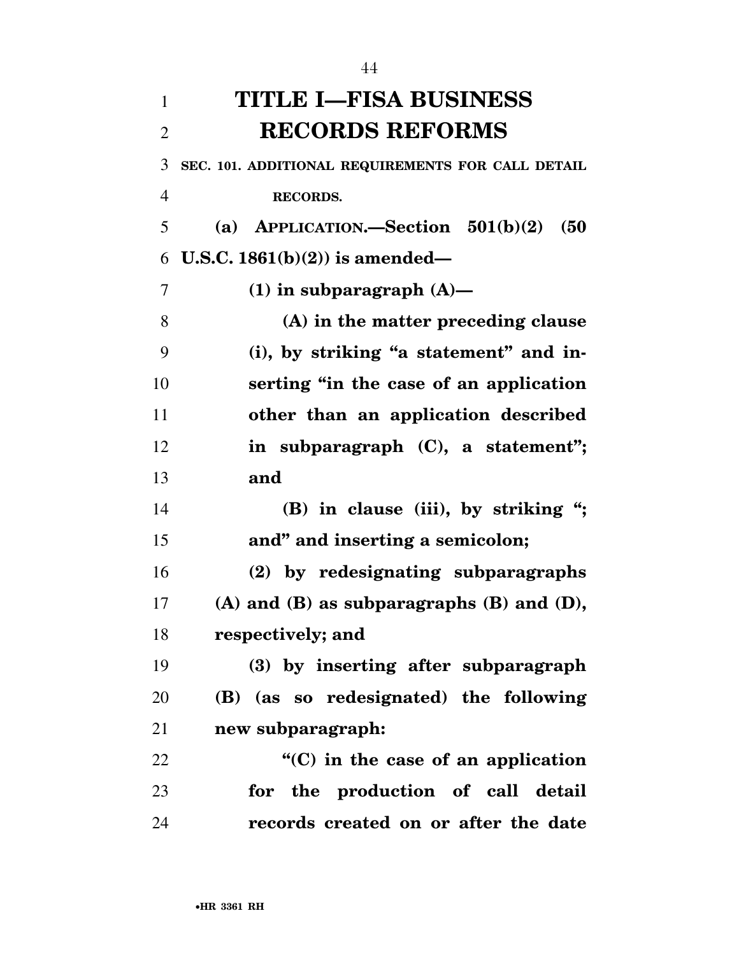| $\mathbf{1}$   | <b>TITLE I—FISA BUSINESS</b>                       |
|----------------|----------------------------------------------------|
| $\overline{2}$ | <b>RECORDS REFORMS</b>                             |
| 3              | SEC. 101. ADDITIONAL REQUIREMENTS FOR CALL DETAIL  |
| $\overline{4}$ | <b>RECORDS.</b>                                    |
| 5              | (a) APPLICATION.-Section $501(b)(2)$<br>(50)       |
| 6              | U.S.C. $1861(b)(2)$ is amended—                    |
| 7              | $(1)$ in subparagraph $(A)$ —                      |
| 8              | (A) in the matter preceding clause                 |
| 9              | (i), by striking "a statement" and in-             |
| 10             | serting "in the case of an application             |
| 11             | other than an application described                |
| 12             | in subparagraph $(C)$ , a statement";              |
| 13             | and                                                |
| 14             | (B) in clause (iii), by striking ";                |
| 15             | and" and inserting a semicolon;                    |
| 16             | (2) by redesignating subparagraphs                 |
| 17             | $(A)$ and $(B)$ as subparagraphs $(B)$ and $(D)$ , |
| 18             | respectively; and                                  |
| 19             | (3) by inserting after subparagraph                |
| 20             | (B) (as so redesignated) the following             |
| 21             | new subparagraph:                                  |
| 22             | $\cdot$ (C) in the case of an application          |
| 23             | for the production of call detail                  |
| 24             | records created on or after the date               |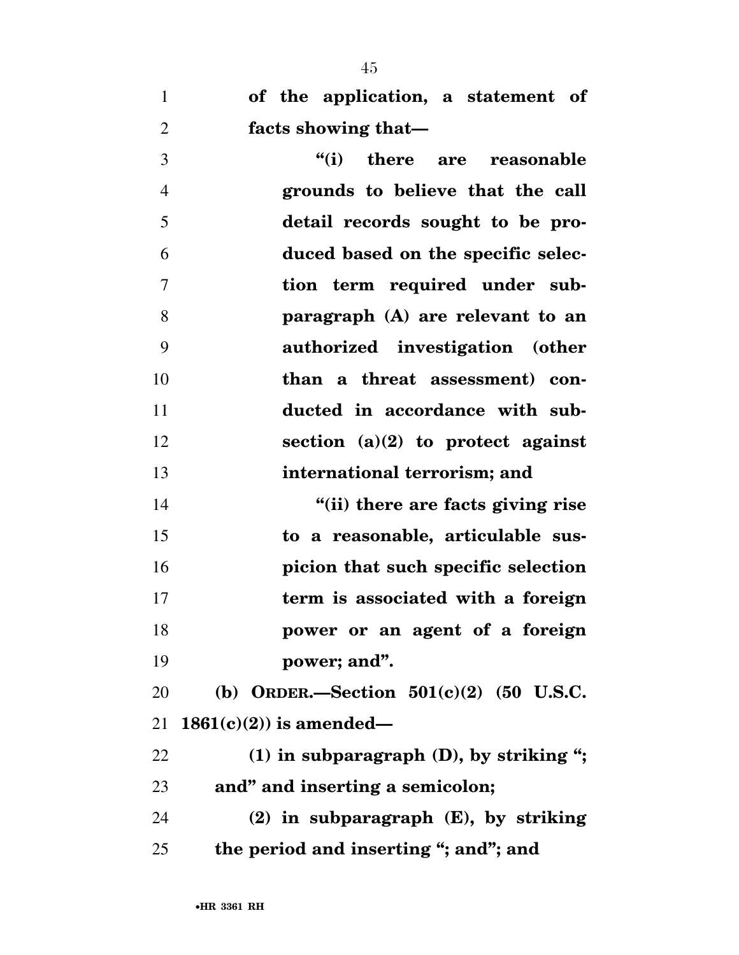**of the application, a statement of facts showing that—** 

 **''(i) there are reasonable grounds to believe that the call detail records sought to be pro- duced based on the specific selec- tion term required under sub- paragraph (A) are relevant to an authorized investigation (other than a threat assessment) con- ducted in accordance with sub- section (a)(2) to protect against international terrorism; and ''(ii) there are facts giving rise to a reasonable, articulable sus-picion that such specific selection** 

 **term is associated with a foreign power or an agent of a foreign power; and''.** 

 **(b) ORDER.—Section 501(c)(2) (50 U.S.C. 1861(c)(2)) is amended—** 

 **(1) in subparagraph (D), by striking ''; and'' and inserting a semicolon; (2) in subparagraph (E), by striking the period and inserting ''; and''; and**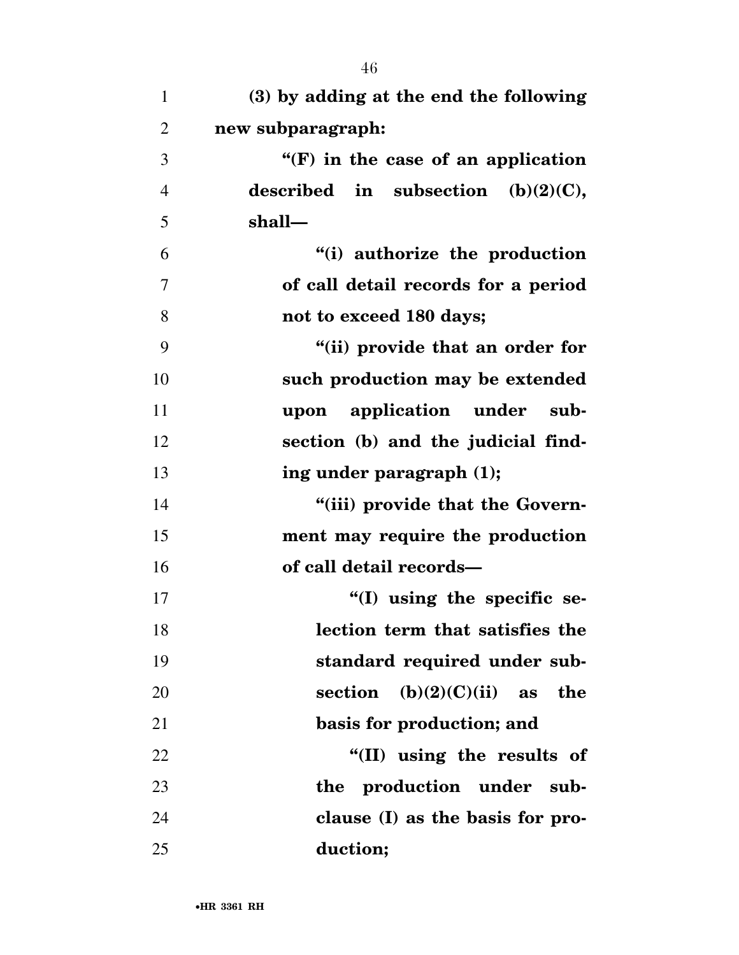| $\mathbf{1}$   | (3) by adding at the end the following                 |
|----------------|--------------------------------------------------------|
| $\overline{2}$ | new subparagraph:                                      |
| 3              | $\mathbf{H}(\mathbf{F})$ in the case of an application |
| $\overline{4}$ | described in subsection $(b)(2)(C)$ ,                  |
| 5              | shall-                                                 |
| 6              | "(i) authorize the production                          |
| $\overline{7}$ | of call detail records for a period                    |
| 8              | not to exceed 180 days;                                |
| 9              | "(ii) provide that an order for                        |
| 10             | such production may be extended                        |
| 11             | upon application under sub-                            |
| 12             | section (b) and the judicial find-                     |
| 13             | ing under paragraph (1);                               |
| 14             | "(iii) provide that the Govern-                        |
| 15             | ment may require the production                        |
| 16             | of call detail records-                                |
| 17             | $\cdot$ (I) using the specific se-                     |
| 18             | lection term that satisfies the                        |
| 19             | standard required under sub-                           |
| 20             | $(b)(2)(C)(ii)$ as<br>section<br>the                   |
| 21             | basis for production; and                              |
| 22             | "(II) using the results of                             |
| 23             | production under sub-<br>the                           |
| 24             | clause (I) as the basis for pro-                       |
| 25             | duction;                                               |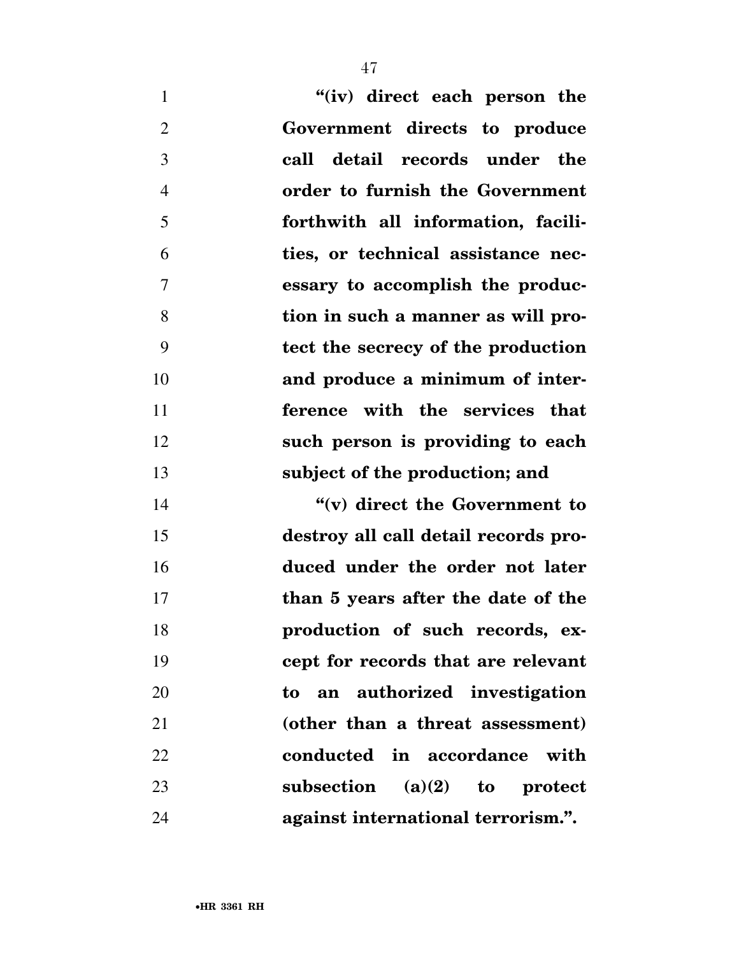| "(iv) direct each person the<br>$\mathbf{1}$       |    |
|----------------------------------------------------|----|
| $\overline{2}$<br>Government directs to produce    |    |
| 3<br>call detail records under the                 |    |
| order to furnish the Government<br>$\overline{4}$  |    |
| 5<br>forthwith all information, facili-            |    |
| 6<br>ties, or technical assistance nec-            |    |
| $\overline{7}$<br>essary to accomplish the produc- |    |
| 8<br>tion in such a manner as will pro-            |    |
| 9<br>tect the secrecy of the production            |    |
| and produce a minimum of inter-                    | 10 |
| ference with the services that                     | 11 |
| such person is providing to each                   | 12 |
| subject of the production; and                     | 13 |
| "(v) direct the Government to                      | 14 |
| destroy all call detail records pro-               | 15 |
| duced under the order not later                    | 16 |
| than 5 years after the date of the                 | 17 |
| production of such records, ex-                    | 18 |
| cept for records that are relevant                 | 19 |
| to an authorized investigation                     | 20 |
| (other than a threat assessment)                   | 21 |

**conducted in accordance with** 

**subsection (a)(2) to protect** 

**against international terrorism.''.** 

•**HR 3361 RH**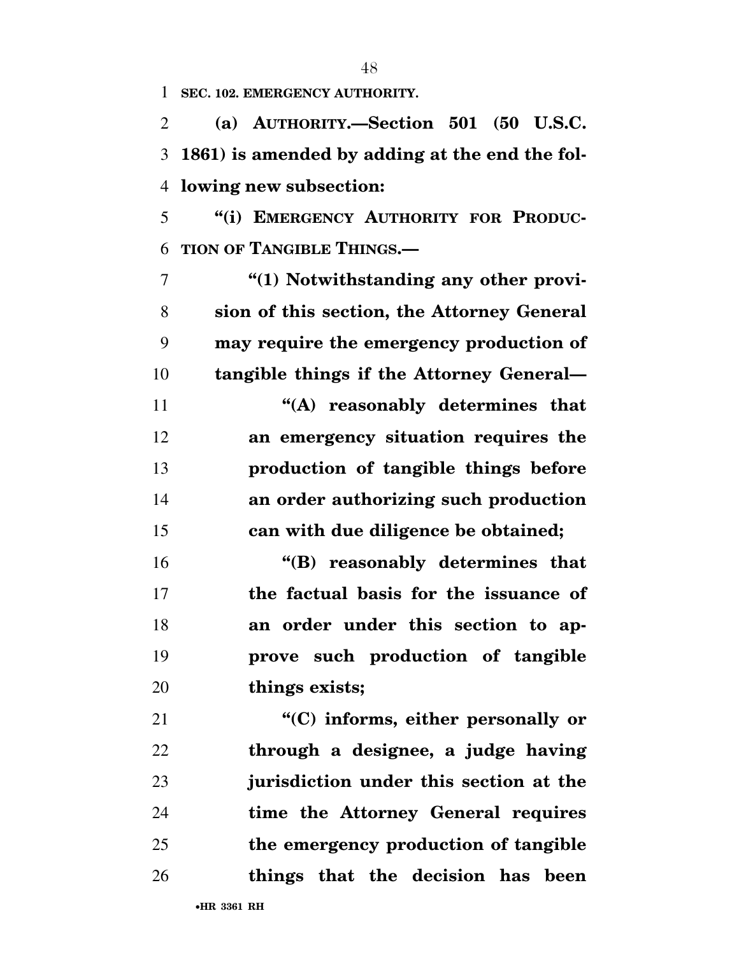**SEC. 102. EMERGENCY AUTHORITY.** 

 **(a) AUTHORITY.—Section 501 (50 U.S.C. 1861) is amended by adding at the end the fol-lowing new subsection:** 

 **''(i) EMERGENCY AUTHORITY FOR PRODUC-TION OF TANGIBLE THINGS.—** 

 **''(1) Notwithstanding any other provi- sion of this section, the Attorney General may require the emergency production of tangible things if the Attorney General—** 

 **''(A) reasonably determines that an emergency situation requires the production of tangible things before an order authorizing such production can with due diligence be obtained;** 

 **''(B) reasonably determines that the factual basis for the issuance of an order under this section to ap- prove such production of tangible things exists;** 

 **''(C) informs, either personally or through a designee, a judge having jurisdiction under this section at the time the Attorney General requires the emergency production of tangible things that the decision has been**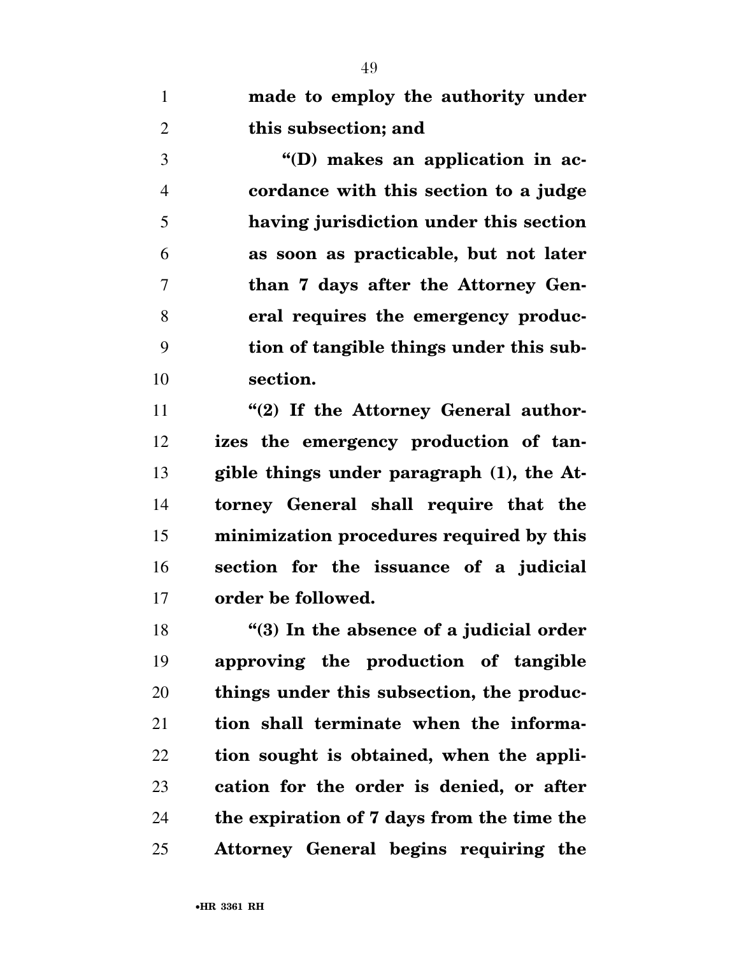**made to employ the authority under this subsection; and** 

 **''(D) makes an application in ac- cordance with this section to a judge having jurisdiction under this section as soon as practicable, but not later than 7 days after the Attorney Gen- eral requires the emergency produc- tion of tangible things under this sub-section.** 

**''(2)** If the Attorney General author- **izes the emergency production of tan- gible things under paragraph (1), the At- torney General shall require that the minimization procedures required by this section for the issuance of a judicial order be followed.** 

 **''(3) In the absence of a judicial order approving the production of tangible things under this subsection, the produc- tion shall terminate when the informa- tion sought is obtained, when the appli- cation for the order is denied, or after the expiration of 7 days from the time the Attorney General begins requiring the**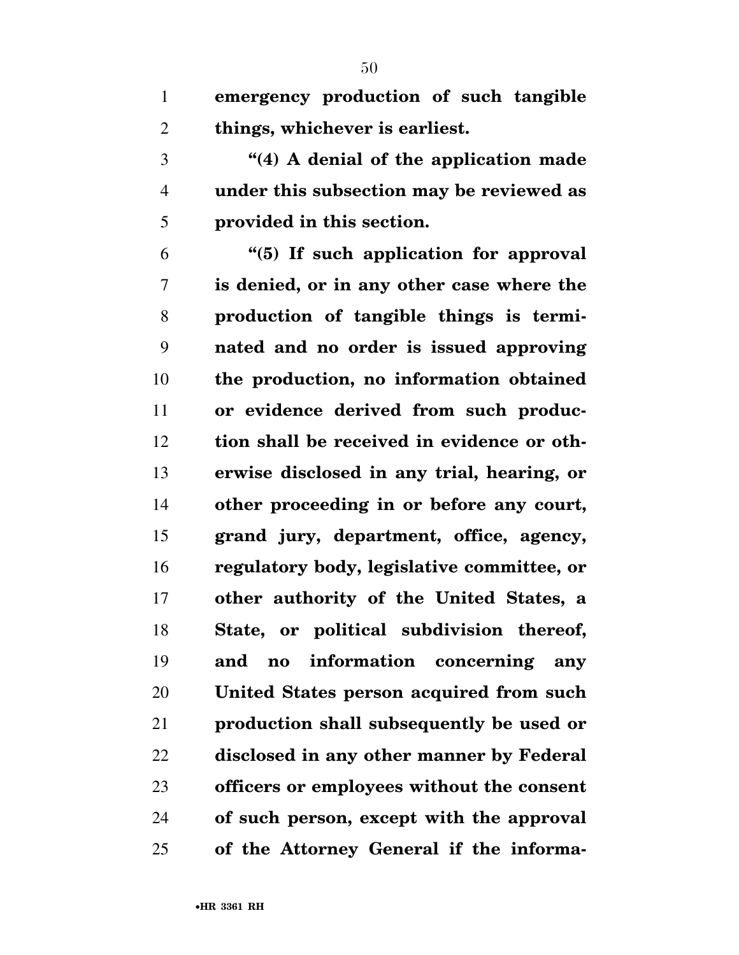**emergency production of such tangible things, whichever is earliest.** 

 **''(4) A denial of the application made under this subsection may be reviewed as provided in this section.** 

 **''(5) If such application for approval is denied, or in any other case where the production of tangible things is termi- nated and no order is issued approving the production, no information obtained or evidence derived from such produc- tion shall be received in evidence or oth- erwise disclosed in any trial, hearing, or other proceeding in or before any court, grand jury, department, office, agency, regulatory body, legislative committee, or other authority of the United States, a State, or political subdivision thereof, and no information concerning any United States person acquired from such production shall subsequently be used or disclosed in any other manner by Federal officers or employees without the consent of such person, except with the approval of the Attorney General if the informa-**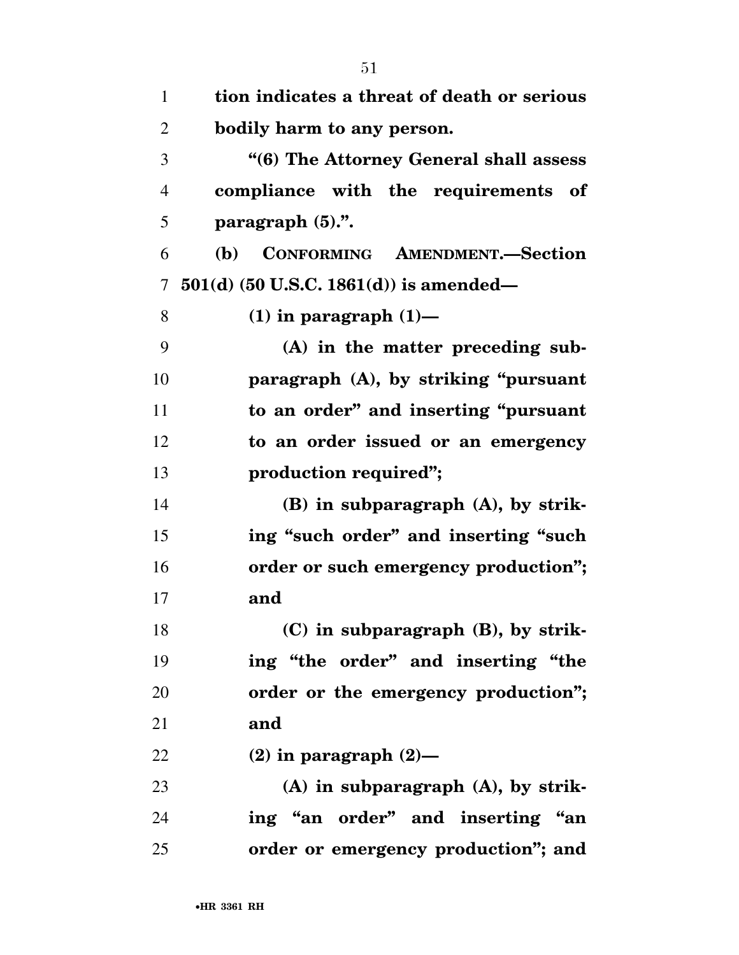| $\mathbf{1}$   | tion indicates a threat of death or serious |
|----------------|---------------------------------------------|
| $\overline{2}$ | bodily harm to any person.                  |
| 3              | "(6) The Attorney General shall assess      |
| 4              | compliance with the requirements of         |
| 5              | paragraph $(5)$ .".                         |
| 6              | CONFORMING AMENDMENT.-Section<br><b>(b)</b> |
| 7              | $501(d)$ (50 U.S.C. 1861(d)) is amended—    |
| 8              | $(1)$ in paragraph $(1)$ —                  |
| 9              | $(A)$ in the matter preceding sub-          |
| 10             | paragraph (A), by striking "pursuant"       |
| 11             | to an order" and inserting "pursuant        |
| 12             | to an order issued or an emergency          |
| 13             | production required";                       |
| 14             | $(B)$ in subparagraph $(A)$ , by strik-     |
| 15             | ing "such order" and inserting "such        |
| 16             | order or such emergency production";        |
| 17             | and                                         |
| 18             | $(C)$ in subparagraph $(B)$ , by strik-     |
| 19             | ing "the order" and inserting "the          |
| 20             | order or the emergency production";         |
| 21             | and                                         |
| 22             | $(2)$ in paragraph $(2)$ —                  |
| 23             | $(A)$ in subparagraph $(A)$ , by strik-     |
| 24             | ing "an order" and inserting "an            |
| 25             | order or emergency production"; and         |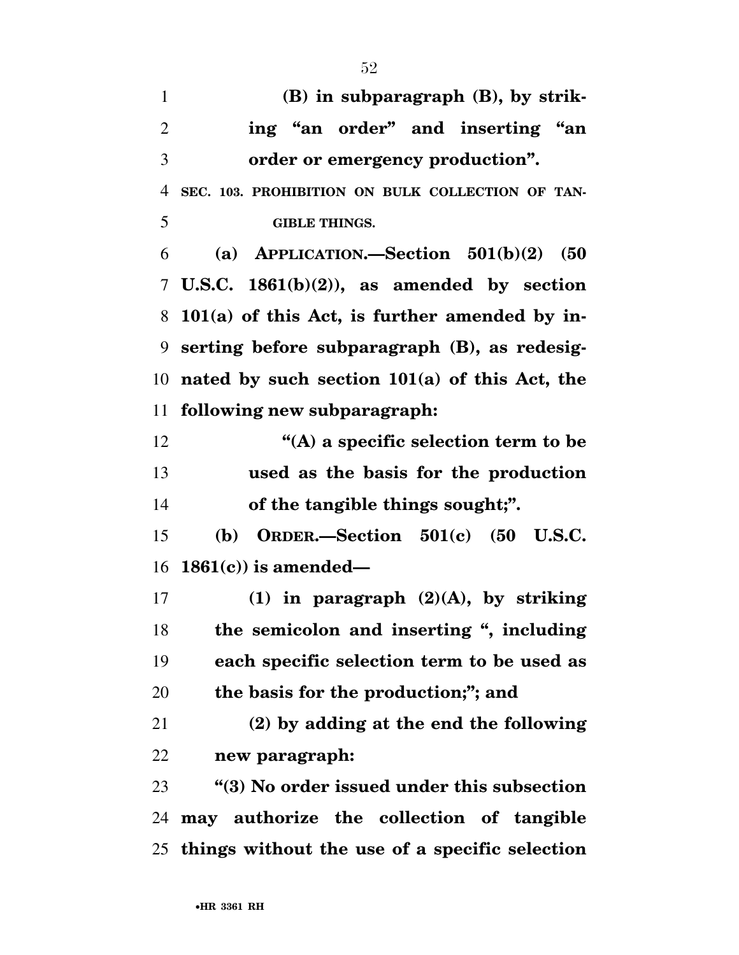**(B) in subparagraph (B), by strik- ing ''an order'' and inserting ''an order or emergency production''. SEC. 103. PROHIBITION ON BULK COLLECTION OF TAN- GIBLE THINGS. (a) APPLICATION.—Section 501(b)(2) (50 U.S.C. 1861(b)(2)), as amended by section 101(a) of this Act, is further amended by in- serting before subparagraph (B), as redesig- nated by such section 101(a) of this Act, the following new subparagraph: ''(A) a specific selection term to be used as the basis for the production of the tangible things sought;''. (b) ORDER.—Section 501(c) (50 U.S.C. 1861(c)) is amended— (1) in paragraph (2)(A), by striking the semicolon and inserting '', including each specific selection term to be used as the basis for the production;''; and (2) by adding at the end the following new paragraph: ''(3) No order issued under this subsection may authorize the collection of tangible things without the use of a specific selection**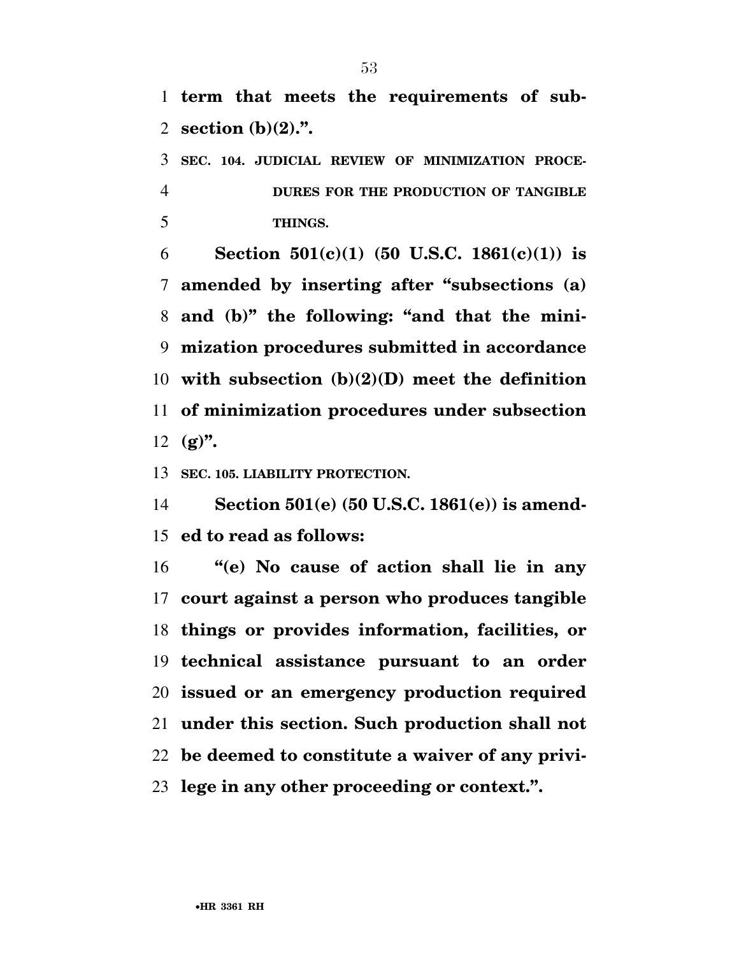**term that meets the requirements of sub-section (b)(2).''.** 

 **SEC. 104. JUDICIAL REVIEW OF MINIMIZATION PROCE- DURES FOR THE PRODUCTION OF TANGIBLE THINGS.** 

 **Section 501(c)(1) (50 U.S.C. 1861(c)(1)) is amended by inserting after ''subsections (a) and (b)'' the following: ''and that the mini- mization procedures submitted in accordance with subsection (b)(2)(D) meet the definition of minimization procedures under subsection (g)''.** 

**SEC. 105. LIABILITY PROTECTION.** 

 **Section 501(e) (50 U.S.C. 1861(e)) is amend-ed to read as follows:** 

 **''(e) No cause of action shall lie in any court against a person who produces tangible things or provides information, facilities, or technical assistance pursuant to an order issued or an emergency production required under this section. Such production shall not be deemed to constitute a waiver of any privi-lege in any other proceeding or context.''.**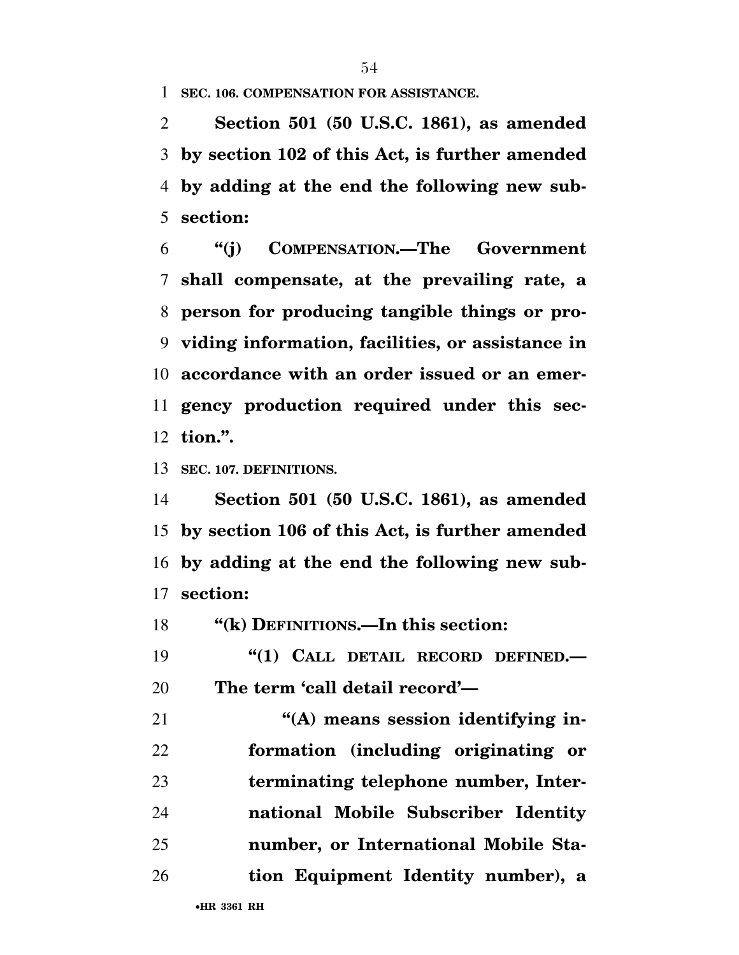**SEC. 106. COMPENSATION FOR ASSISTANCE.** 

 **Section 501 (50 U.S.C. 1861), as amended by section 102 of this Act, is further amended by adding at the end the following new sub-section:** 

 **''(j) COMPENSATION.—The Government shall compensate, at the prevailing rate, a person for producing tangible things or pro- viding information, facilities, or assistance in accordance with an order issued or an emer- gency production required under this sec-tion.''.** 

**SEC. 107. DEFINITIONS.** 

 **Section 501 (50 U.S.C. 1861), as amended by section 106 of this Act, is further amended by adding at the end the following new sub-section:** 

**''(k) DEFINITIONS.—In this section:** 

 **''(1) CALL DETAIL RECORD DEFINED.— The term 'call detail record'—** 

**''(A)** means session identifying in- **formation (including originating or terminating telephone number, Inter- national Mobile Subscriber Identity number, or International Mobile Sta-tion Equipment Identity number), a**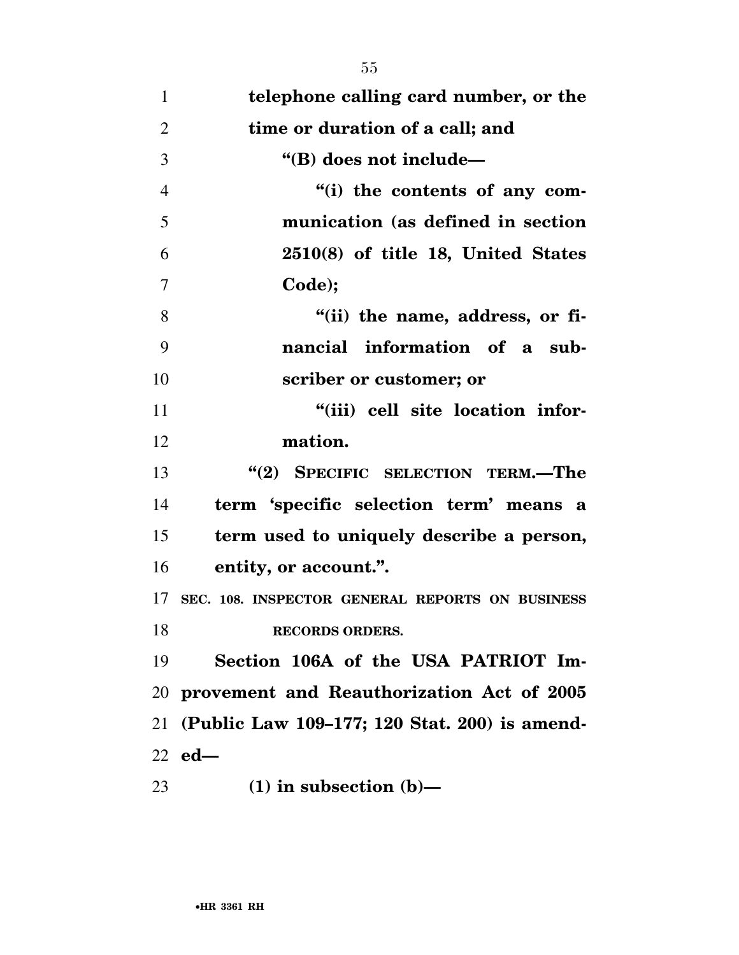| $\mathbf{1}$   | telephone calling card number, or the           |
|----------------|-------------------------------------------------|
| $\overline{2}$ | time or duration of a call; and                 |
| 3              | "(B) does not include-                          |
| $\overline{4}$ | "(i) the contents of any com-                   |
| 5              | munication (as defined in section               |
| 6              | $2510(8)$ of title 18, United States            |
| 7              | Code);                                          |
| 8              | "(ii) the name, address, or fi-                 |
| 9              | nancial information of a sub-                   |
| 10             | scriber or customer; or                         |
| 11             | "(iii) cell site location infor-                |
| 12             | mation.                                         |
| 13             | "(2) SPECIFIC SELECTION TERM.-The               |
| 14             | term 'specific selection term' means a          |
| 15             | term used to uniquely describe a person,        |
| 16             | entity, or account.".                           |
| 17             | SEC. 108. INSPECTOR GENERAL REPORTS ON BUSINESS |
| 18             | <b>RECORDS ORDERS.</b>                          |
| 19             | Section 106A of the USA PATRIOT Im-             |
| 20             | provement and Reauthorization Act of 2005       |
| 21             | (Public Law 109-177; 120 Stat. 200) is amend-   |
|                | $22$ ed—                                        |
| 23             | $(1)$ in subsection $(b)$ —                     |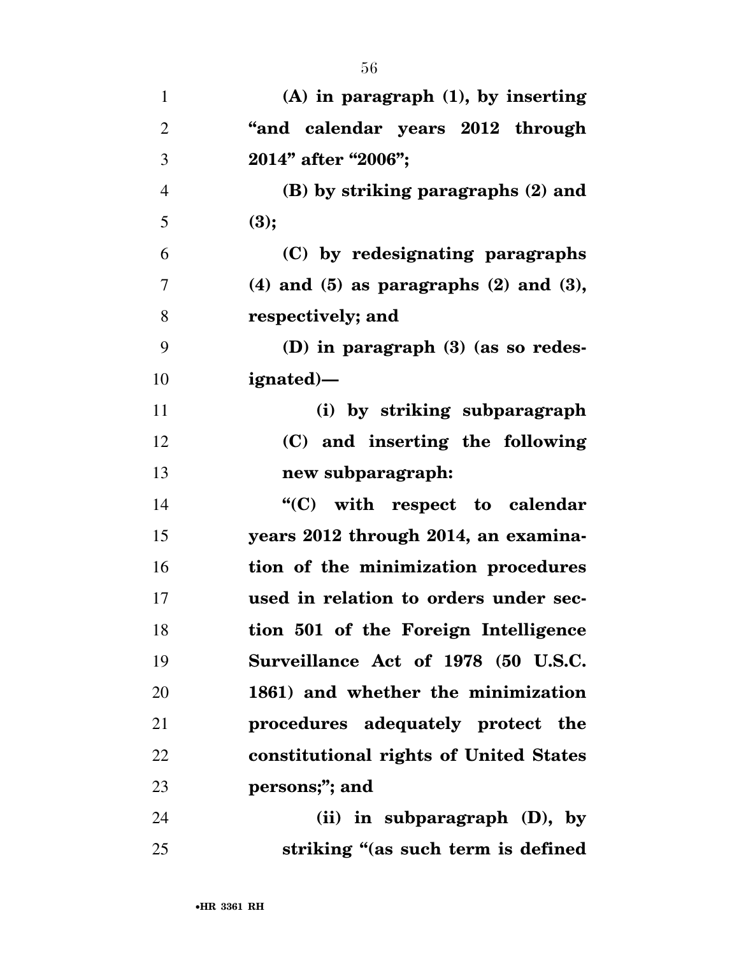| $\mathbf{1}$   | $(A)$ in paragraph $(1)$ , by inserting         |
|----------------|-------------------------------------------------|
| $\overline{2}$ | "and calendar years 2012 through                |
| 3              | 2014" after "2006";                             |
| $\overline{4}$ | (B) by striking paragraphs (2) and              |
| 5              | (3);                                            |
| 6              | (C) by redesignating paragraphs                 |
| 7              | $(4)$ and $(5)$ as paragraphs $(2)$ and $(3)$ , |
| 8              | respectively; and                               |
| 9              | (D) in paragraph $(3)$ (as so redes-            |
| 10             | ignated)—                                       |
| 11             | (i) by striking subparagraph                    |
| 12             | (C) and inserting the following                 |
| 13             | new subparagraph:                               |
| 14             | "(C) with respect to calendar                   |
| 15             | years 2012 through 2014, an examina-            |
| 16             | tion of the minimization procedures             |
| 17             | used in relation to orders under sec-           |
| 18             | tion 501 of the Foreign Intelligence            |
| 19             | Surveillance Act of 1978 (50 U.S.C.             |
| 20             | 1861) and whether the minimization              |
| 21             | procedures adequately protect the               |
| 22             | constitutional rights of United States          |
| 23             | persons;"; and                                  |
| 24             | (ii) in subparagraph $(D)$ , by                 |
| 25             | striking "(as such term is defined              |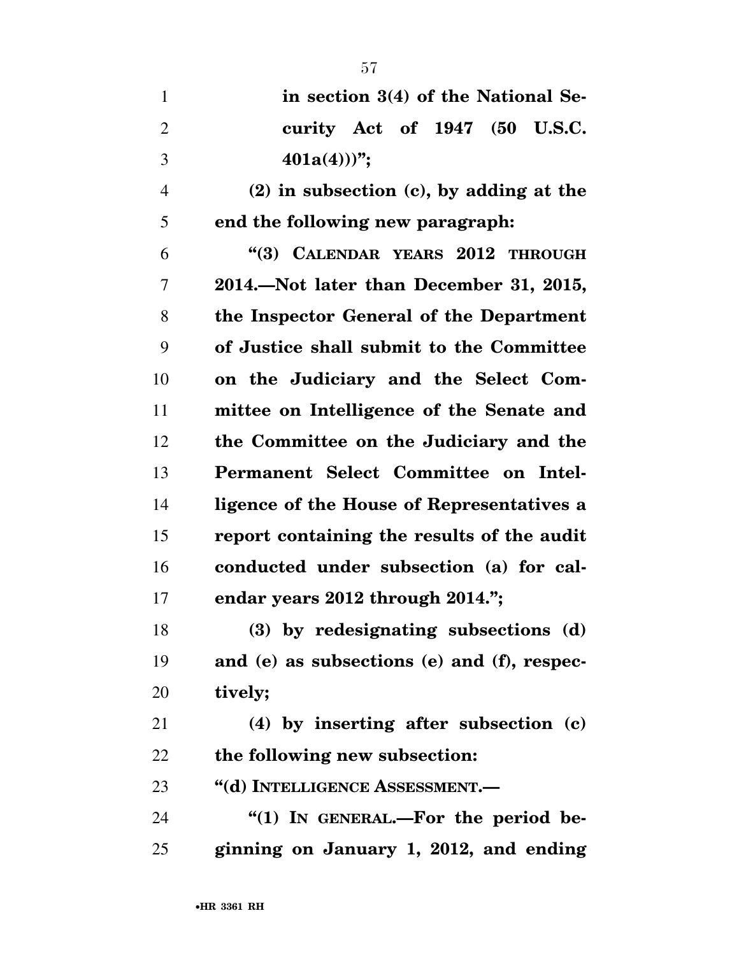| $\mathbf{1}$   | in section 3(4) of the National Se-          |
|----------------|----------------------------------------------|
| $\overline{2}$ | curity Act of 1947 (50 U.S.C.                |
| 3              | $401a(4))$ ";                                |
| $\overline{4}$ | $(2)$ in subsection $(c)$ , by adding at the |
| 5              | end the following new paragraph:             |
| 6              | "(3) CALENDAR YEARS 2012 THROUGH             |
| 7              | 2014. Not later than December 31, 2015,      |
| 8              | the Inspector General of the Department      |
| 9              | of Justice shall submit to the Committee     |
| 10             | on the Judiciary and the Select Com-         |
| 11             | mittee on Intelligence of the Senate and     |
| 12             | the Committee on the Judiciary and the       |
| 13             | Permanent Select Committee on Intel-         |
| 14             | ligence of the House of Representatives a    |
| 15             | report containing the results of the audit   |
| 16             | conducted under subsection (a) for cal-      |
| 17             | endar years 2012 through 2014.";             |
| 18             | (3) by redesignating subsections (d)         |
| 19             | and (e) as subsections (e) and (f), respec-  |
| 20             | tively;                                      |
| 21             | (4) by inserting after subsection (c)        |
| 22             | the following new subsection:                |
| 23             | "(d) INTELLIGENCE ASSESSMENT.—               |
| 24             | " $(1)$ In GENERAL.—For the period be-       |
| 25             | ginning on January 1, 2012, and ending       |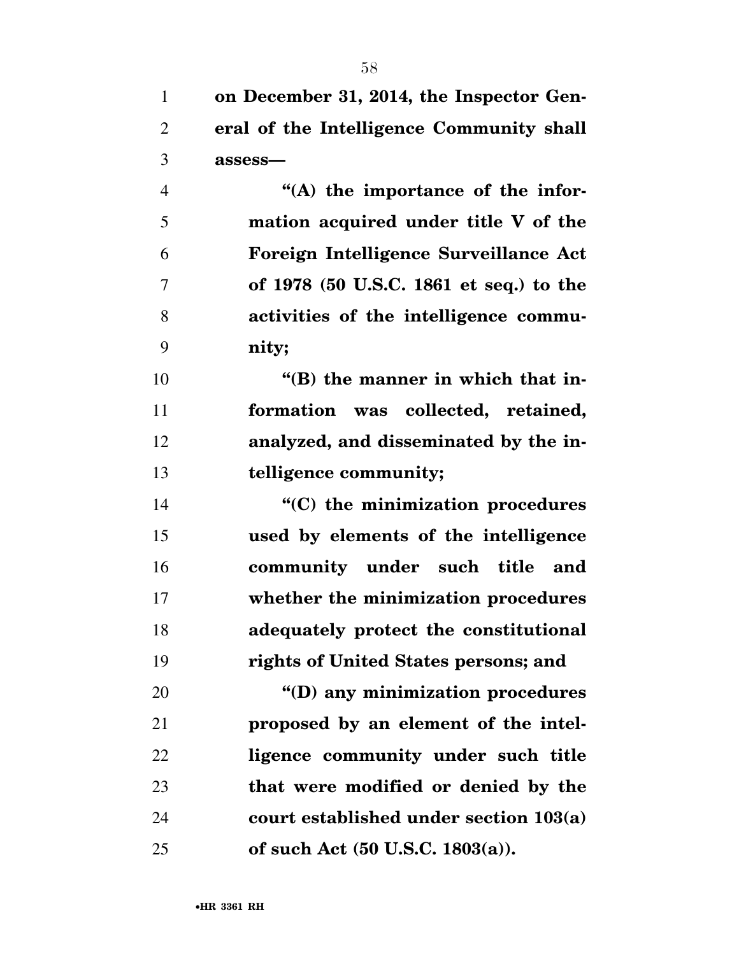| $\mathbf{1}$   | on December 31, 2014, the Inspector Gen- |
|----------------|------------------------------------------|
| $\overline{2}$ | eral of the Intelligence Community shall |
| 3              | assess-                                  |
| $\overline{4}$ | "(A) the importance of the infor-        |
| 5              | mation acquired under title V of the     |
| 6              | Foreign Intelligence Surveillance Act    |
| $\overline{7}$ | of 1978 (50 U.S.C. 1861 et seq.) to the  |
| 8              | activities of the intelligence commu-    |
| 9              | nity;                                    |
| 10             | "(B) the manner in which that in-        |
| 11             | formation was collected, retained,       |
| 12             | analyzed, and disseminated by the in-    |
| 13             | telligence community;                    |
| 14             | "(C) the minimization procedures         |
| 15             | used by elements of the intelligence     |
| 16             | community under such title and           |
| 17             | whether the minimization procedures      |
| 18             | adequately protect the constitutional    |
| 19             | rights of United States persons; and     |
| 20             | "(D) any minimization procedures         |
| 21             | proposed by an element of the intel-     |
| 22             | ligence community under such title       |
| 23             | that were modified or denied by the      |
| 24             | court established under section 103(a)   |
| 25             | of such Act (50 U.S.C. 1803(a)).         |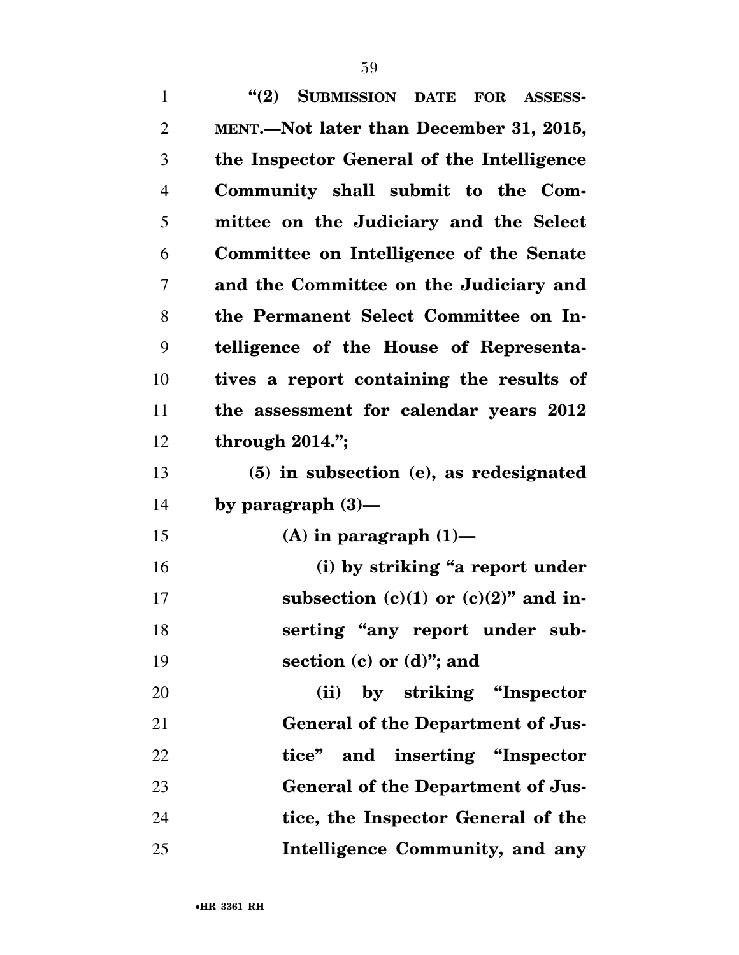| $\mathbf{1}$   | (2)<br>SUBMISSION DATE FOR ASSESS-        |
|----------------|-------------------------------------------|
| $\overline{2}$ | MENT.—Not later than December 31, 2015,   |
| 3              | the Inspector General of the Intelligence |
| 4              | Community shall submit to the Com-        |
| 5              | mittee on the Judiciary and the Select    |
| 6              | Committee on Intelligence of the Senate   |
| 7              | and the Committee on the Judiciary and    |
| 8              | the Permanent Select Committee on In-     |
| 9              | telligence of the House of Representa-    |
| 10             | tives a report containing the results of  |
| 11             | the assessment for calendar years 2012    |
| 12             | through $2014."$ ;                        |
| 13             | (5) in subsection (e), as redesignated    |
| 14             | by paragraph $(3)$ —                      |
| 15             | (A) in paragraph $(1)$ —                  |
| 16             | (i) by striking "a report under           |
| 17             | subsection $(c)(1)$ or $(c)(2)$ " and in- |
| 18             | serting "any report under sub-            |
| 19             | section $(c)$ or $(d)$ "; and             |
| 20             | (ii) by striking "Inspector               |
| 21             | <b>General of the Department of Jus-</b>  |
| 22             | tice" and inserting "Inspector"           |
| 23             | <b>General of the Department of Jus-</b>  |
| 24             | tice, the Inspector General of the        |
| 25             | Intelligence Community, and any           |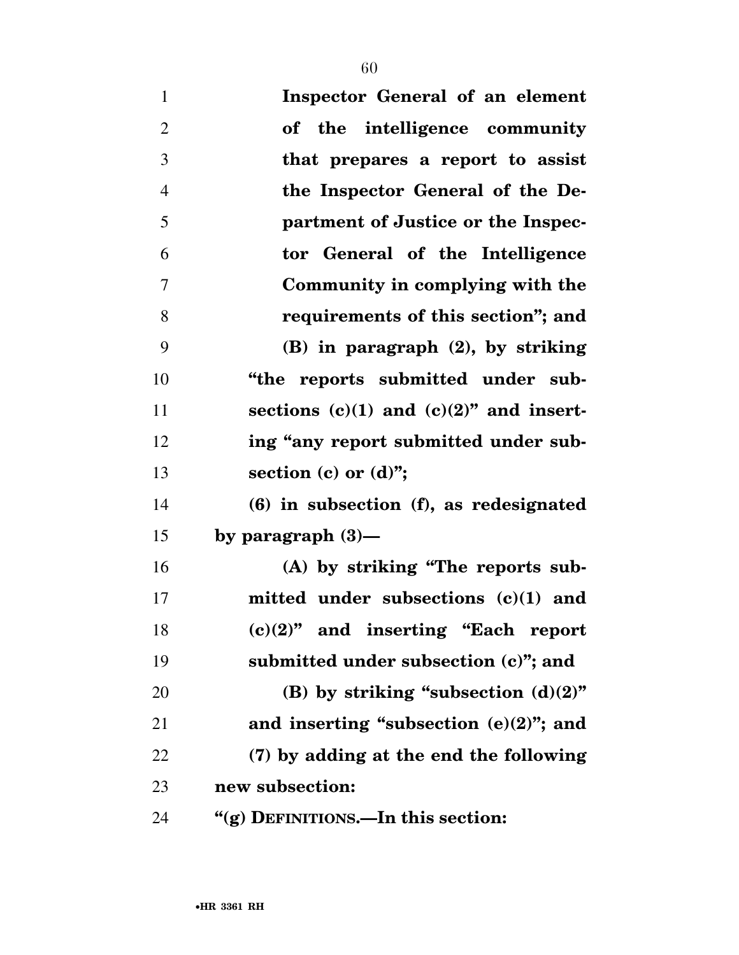| $\mathbf{1}$   | Inspector General of an element              |
|----------------|----------------------------------------------|
| $\overline{2}$ | of the intelligence community                |
| 3              | that prepares a report to assist             |
| $\overline{4}$ | the Inspector General of the De-             |
| 5              | partment of Justice or the Inspec-           |
| 6              | tor General of the Intelligence              |
| 7              | Community in complying with the              |
| 8              | requirements of this section"; and           |
| 9              | $(B)$ in paragraph $(2)$ , by striking       |
| 10             | "the reports submitted under sub-            |
| 11             | sections $(c)(1)$ and $(c)(2)$ " and insert- |
| 12             | ing "any report submitted under sub-         |
| 13             | section (c) or $(d)$ ";                      |
| 14             | $(6)$ in subsection $(f)$ , as redesignated  |
| 15             | by paragraph $(3)$ —                         |
| 16             | (A) by striking "The reports sub-            |
| 17             | mitted under subsections $(c)(1)$ and        |
| 18             | $(c)(2)$ " and inserting "Each report        |
| 19             | submitted under subsection (c)"; and         |
| 20             | (B) by striking "subsection $(d)(2)$ "       |
| 21             | and inserting "subsection $(e)(2)$ "; and    |
| 22             | (7) by adding at the end the following       |
| 23             | new subsection:                              |
| 24             | "(g) DEFINITIONS.—In this section:           |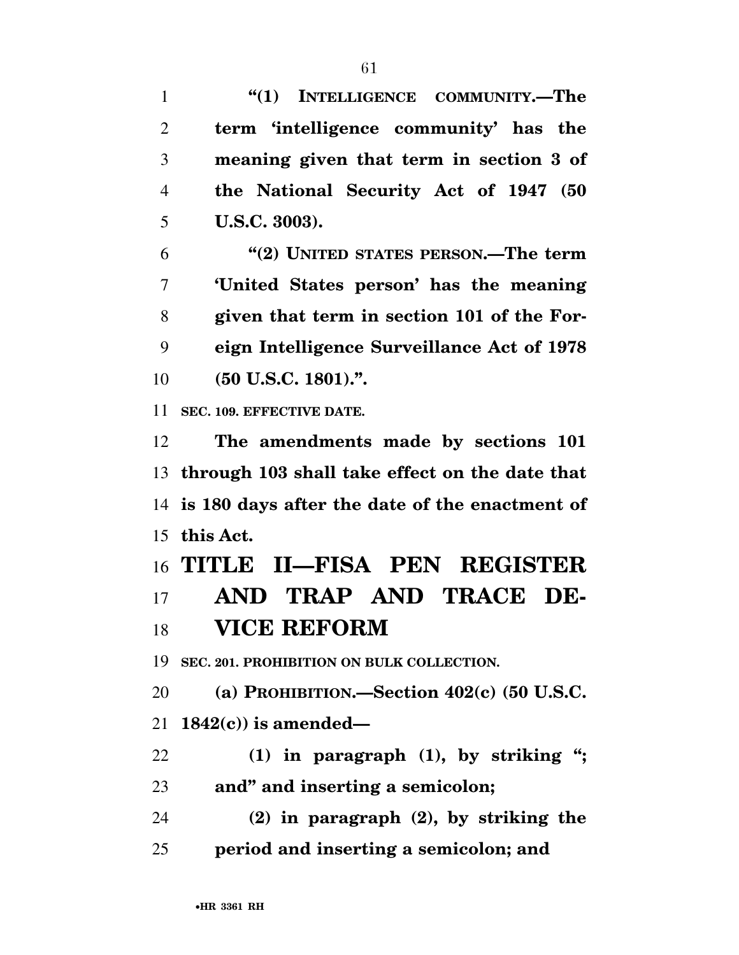**''(1) INTELLIGENCE COMMUNITY.—The term 'intelligence community' has the meaning given that term in section 3 of the National Security Act of 1947 (50 U.S.C. 3003). ''(2) UNITED STATES PERSON.—The term 'United States person' has the meaning given that term in section 101 of the For- eign Intelligence Surveillance Act of 1978 (50 U.S.C. 1801).''.** 

**SEC. 109. EFFECTIVE DATE.** 

 **The amendments made by sections 101 through 103 shall take effect on the date that is 180 days after the date of the enactment of this Act.** 

**TITLE II—FISA PEN REGISTER** 

# **AND TRAP AND TRACE DE-VICE REFORM**

**SEC. 201. PROHIBITION ON BULK COLLECTION.** 

 **(a) PROHIBITION.—Section 402(c) (50 U.S.C. 1842(c)) is amended—** 

 **(1) in paragraph (1), by striking ''; and'' and inserting a semicolon;** 

 **(2) in paragraph (2), by striking the period and inserting a semicolon; and**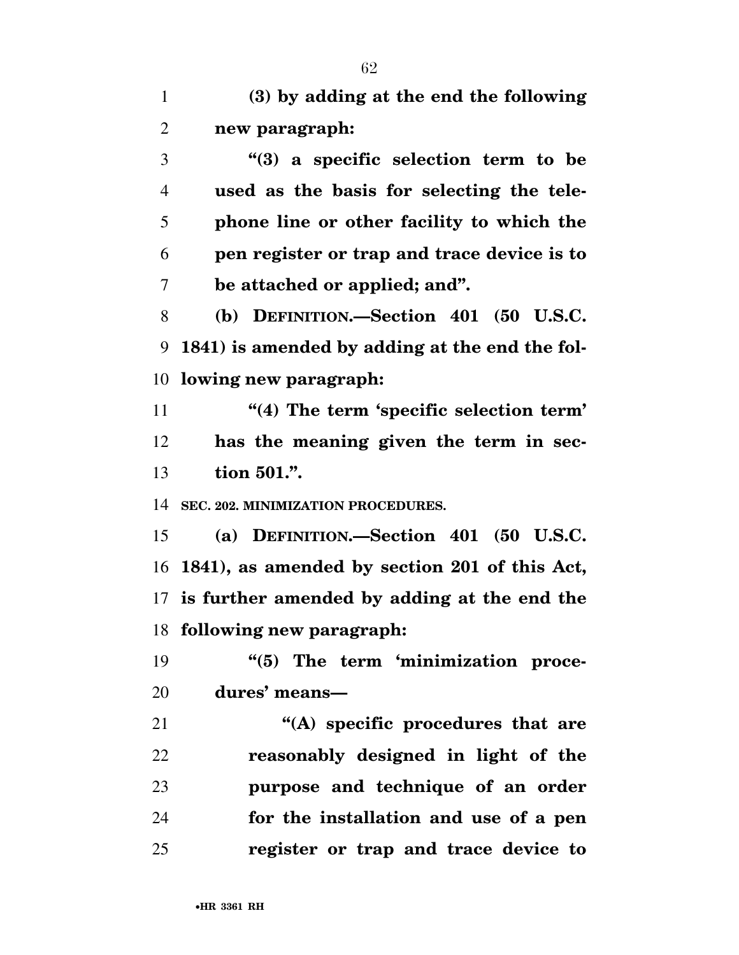**(3) by adding at the end the following new paragraph:** 

 **''(3) a specific selection term to be used as the basis for selecting the tele- phone line or other facility to which the pen register or trap and trace device is to be attached or applied; and''.** 

 **(b) DEFINITION.—Section 401 (50 U.S.C. 1841) is amended by adding at the end the fol-lowing new paragraph:** 

 **''(4) The term 'specific selection term' has the meaning given the term in sec-tion 501.''.** 

**SEC. 202. MINIMIZATION PROCEDURES.** 

 **(a) DEFINITION.—Section 401 (50 U.S.C. 1841), as amended by section 201 of this Act, is further amended by adding at the end the following new paragraph:** 

**''(5)** The term 'minimization proce-**dures' means—** 

 **''(A) specific procedures that are reasonably designed in light of the purpose and technique of an order for the installation and use of a pen register or trap and trace device to**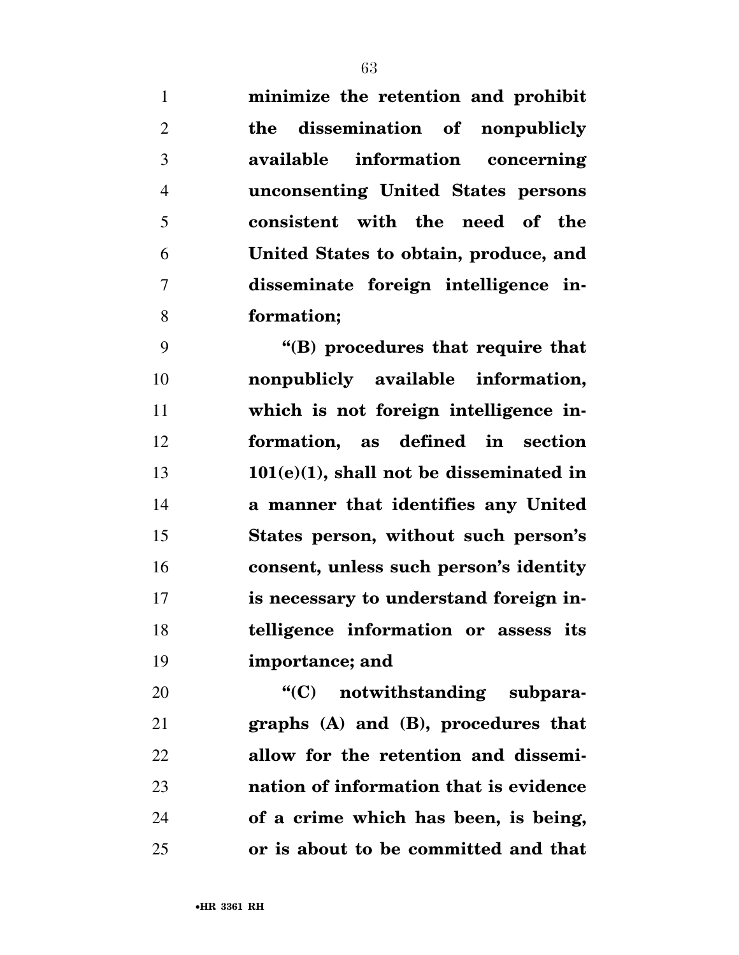**minimize the retention and prohibit** 

 **the dissemination of nonpublicly available information concerning unconsenting United States persons consistent with the need of the United States to obtain, produce, and disseminate foreign intelligence in-formation;** 

 **''(B) procedures that require that nonpublicly available information, which is not foreign intelligence in- formation, as defined in section 101(e)(1), shall not be disseminated in a manner that identifies any United States person, without such person's consent, unless such person's identity is necessary to understand foreign in- telligence information or assess its importance; and** 

**"(C)** notwithstanding subpara- **graphs (A) and (B), procedures that allow for the retention and dissemi- nation of information that is evidence of a crime which has been, is being, or is about to be committed and that**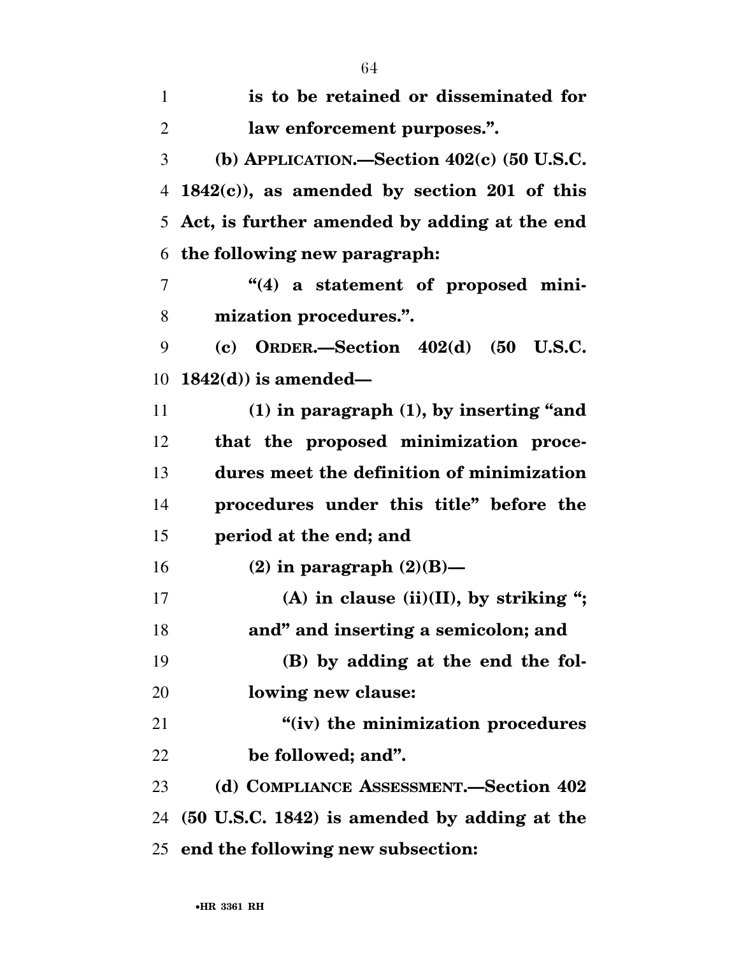| $\mathbf{1}$   | is to be retained or disseminated for          |
|----------------|------------------------------------------------|
| $\overline{2}$ | law enforcement purposes.".                    |
| 3              | (b) APPLICATION.—Section $402(c)$ (50 U.S.C.   |
| 4              | $1842(c)$ , as amended by section 201 of this  |
| 5              | Act, is further amended by adding at the end   |
| 6              | the following new paragraph:                   |
| 7              | "(4) a statement of proposed mini-             |
| 8              | mization procedures.".                         |
| 9              | (c) ORDER.-Section $402(d)$ (50 U.S.C.         |
| 10             | $1842(d)$ ) is amended—                        |
| 11             | $(1)$ in paragraph $(1)$ , by inserting "and   |
| 12             | that the proposed minimization proce-          |
| 13             | dures meet the definition of minimization      |
| 14             | procedures under this title" before the        |
| 15             | period at the end; and                         |
| 16             | (2) in paragraph $(2)(B)$ —                    |
| 17             | (A) in clause (ii)(II), by striking ";         |
| 18             | and" and inserting a semicolon; and            |
| 19             | (B) by adding at the end the fol-              |
| 20             | lowing new clause:                             |
| 21             | "(iv) the minimization procedures              |
| 22             | be followed; and".                             |
| 23             | (d) COMPLIANCE ASSESSMENT.—Section 402         |
| 24             | $(50$ U.S.C. 1842) is amended by adding at the |
|                | 25 end the following new subsection:           |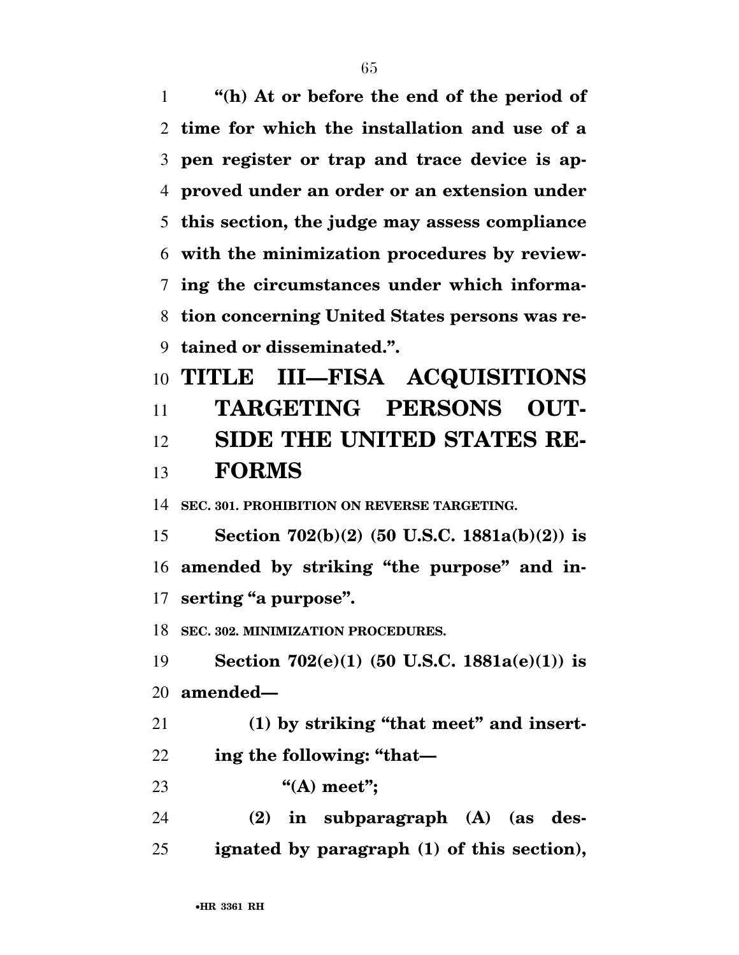**''(h) At or before the end of the period of time for which the installation and use of a pen register or trap and trace device is ap- proved under an order or an extension under this section, the judge may assess compliance with the minimization procedures by review- ing the circumstances under which informa- tion concerning United States persons was re-tained or disseminated.''.** 

 **TITLE III—FISA ACQUISITIONS TARGETING PERSONS OUT- SIDE THE UNITED STATES RE-FORMS** 

**SEC. 301. PROHIBITION ON REVERSE TARGETING.** 

 **Section 702(b)(2) (50 U.S.C. 1881a(b)(2)) is amended by striking ''the purpose'' and in-serting ''a purpose''.** 

**SEC. 302. MINIMIZATION PROCEDURES.** 

 **Section 702(e)(1) (50 U.S.C. 1881a(e)(1)) is amended—** 

 **(1) by striking ''that meet'' and insert-ing the following: ''that—** 

**''(A) meet'';** 

 **(2) in subparagraph (A) (as des-ignated by paragraph (1) of this section),**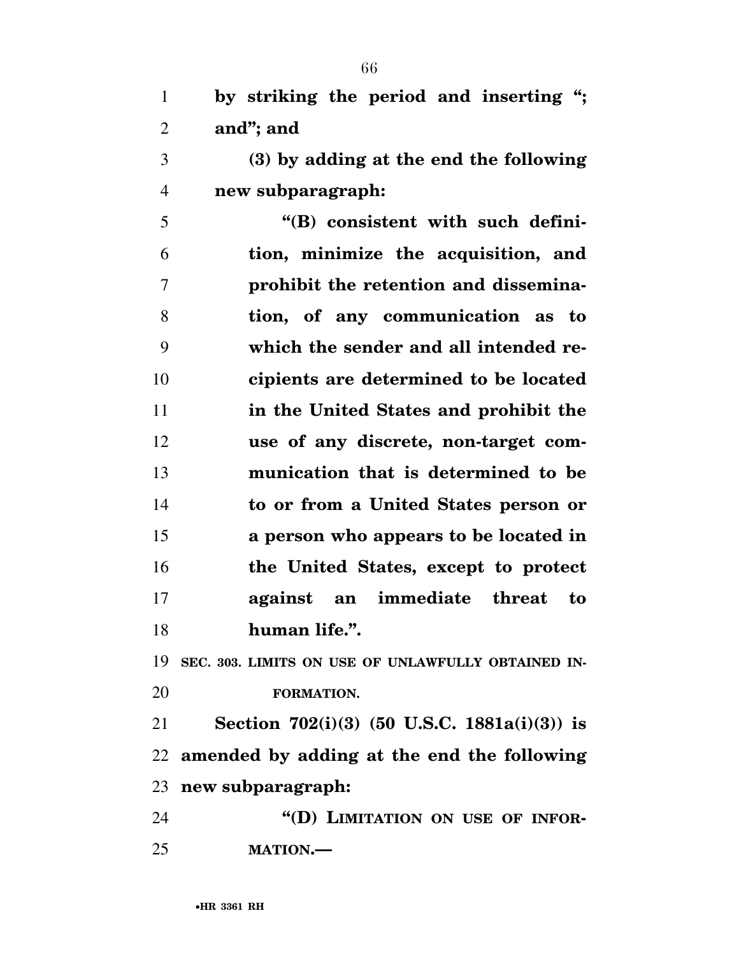| $\mathbf{1}$    | by striking the period and inserting ";                |
|-----------------|--------------------------------------------------------|
| $\overline{2}$  | and"; and                                              |
| 3               | (3) by adding at the end the following                 |
| $\overline{4}$  | new subparagraph:                                      |
| 5               | "(B) consistent with such defini-                      |
| 6               | tion, minimize the acquisition, and                    |
| $\overline{7}$  | prohibit the retention and dissemina-                  |
| 8               | tion, of any communication as to                       |
| 9               | which the sender and all intended re-                  |
| 10              | cipients are determined to be located                  |
| 11              | in the United States and prohibit the                  |
| 12              | use of any discrete, non-target com-                   |
| 13              | munication that is determined to be                    |
| 14              | to or from a United States person or                   |
| 15              | a person who appears to be located in                  |
| 16              | the United States, except to protect                   |
| 17              | against an immediate threat<br>to                      |
| 18              | human life.".                                          |
|                 | 19 SEC. 303. LIMITS ON USE OF UNLAWFULLY OBTAINED IN-  |
| 20              | FORMATION.                                             |
| 21              | Section 702(i)(3) (50 U.S.C. 1881a(i)(3)) is           |
|                 | 22 amended by adding at the end the following          |
|                 | 23 new subparagraph:                                   |
| $\mathcal{L}$ 1 | $\frac{1}{2}$ (K) I interaction on tiep of information |

 **''(D) LIMITATION ON USE OF INFOR-MATION.—**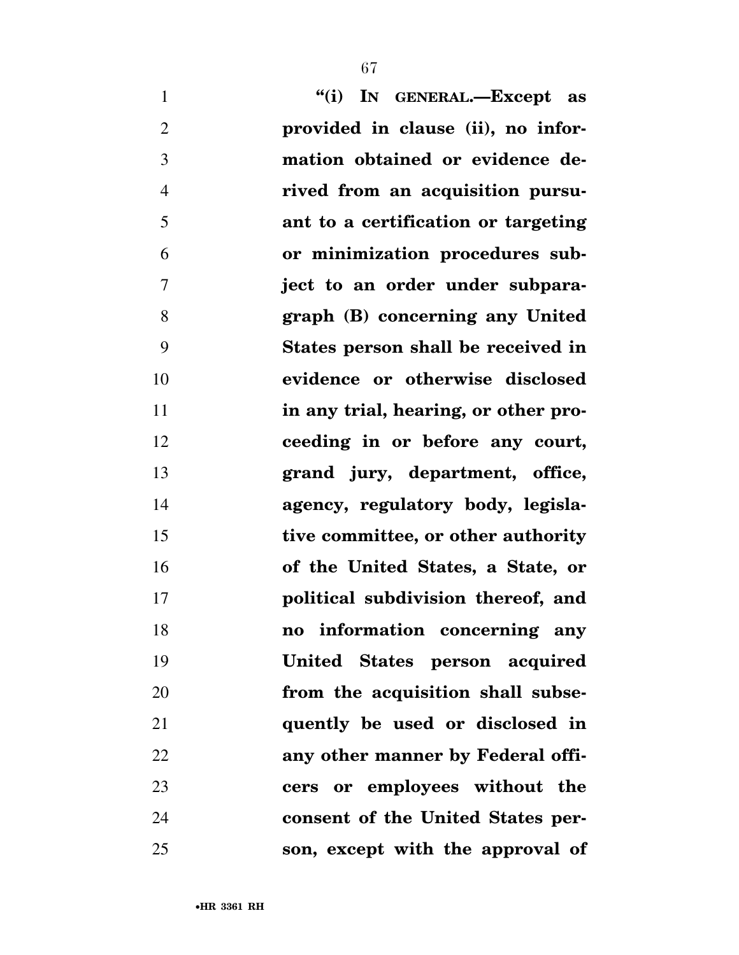**''(i) IN GENERAL.—Except as provided in clause (ii), no infor- mation obtained or evidence de- rived from an acquisition pursu- ant to a certification or targeting or minimization procedures sub- ject to an order under subpara- graph (B) concerning any United States person shall be received in evidence or otherwise disclosed in any trial, hearing, or other pro- ceeding in or before any court, grand jury, department, office, agency, regulatory body, legisla- tive committee, or other authority of the United States, a State, or political subdivision thereof, and no information concerning any United States person acquired from the acquisition shall subse- quently be used or disclosed in any other manner by Federal offi- cers or employees without the consent of the United States per-son, except with the approval of**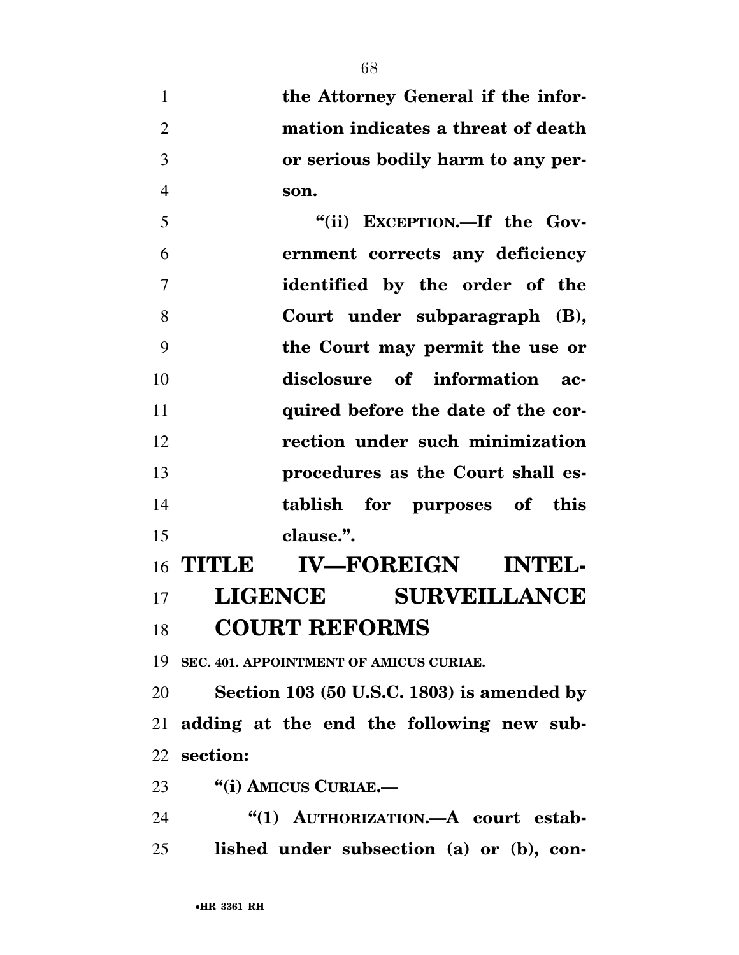**the Attorney General if the infor- mation indicates a threat of death or serious bodily harm to any per-son.** 

 **''(ii) EXCEPTION.—If the Gov- ernment corrects any deficiency identified by the order of the Court under subparagraph (B), the Court may permit the use or disclosure of information ac- quired before the date of the cor- rection under such minimization procedures as the Court shall es- tablish for purposes of this clause.''.** 

# **TITLE IV—FOREIGN INTEL- LIGENCE SURVEILLANCE COURT REFORMS**

**SEC. 401. APPOINTMENT OF AMICUS CURIAE.** 

 **Section 103 (50 U.S.C. 1803) is amended by adding at the end the following new sub-section:** 

**''(i) AMICUS CURIAE.—** 

**''(1) AUTHORIZATION.—A court estab-lished under subsection (a) or (b), con-**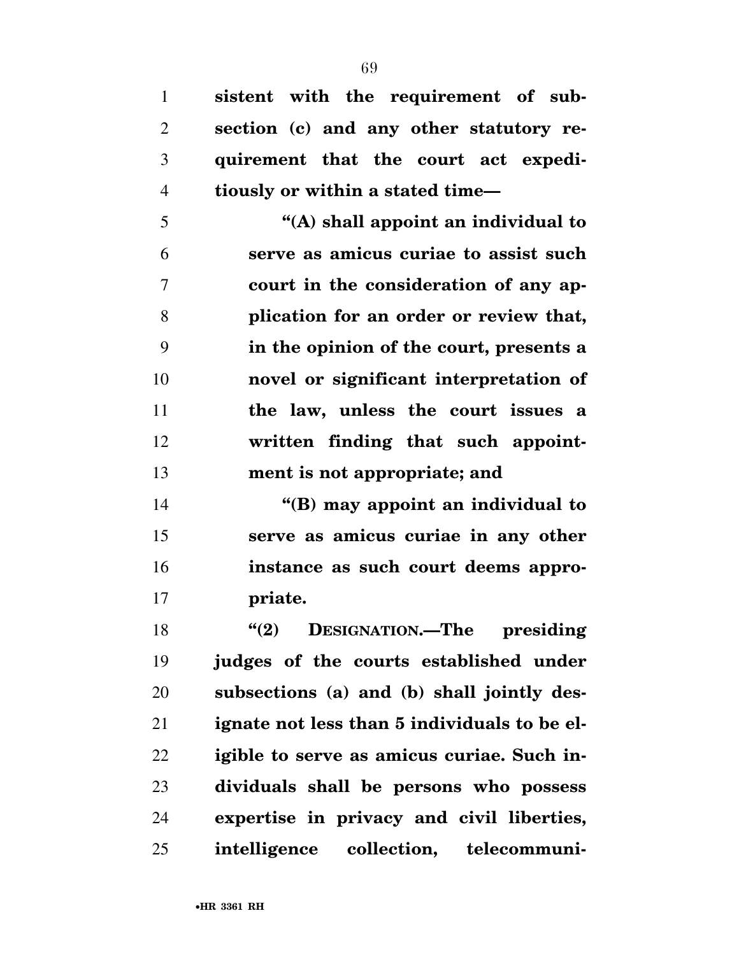**sistent with the requirement of sub- section (c) and any other statutory re- quirement that the court act expedi-tiously or within a stated time—** 

 **''(A) shall appoint an individual to serve as amicus curiae to assist such court in the consideration of any ap- plication for an order or review that, in the opinion of the court, presents a novel or significant interpretation of the law, unless the court issues a written finding that such appoint-ment is not appropriate; and** 

 **''(B) may appoint an individual to serve as amicus curiae in any other instance as such court deems appro-priate.** 

 **''(2) DESIGNATION.—The presiding judges of the courts established under subsections (a) and (b) shall jointly des- ignate not less than 5 individuals to be el- igible to serve as amicus curiae. Such in- dividuals shall be persons who possess expertise in privacy and civil liberties, intelligence collection, telecommuni-**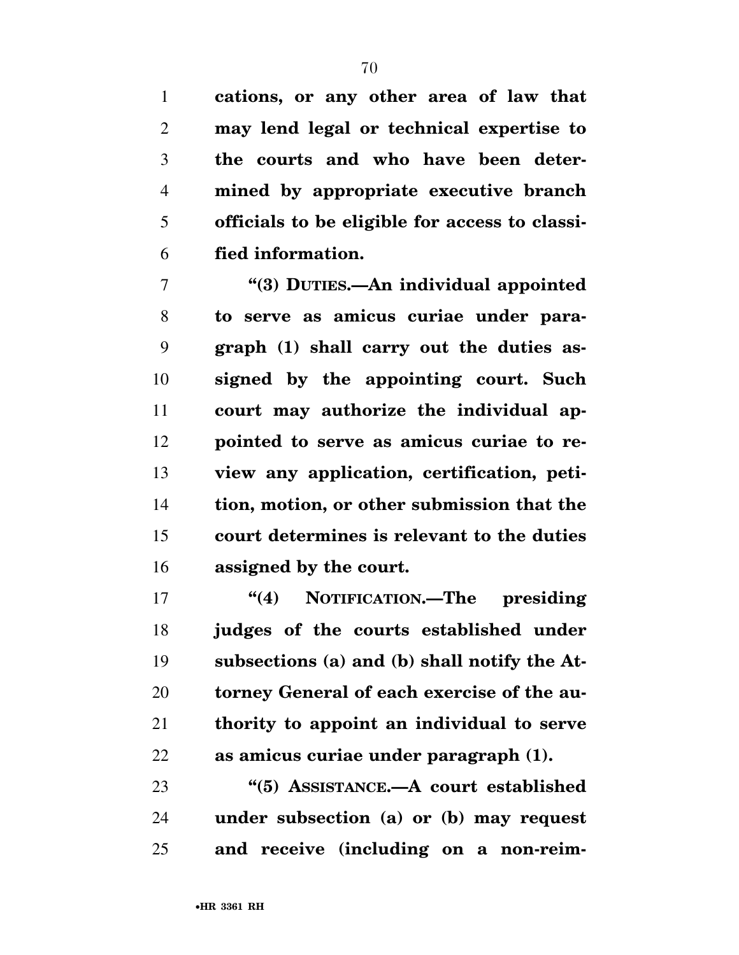**cations, or any other area of law that may lend legal or technical expertise to the courts and who have been deter- mined by appropriate executive branch officials to be eligible for access to classi-fied information.** 

 **''(3) DUTIES.—An individual appointed to serve as amicus curiae under para- graph (1) shall carry out the duties as- signed by the appointing court. Such court may authorize the individual ap- pointed to serve as amicus curiae to re- view any application, certification, peti- tion, motion, or other submission that the court determines is relevant to the duties assigned by the court.** 

 **''(4) NOTIFICATION.—The presiding judges of the courts established under subsections (a) and (b) shall notify the At- torney General of each exercise of the au- thority to appoint an individual to serve as amicus curiae under paragraph (1).** 

 **''(5) ASSISTANCE.—A court established under subsection (a) or (b) may request and receive (including on a non-reim-**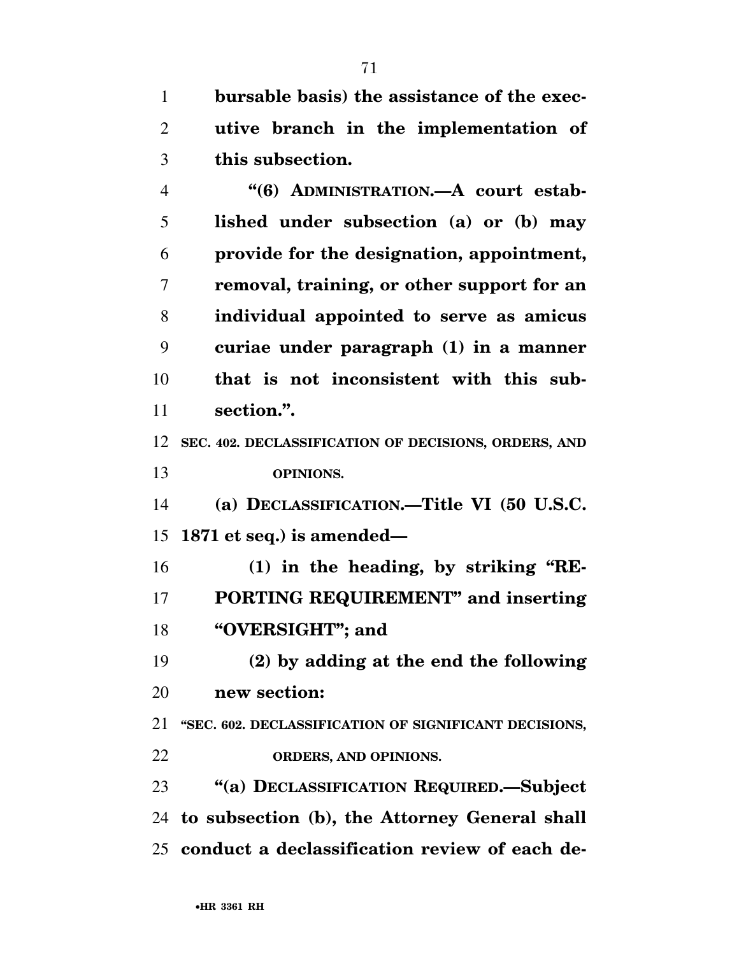**bursable basis) the assistance of the exec- utive branch in the implementation of this subsection.** 

 **''(6) ADMINISTRATION.—A court estab- lished under subsection (a) or (b) may provide for the designation, appointment, removal, training, or other support for an individual appointed to serve as amicus curiae under paragraph (1) in a manner that is not inconsistent with this sub-section.''.** 

 **SEC. 402. DECLASSIFICATION OF DECISIONS, ORDERS, AND OPINIONS.** 

 **(a) DECLASSIFICATION.—Title VI (50 U.S.C. 1871 et seq.) is amended—** 

16 (1) in the heading, by striking "RE- **PORTING REQUIREMENT'' and inserting ''OVERSIGHT''; and** 

 **(2) by adding at the end the following new section:** 

 **''SEC. 602. DECLASSIFICATION OF SIGNIFICANT DECISIONS, ORDERS, AND OPINIONS.** 

 **''(a) DECLASSIFICATION REQUIRED.—Subject to subsection (b), the Attorney General shall conduct a declassification review of each de-**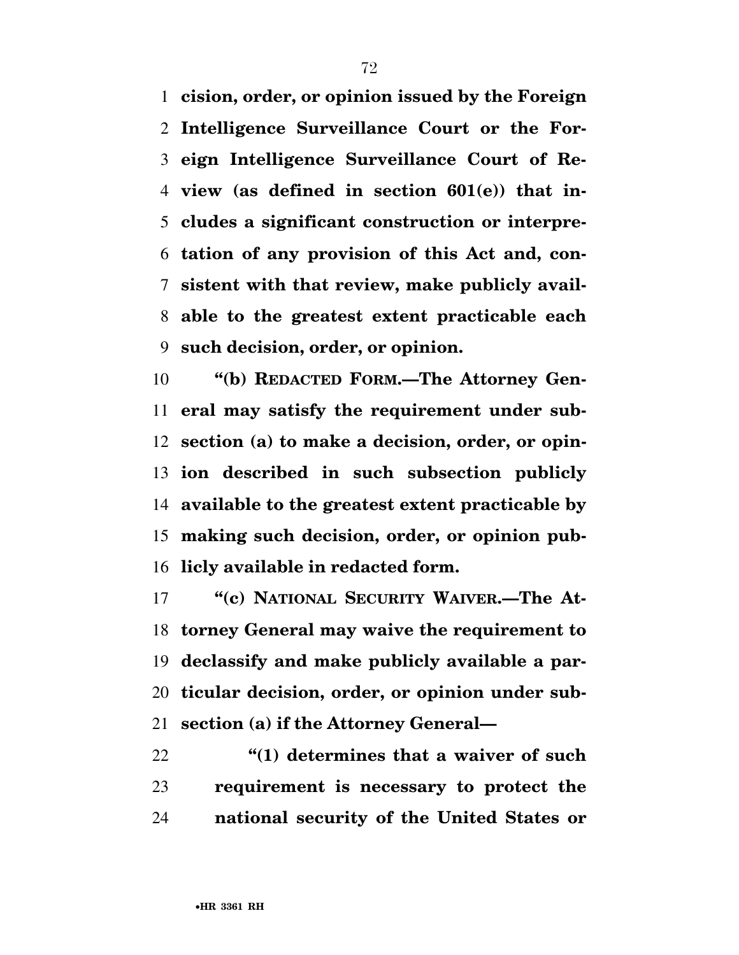**cision, order, or opinion issued by the Foreign Intelligence Surveillance Court or the For- eign Intelligence Surveillance Court of Re- view (as defined in section 601(e)) that in- cludes a significant construction or interpre- tation of any provision of this Act and, con- sistent with that review, make publicly avail- able to the greatest extent practicable each such decision, order, or opinion.** 

 **''(b) REDACTED FORM.—The Attorney Gen- eral may satisfy the requirement under sub- section (a) to make a decision, order, or opin- ion described in such subsection publicly available to the greatest extent practicable by making such decision, order, or opinion pub-licly available in redacted form.** 

17 ""(c) NATIONAL SECURITY WAIVER.—The At- **torney General may waive the requirement to declassify and make publicly available a par- ticular decision, order, or opinion under sub-section (a) if the Attorney General—** 

 **''(1) determines that a waiver of such requirement is necessary to protect the national security of the United States or**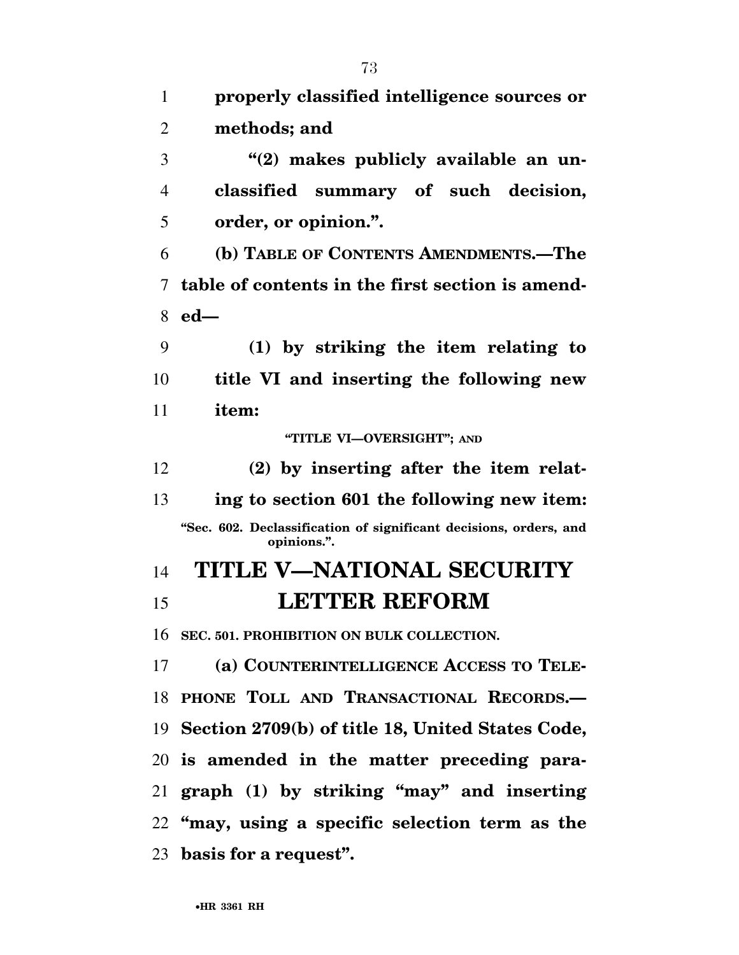| 1              | properly classified intelligence sources or                                      |
|----------------|----------------------------------------------------------------------------------|
| $\overline{2}$ | methods; and                                                                     |
| 3              | "(2) makes publicly available an un-                                             |
| $\overline{4}$ | classified summary of such decision,                                             |
| 5              | order, or opinion.".                                                             |
| 6              | (b) TABLE OF CONTENTS AMENDMENTS.—The                                            |
| 7              | table of contents in the first section is amend-                                 |
| 8              | $ed-$                                                                            |
| 9              | (1) by striking the item relating to                                             |
| 10             | title VI and inserting the following new                                         |
| 11             | item:                                                                            |
|                | "TITLE VI-OVERSIGHT"; AND                                                        |
| 12             | (2) by inserting after the item relat-                                           |
| 13             | ing to section 601 the following new item:                                       |
|                | "Sec. 602. Declassification of significant decisions, orders, and<br>opinions.". |
| 14             | <b>TITLE V-NATIONAL SECURITY</b>                                                 |
| 15             | <b>LETTER REFORM</b>                                                             |
|                | 16 SEC. 501. PROHIBITION ON BULK COLLECTION.                                     |
| 17             | (a) COUNTERINTELLIGENCE ACCESS TO TELE-                                          |
|                | 18 PHONE TOLL AND TRANSACTIONAL RECORDS.-                                        |
|                | 19 Section 2709(b) of title 18, United States Code,                              |
|                | 20 is amended in the matter preceding para-                                      |
|                | 21 graph (1) by striking "may" and inserting                                     |
|                | 22 "may, using a specific selection term as the                                  |
|                | 23 basis for a request".                                                         |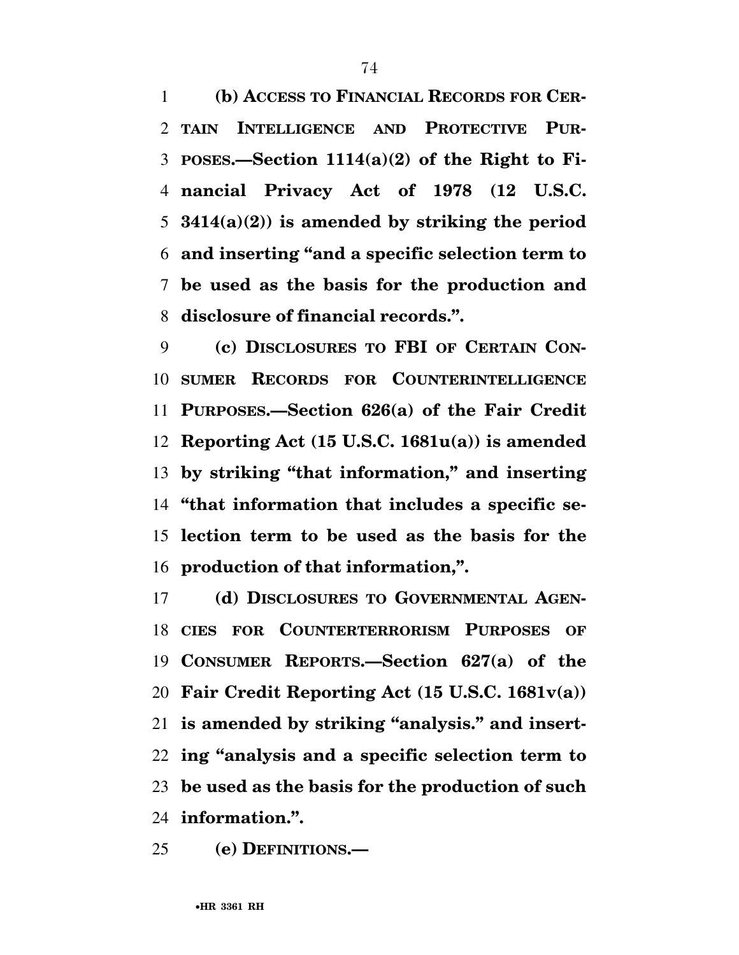**(b) ACCESS TO FINANCIAL RECORDS FOR CER- TAIN INTELLIGENCE AND PROTECTIVE PUR- POSES.—Section 1114(a)(2) of the Right to Fi- nancial Privacy Act of 1978 (12 U.S.C. 3414(a)(2)) is amended by striking the period and inserting ''and a specific selection term to be used as the basis for the production and disclosure of financial records.''.** 

 **(c) DISCLOSURES TO FBI OF CERTAIN CON- SUMER RECORDS FOR COUNTERINTELLIGENCE PURPOSES.—Section 626(a) of the Fair Credit Reporting Act (15 U.S.C. 1681u(a)) is amended by striking ''that information,'' and inserting ''that information that includes a specific se- lection term to be used as the basis for the production of that information,''.** 

 **(d) DISCLOSURES TO GOVERNMENTAL AGEN- CIES FOR COUNTERTERRORISM PURPOSES OF CONSUMER REPORTS.—Section 627(a) of the Fair Credit Reporting Act (15 U.S.C. 1681v(a)) is amended by striking ''analysis.'' and insert- ing ''analysis and a specific selection term to be used as the basis for the production of such information.''.** 

**(e) DEFINITIONS.—**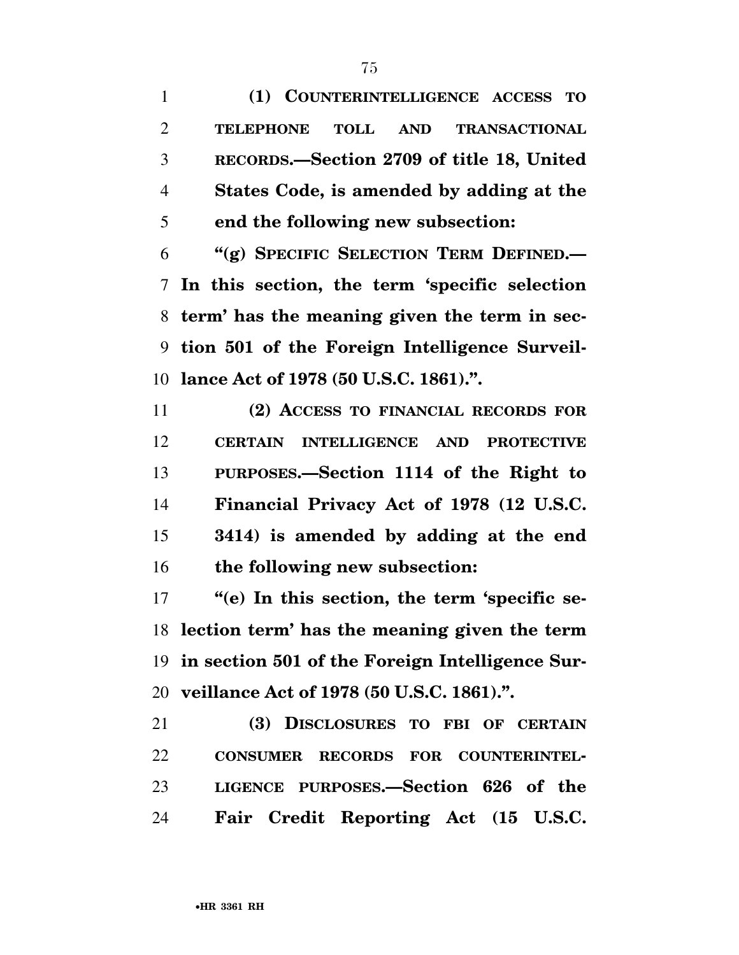**(1) COUNTERINTELLIGENCE ACCESS TO TELEPHONE TOLL AND TRANSACTIONAL RECORDS.—Section 2709 of title 18, United States Code, is amended by adding at the end the following new subsection:** 

 **''(g) SPECIFIC SELECTION TERM DEFINED.— In this section, the term 'specific selection term' has the meaning given the term in sec- tion 501 of the Foreign Intelligence Surveil-lance Act of 1978 (50 U.S.C. 1861).''.** 

 **(2) ACCESS TO FINANCIAL RECORDS FOR CERTAIN INTELLIGENCE AND PROTECTIVE PURPOSES.—Section 1114 of the Right to Financial Privacy Act of 1978 (12 U.S.C. 3414) is amended by adding at the end the following new subsection:** 

17 "(e) In this section, the term 'specific se- **lection term' has the meaning given the term in section 501 of the Foreign Intelligence Sur-veillance Act of 1978 (50 U.S.C. 1861).''.** 

 **(3) DISCLOSURES TO FBI OF CERTAIN CONSUMER RECORDS FOR COUNTERINTEL- LIGENCE PURPOSES.—Section 626 of the Fair Credit Reporting Act (15 U.S.C.**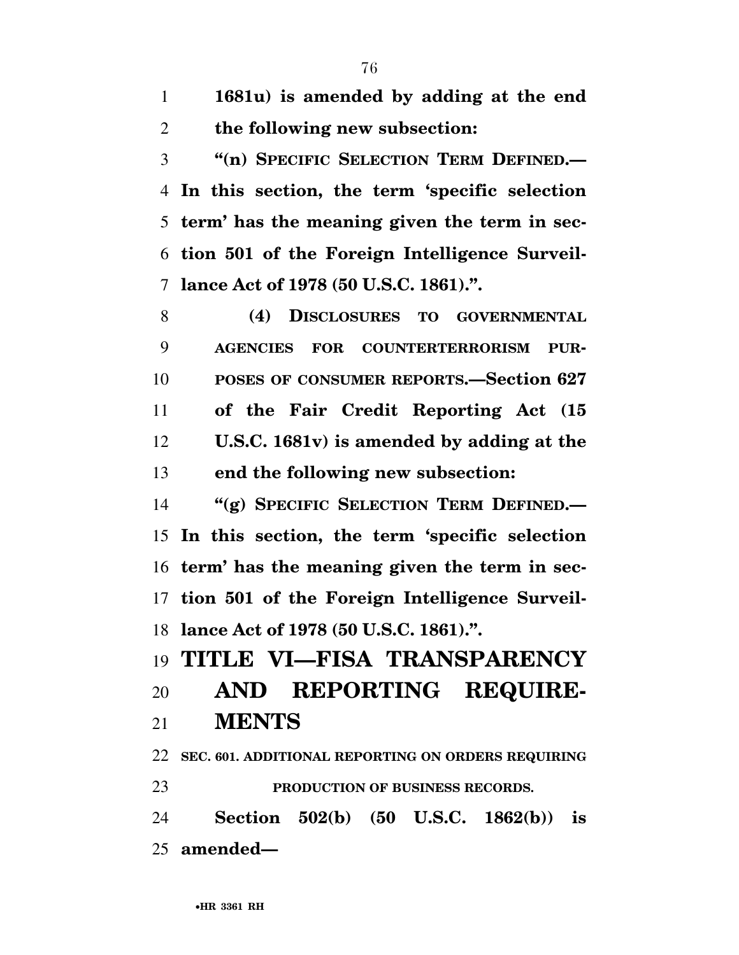**1681u) is amended by adding at the end the following new subsection:** 

 **''(n) SPECIFIC SELECTION TERM DEFINED.— In this section, the term 'specific selection term' has the meaning given the term in sec- tion 501 of the Foreign Intelligence Surveil-lance Act of 1978 (50 U.S.C. 1861).''.** 

 **(4) DISCLOSURES TO GOVERNMENTAL AGENCIES FOR COUNTERTERRORISM PUR- POSES OF CONSUMER REPORTS.—Section 627 of the Fair Credit Reporting Act (15 U.S.C. 1681v) is amended by adding at the end the following new subsection:** 

 **''(g) SPECIFIC SELECTION TERM DEFINED.— In this section, the term 'specific selection term' has the meaning given the term in sec- tion 501 of the Foreign Intelligence Surveil-lance Act of 1978 (50 U.S.C. 1861).''.** 

## **TITLE VI—FISA TRANSPARENCY AND REPORTING REQUIRE-**

**MENTS** 

 **SEC. 601. ADDITIONAL REPORTING ON ORDERS REQUIRING PRODUCTION OF BUSINESS RECORDS.** 

 **Section 502(b) (50 U.S.C. 1862(b)) is amended—**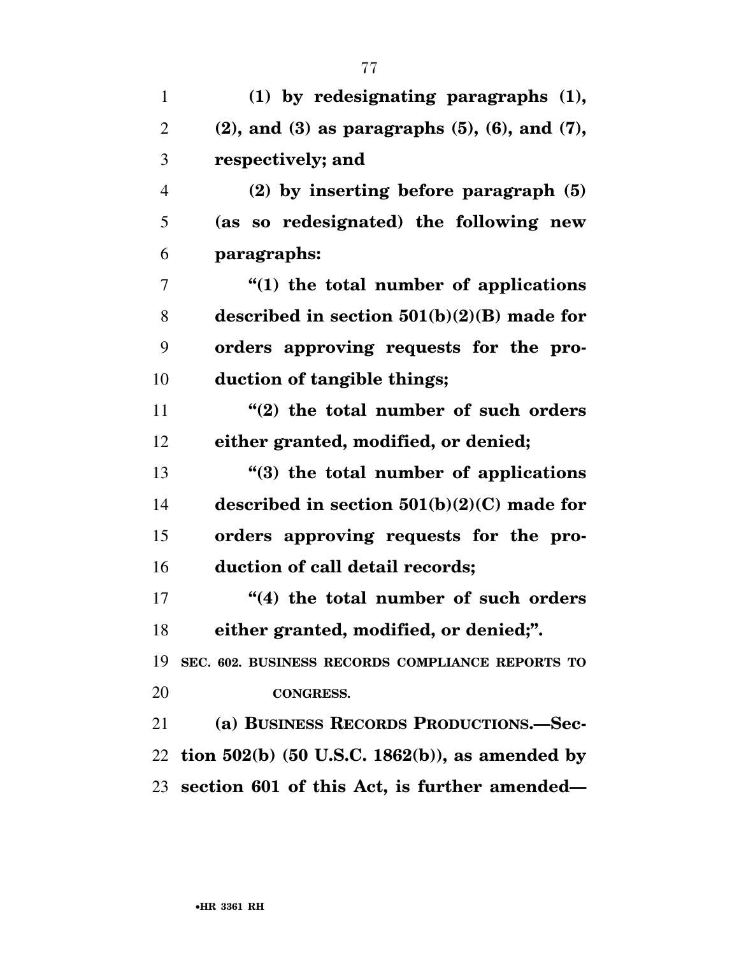| 1              | (1) by redesignating paragraphs (1),                        |
|----------------|-------------------------------------------------------------|
| $\overline{2}$ | $(2)$ , and $(3)$ as paragraphs $(5)$ , $(6)$ , and $(7)$ , |
| 3              | respectively; and                                           |
| $\overline{4}$ | $(2)$ by inserting before paragraph $(5)$                   |
| 5              | (as so redesignated) the following new                      |
| 6              | paragraphs:                                                 |
| 7              | "(1) the total number of applications                       |
| 8              | described in section $501(b)(2)(B)$ made for                |
| 9              | orders approving requests for the pro-                      |
| 10             | duction of tangible things;                                 |
| 11             | "(2) the total number of such orders                        |
| 12             | either granted, modified, or denied;                        |
| 13             | "(3) the total number of applications                       |
| 14             | described in section $501(b)(2)(C)$ made for                |
| 15             | orders approving requests for the pro-                      |
| 16             | duction of call detail records;                             |
| 17             | "(4) the total number of such orders                        |
| 18             | either granted, modified, or denied;".                      |
| 19             | SEC. 602. BUSINESS RECORDS COMPLIANCE REPORTS TO            |
| 20             | <b>CONGRESS.</b>                                            |
| 21             | (a) BUSINESS RECORDS PRODUCTIONS.-Sec-                      |
| 22             | tion $502(b)$ (50 U.S.C. 1862(b)), as amended by            |
|                | 23 section 601 of this Act, is further amended—             |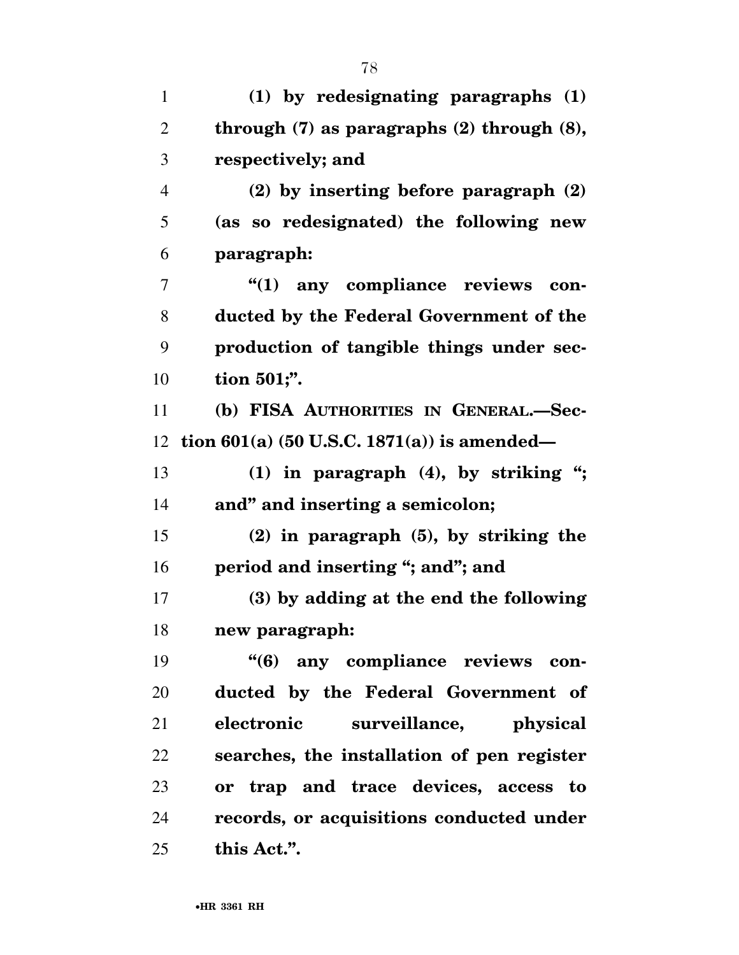| $\mathbf{1}$   | $(1)$ by redesignating paragraphs $(1)$           |
|----------------|---------------------------------------------------|
| $\overline{2}$ | through $(7)$ as paragraphs $(2)$ through $(8)$ , |
| 3              | respectively; and                                 |
| $\overline{4}$ | (2) by inserting before paragraph (2)             |
| 5              | (as so redesignated) the following new            |
| 6              | paragraph:                                        |
| 7              | "(1) any compliance reviews<br>con-               |
| 8              | ducted by the Federal Government of the           |
| 9              | production of tangible things under sec-          |
| 10             | tion 501;".                                       |
| 11             | (b) FISA AUTHORITIES IN GENERAL.-Sec-             |
| 12             | tion $601(a)$ (50 U.S.C. 1871(a)) is amended—     |
| 13             | $(1)$ in paragraph $(4)$ , by striking ";         |
| 14             | and" and inserting a semicolon;                   |
| 15             | $(2)$ in paragraph $(5)$ , by striking the        |
| 16             | period and inserting "; and"; and                 |
| 17             | (3) by adding at the end the following            |
| 18             | new paragraph:                                    |
| 19             | "(6) any compliance reviews con-                  |
| 20             | ducted by the Federal Government of               |
| 21             | electronic<br>surveillance,<br>physical           |
| 22             | searches, the installation of pen register        |
| 23             | or trap and trace devices, access to              |
| 24             | records, or acquisitions conducted under          |
| 25             | this Act.".                                       |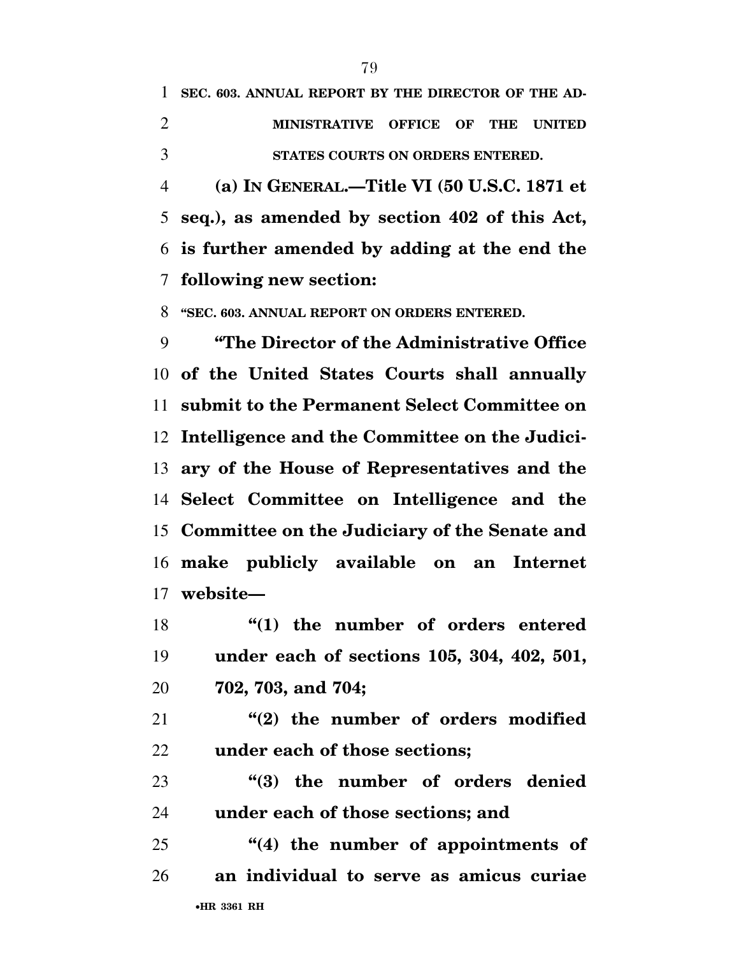**SEC. 603. ANNUAL REPORT BY THE DIRECTOR OF THE AD- MINISTRATIVE OFFICE OF THE UNITED STATES COURTS ON ORDERS ENTERED.** 

 **(a) IN GENERAL.—Title VI (50 U.S.C. 1871 et seq.), as amended by section 402 of this Act, is further amended by adding at the end the following new section:** 

**''SEC. 603. ANNUAL REPORT ON ORDERS ENTERED.** 

 **''The Director of the Administrative Office of the United States Courts shall annually submit to the Permanent Select Committee on Intelligence and the Committee on the Judici- ary of the House of Representatives and the Select Committee on Intelligence and the Committee on the Judiciary of the Senate and make publicly available on an Internet website—** 

**''(1)** the number of orders entered **under each of sections 105, 304, 402, 501, 702, 703, and 704;** 

 **''(2) the number of orders modified under each of those sections;** 

 **''(3) the number of orders denied under each of those sections; and** 

•**HR 3361 RH ''(4) the number of appointments of an individual to serve as amicus curiae**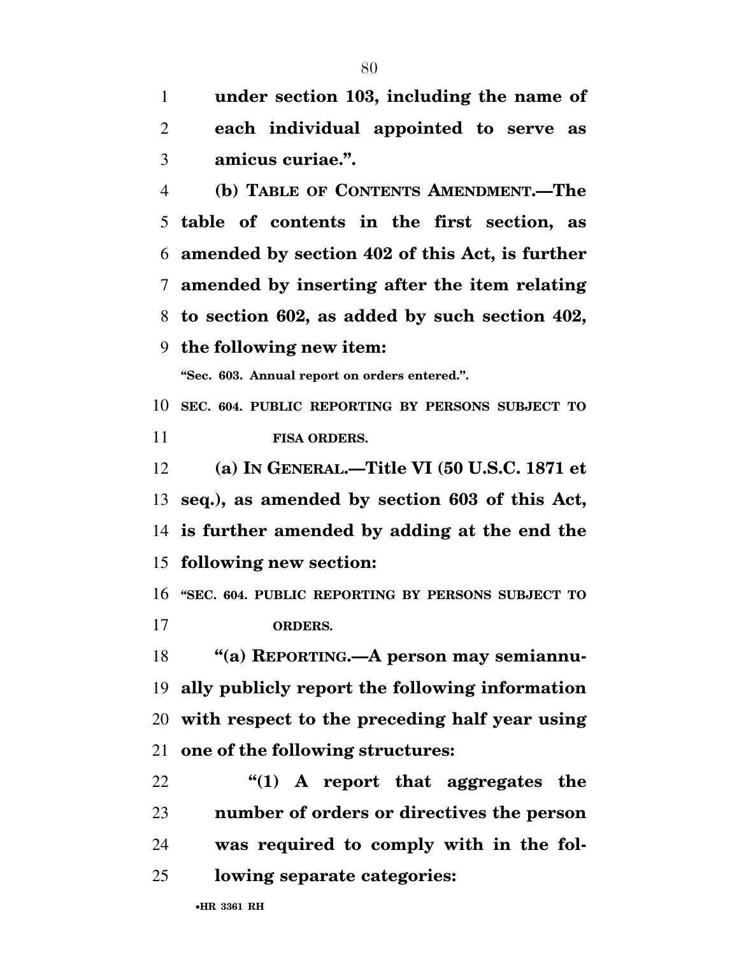**under section 103, including the name of** 

**each individual appointed to serve as** 

 **amicus curiae.''. (b) TABLE OF CONTENTS AMENDMENT.—The table of contents in the first section, as amended by section 402 of this Act, is further amended by inserting after the item relating to section 602, as added by such section 402, the following new item: ''Sec. 603. Annual report on orders entered.''. SEC. 604. PUBLIC REPORTING BY PERSONS SUBJECT TO FISA ORDERS. (a) IN GENERAL.—Title VI (50 U.S.C. 1871 et seq.), as amended by section 603 of this Act, is further amended by adding at the end the** 

**following new section:** 

 **''SEC. 604. PUBLIC REPORTING BY PERSONS SUBJECT TO ORDERS.** 

 **''(a) REPORTING.—A person may semiannu- ally publicly report the following information with respect to the preceding half year using one of the following structures:** 

 **''(1) A report that aggregates the number of orders or directives the person was required to comply with in the fol-lowing separate categories:**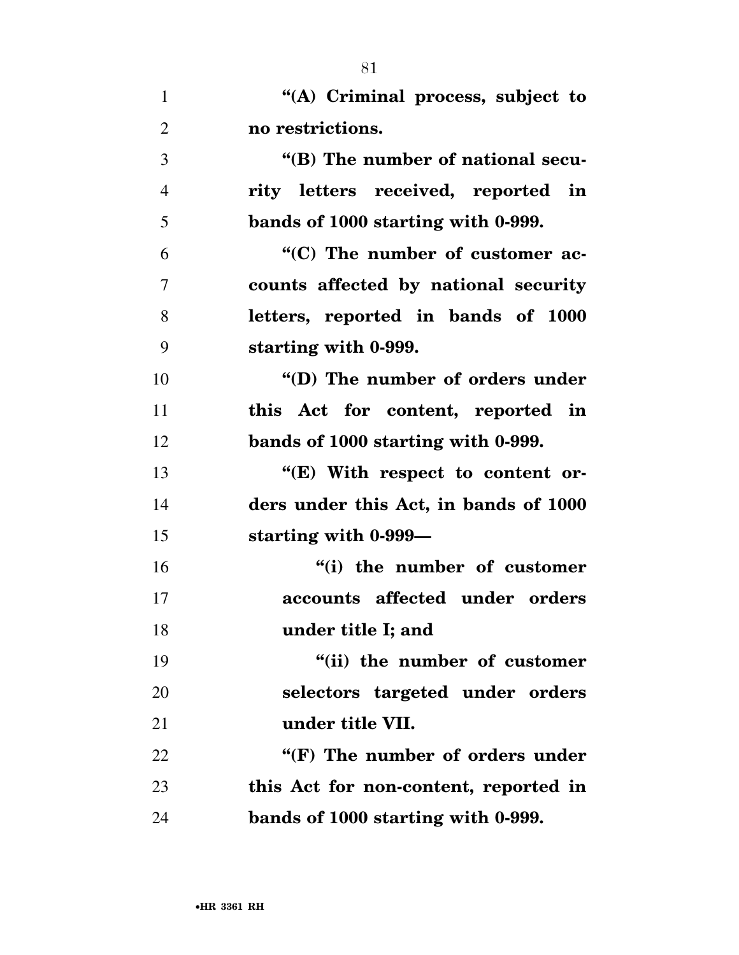|                | OТ                                    |
|----------------|---------------------------------------|
| $\mathbf{1}$   | "(A) Criminal process, subject to     |
| $\overline{2}$ | no restrictions.                      |
| 3              | "(B) The number of national secu-     |
| $\overline{4}$ | rity letters received, reported in    |
| 5              | bands of 1000 starting with 0-999.    |
| 6              | "(C) The number of customer ac-       |
| $\overline{7}$ | counts affected by national security  |
| 8              | letters, reported in bands of 1000    |
| 9              | starting with 0-999.                  |
| 10             | "(D) The number of orders under       |
| 11             | this Act for content, reported in     |
| 12             | bands of 1000 starting with 0-999.    |
| 13             | "(E) With respect to content or-      |
| 14             | ders under this Act, in bands of 1000 |
| 15             | starting with 0-999-                  |
| 16             | "(i) the number of customer           |
| 17             | accounts affected under orders        |
| 18             | under title I; and                    |
| 19             | "(ii) the number of customer          |
| 20             | selectors targeted under orders       |
| 21             | under title VII.                      |
| 22             | "(F) The number of orders under       |
| 23             | this Act for non-content, reported in |
| 24             | bands of 1000 starting with 0-999.    |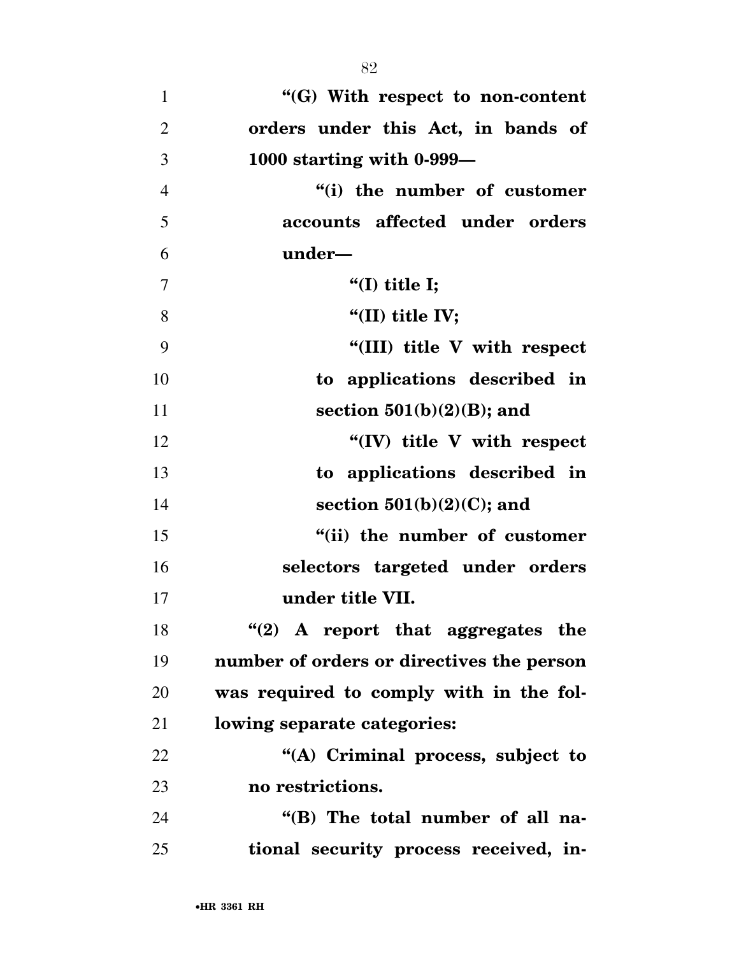**''(G) With respect to non-content orders under this Act, in bands of 1000 starting with 0-999— ''(i) the number of customer accounts affected under orders under— ''(I) title I; ''(II) title IV; ''(III) title V with respect to applications described in section 501(b)(2)(B); and ''(IV) title V with respect to applications described in section 501(b)(2)(C); and ''(ii) the number of customer selectors targeted under orders under title VII. ''(2)** A report that aggregates the **number of orders or directives the person was required to comply with in the fol- lowing separate categories: ''(A) Criminal process, subject to no restrictions. ''(B) The total number of all na-tional security process received, in-**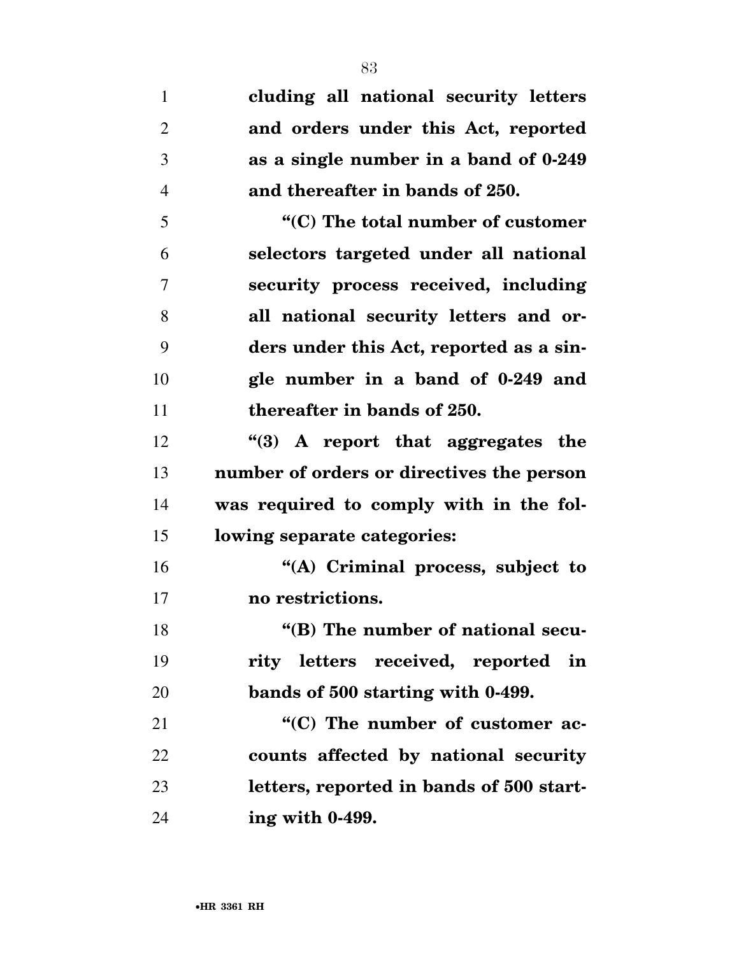**cluding all national security letters and orders under this Act, reported as a single number in a band of 0-249 and thereafter in bands of 250. ''(C) The total number of customer selectors targeted under all national security process received, including all national security letters and or- ders under this Act, reported as a sin- gle number in a band of 0-249 and thereafter in bands of 250. ''(3) A report that aggregates the number of orders or directives the person was required to comply with in the fol- lowing separate categories: ''(A) Criminal process, subject to no restrictions. ''(B) The number of national secu- rity letters received, reported in bands of 500 starting with 0-499. ''(C)** The number of customer ac- **counts affected by national security letters, reported in bands of 500 start-ing with 0-499.**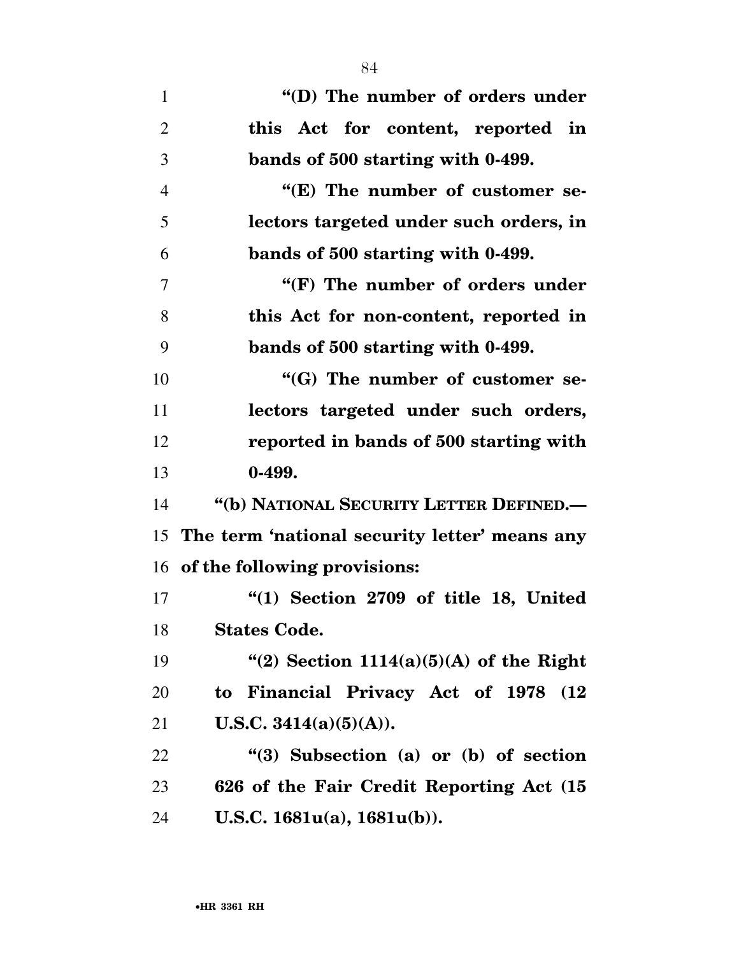| $\mathbf{1}$   | "(D) The number of orders under                  |
|----------------|--------------------------------------------------|
| $\overline{2}$ | this Act for content, reported in                |
| 3              | bands of 500 starting with 0-499.                |
| $\overline{4}$ | "(E) The number of customer se-                  |
| 5              | lectors targeted under such orders, in           |
| 6              | bands of 500 starting with 0-499.                |
| 7              | "(F) The number of orders under                  |
| 8              | this Act for non-content, reported in            |
| 9              | bands of 500 starting with 0-499.                |
| 10             | "(G) The number of customer se-                  |
| 11             | lectors targeted under such orders,              |
| 12             | reported in bands of 500 starting with           |
| 13             | $0-499.$                                         |
| 14             | "(b) NATIONAL SECURITY LETTER DEFINED.-          |
|                | 15 The term 'national security letter' means any |
|                | 16 of the following provisions:                  |
| 17             | "(1) Section 2709 of title 18, United            |
| 18             | <b>States Code.</b>                              |
| 19             | "(2) Section $1114(a)(5)(A)$ of the Right        |
| 20             | to Financial Privacy Act of 1978<br>(12)         |
| 21             | <b>U.S.C.</b> 3414(a)(5)(A)).                    |

 **''(3) Subsection (a) or (b) of section 626 of the Fair Credit Reporting Act (15 U.S.C. 1681u(a), 1681u(b)).**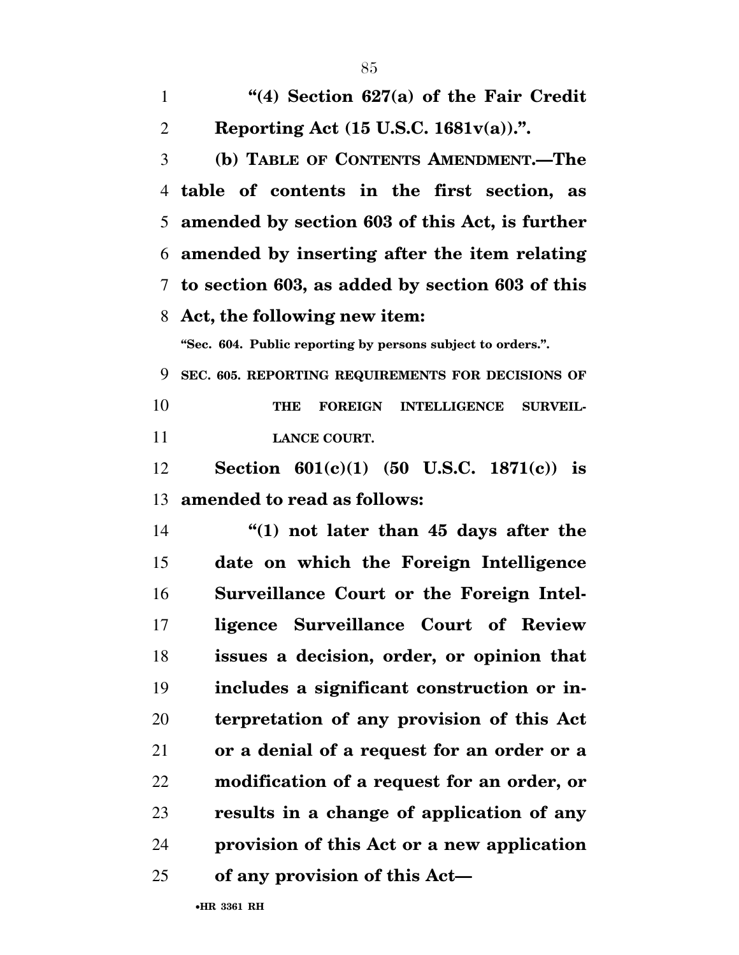| $\mathbf{1}$   | "(4) Section $627(a)$ of the Fair Credit                               |
|----------------|------------------------------------------------------------------------|
| $\overline{2}$ | Reporting Act (15 U.S.C. 1681v(a)).".                                  |
| 3              | (b) TABLE OF CONTENTS AMENDMENT.-The                                   |
| 4              | table of contents in the first section, as                             |
| 5              | amended by section 603 of this Act, is further                         |
| 6              | amended by inserting after the item relating                           |
|                | 7 to section 603, as added by section 603 of this                      |
| 8              | Act, the following new item:                                           |
|                | "Sec. 604. Public reporting by persons subject to orders.".            |
| 9              | SEC. 605. REPORTING REQUIREMENTS FOR DECISIONS OF                      |
| 10             | <b>FOREIGN</b><br><b>INTELLIGENCE</b><br><b>SURVEIL-</b><br><b>THE</b> |
| 11             | <b>LANCE COURT.</b>                                                    |
| 12             | Section $601(c)(1)$ (50 U.S.C. 1871(c)) is                             |
| 13             | amended to read as follows:                                            |
| 14             | "(1) not later than 45 days after the                                  |
| 15             | date on which the Foreign Intelligence                                 |
| 16             | Surveillance Court or the Foreign Intel-                               |
| 17             | ligence Surveillance Court of Review                                   |
| 18             | issues a decision, order, or opinion that                              |
| 19             | includes a significant construction or in-                             |
| 20             | terpretation of any provision of this Act                              |
| 21             | or a denial of a request for an order or a                             |
| 22             | modification of a request for an order, or                             |
| 23             | results in a change of application of any                              |
| 24             | provision of this Act or a new application                             |
| 25             | of any provision of this Act-                                          |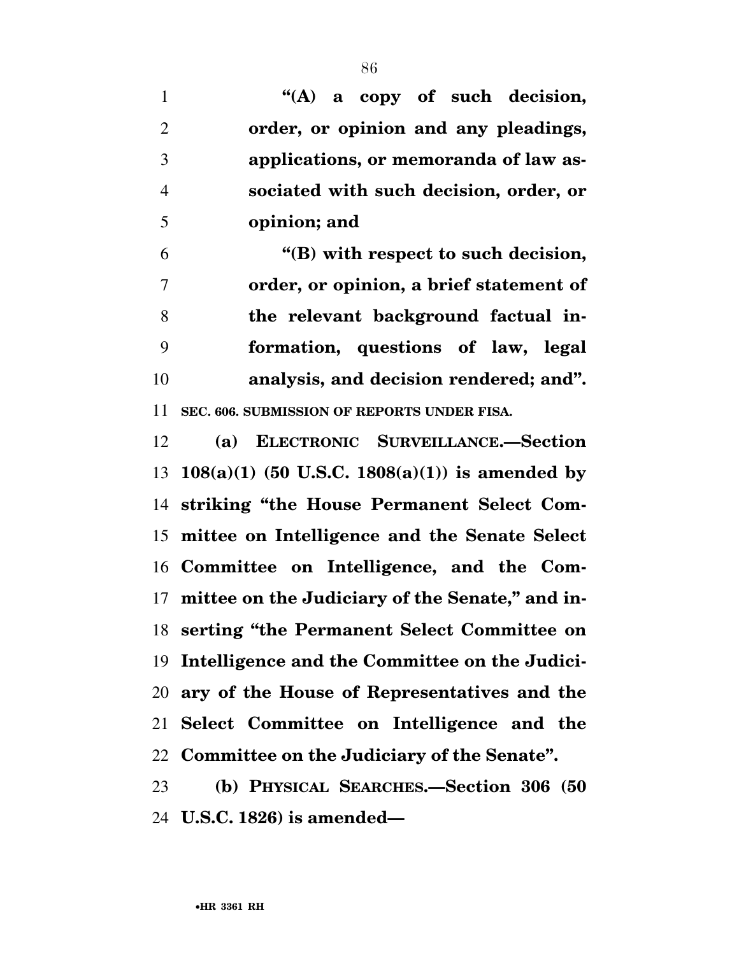**''(A) a copy of such decision, order, or opinion and any pleadings, applications, or memoranda of law as- sociated with such decision, order, or opinion; and** 

 **''(B) with respect to such decision, order, or opinion, a brief statement of the relevant background factual in- formation, questions of law, legal analysis, and decision rendered; and''. SEC. 606. SUBMISSION OF REPORTS UNDER FISA.** 

 **(a) ELECTRONIC SURVEILLANCE.—Section 108(a)(1) (50 U.S.C. 1808(a)(1)) is amended by striking ''the House Permanent Select Com- mittee on Intelligence and the Senate Select Committee on Intelligence, and the Com- mittee on the Judiciary of the Senate,'' and in- serting ''the Permanent Select Committee on Intelligence and the Committee on the Judici- ary of the House of Representatives and the Select Committee on Intelligence and the Committee on the Judiciary of the Senate''.** 

 **(b) PHYSICAL SEARCHES.—Section 306 (50 U.S.C. 1826) is amended—**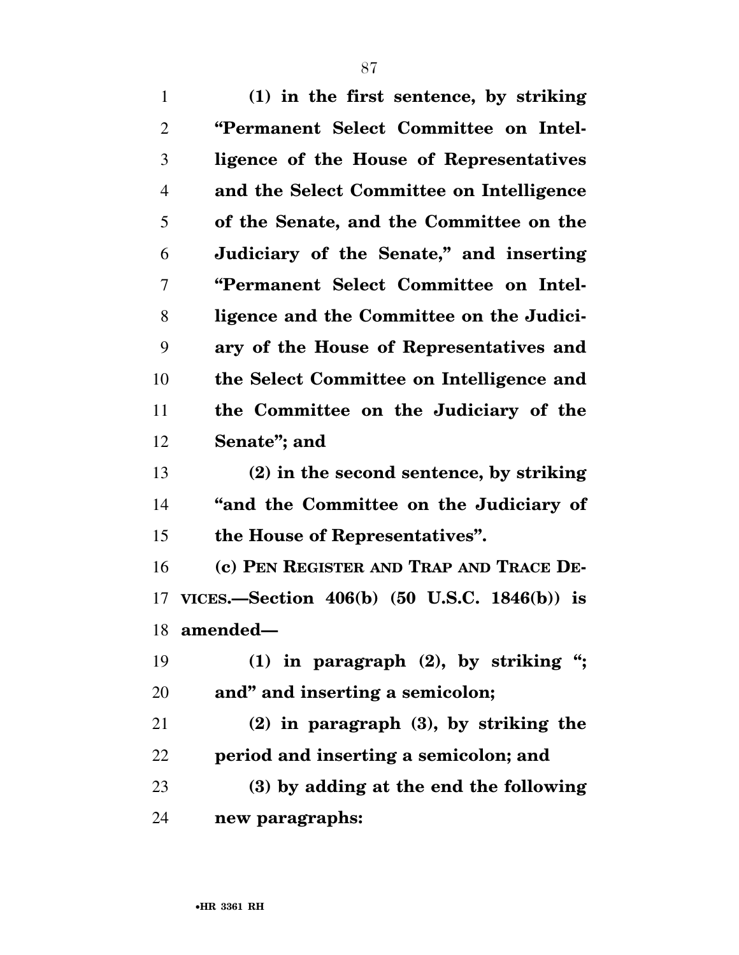**(1) in the first sentence, by striking ''Permanent Select Committee on Intel- ligence of the House of Representatives and the Select Committee on Intelligence of the Senate, and the Committee on the Judiciary of the Senate,'' and inserting ''Permanent Select Committee on Intel- ligence and the Committee on the Judici- ary of the House of Representatives and the Select Committee on Intelligence and the Committee on the Judiciary of the Senate''; and (2) in the second sentence, by striking ''and the Committee on the Judiciary of the House of Representatives''. (c) PEN REGISTER AND TRAP AND TRACE DE- VICES.—Section 406(b) (50 U.S.C. 1846(b)) is amended— (1) in paragraph (2), by striking ''; and'' and inserting a semicolon; (2) in paragraph (3), by striking the period and inserting a semicolon; and (3) by adding at the end the following** 

**new paragraphs:**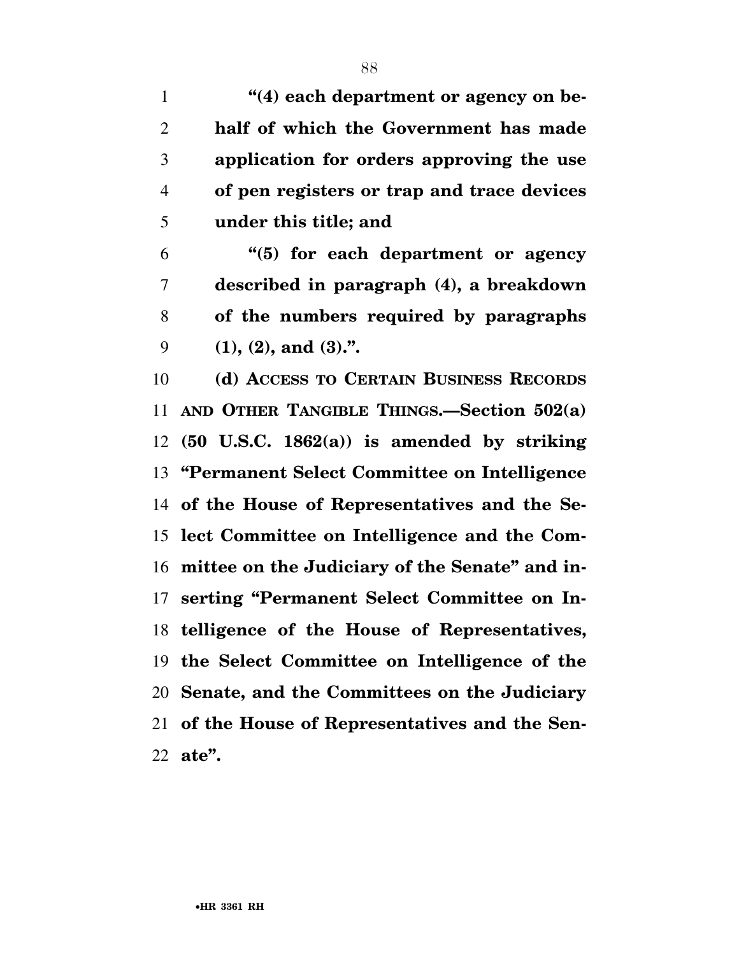**''**(4) each department or agency on be- **half of which the Government has made application for orders approving the use of pen registers or trap and trace devices under this title; and** 

 **''(5) for each department or agency described in paragraph (4), a breakdown of the numbers required by paragraphs (1), (2), and (3).''.** 

 **(d) ACCESS TO CERTAIN BUSINESS RECORDS AND OTHER TANGIBLE THINGS.—Section 502(a) (50 U.S.C. 1862(a)) is amended by striking ''Permanent Select Committee on Intelligence of the House of Representatives and the Se- lect Committee on Intelligence and the Com- mittee on the Judiciary of the Senate'' and in- serting ''Permanent Select Committee on In- telligence of the House of Representatives, the Select Committee on Intelligence of the Senate, and the Committees on the Judiciary of the House of Representatives and the Sen-ate''.**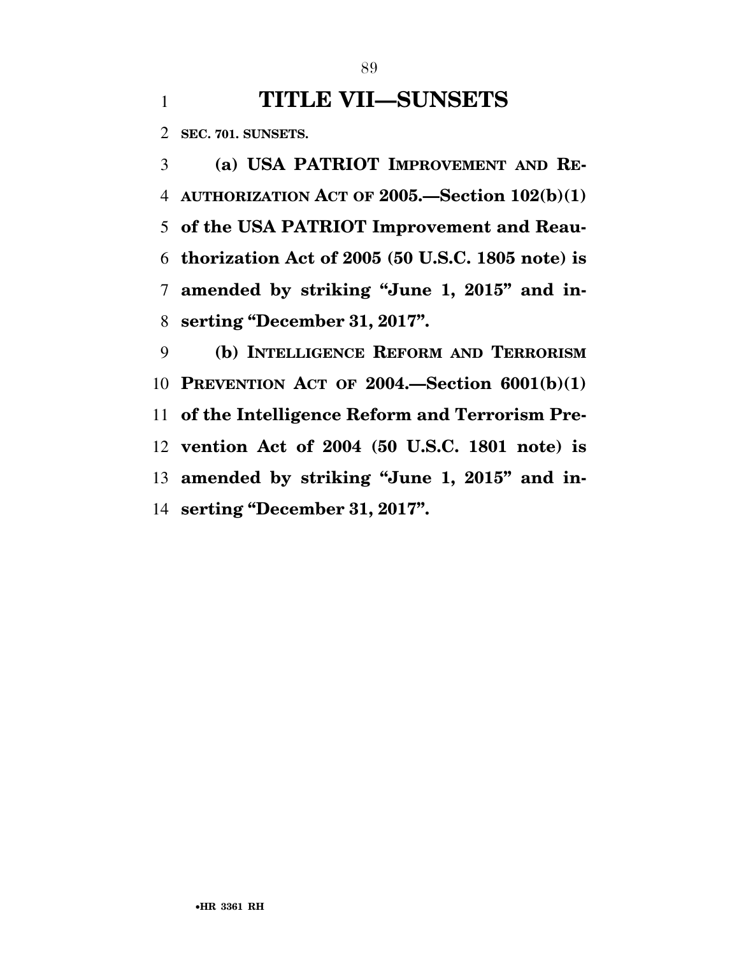## **TITLE VII—SUNSETS**

**SEC. 701. SUNSETS.** 

 **(a) USA PATRIOT IMPROVEMENT AND RE- AUTHORIZATION ACT OF 2005.—Section 102(b)(1) of the USA PATRIOT Improvement and Reau- thorization Act of 2005 (50 U.S.C. 1805 note) is amended by striking ''June 1, 2015'' and in-serting ''December 31, 2017''.** 

 **(b) INTELLIGENCE REFORM AND TERRORISM PREVENTION ACT OF 2004.—Section 6001(b)(1) of the Intelligence Reform and Terrorism Pre- vention Act of 2004 (50 U.S.C. 1801 note) is amended by striking ''June 1, 2015'' and in-serting ''December 31, 2017''.**